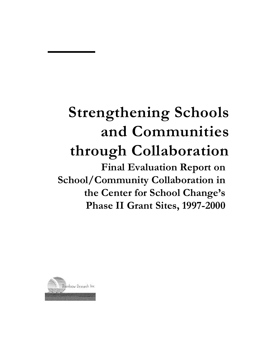# **Strengthening Schools and Communities through Collaboration**

**Final Evaluation Report on School/Community Collaboration in the Center for School Change's Phase II Grant Sites, 1997-2000**

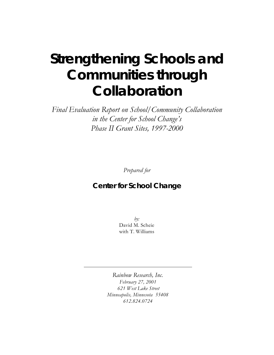# **Strengthening Schools and Communities through Collaboration**

*Final Evaluation Report on School/Community Collaboration in the Center for School Change's Phase II Grant Sites, 1997-2000*

*Prepared for*

#### **Center for School Change**

*by:* David M. Scheie with T. Williams

*Rainbow Research, Inc. February 27, 2001 621 West Lake Street Minneapolis, Minnesota 55408 612.824.0724*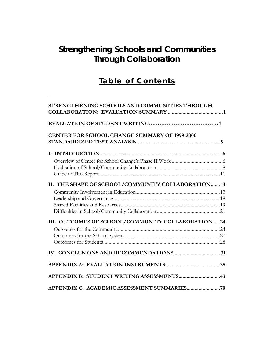# **Strengthening Schools and Communities Through Collaboration**

## **Table of Contents**

.

| STRENGTHENING SCHOOLS AND COMMUNITIES THROUGH        |  |
|------------------------------------------------------|--|
|                                                      |  |
| <b>CENTER FOR SCHOOL CHANGE SUMMARY OF 1999-2000</b> |  |
|                                                      |  |
|                                                      |  |
|                                                      |  |
|                                                      |  |
| II. THE SHAPE OF SCHOOL/COMMUNITY COLLABORATION 13   |  |
|                                                      |  |
|                                                      |  |
|                                                      |  |
|                                                      |  |
| III. OUTCOMES OF SCHOOL/COMMUNITY COLLABORATION24    |  |
|                                                      |  |
|                                                      |  |
|                                                      |  |
|                                                      |  |
|                                                      |  |
| APPENDIX B: STUDENT WRITING ASSESSMENTS43            |  |
|                                                      |  |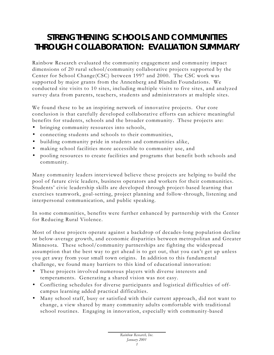# **STRENGTHENING SCHOOLS AND COMMUNITIES THROUGH COLLABORATION: EVALUATION SUMMARY**

Rainbow Research evaluated the community engagement and community impact dimensions of 20 rural school/community collaborative projects supported by the Center for School Change(CSC) between 1997 and 2000. The CSC work was supported by major grants from the Annenberg and Blandin Foundations. We conducted site visits to 10 sites, including multiple visits to five sites, and analyzed survey data from parents, teachers, students and administrators at multiple sites.

We found these to be an inspiring network of innovative projects. Our core conclusion is that carefully developed collaborative efforts can achieve meaningful benefits for students, schools and the broader community. These projects are:

- bringing community resources into schools,
- connecting students and schools to their communities,
- building community pride in students and communities alike,
- making school facilities more accessible to community use, and
- pooling resources to create facilities and programs that benefit both schools and community.

Many community leaders interviewed believe these projects are helping to build the pool of future civic leaders, business operators and workers for their communities. Students' civic leadership skills are developed through project-based learning that exercises teamwork, goal-setting, project planning and follow-through, listening and interpersonal communication, and public speaking.

In some communities, benefits were further enhanced by partnership with the Center for Reducing Rural Violence.

Most of these projects operate against a backdrop of decades-long population decline or below-average growth, and economic disparities between metropolitan and Greater Minnesota. These school/community partnerships are fighting the widespread assumption that the best way to get ahead is to get out, that you can't get up unless you get away from your small town origins. In addition to this fundamental challenge, we found ma ny barriers to this kind of educational innovation:

- These projects involved numerous players with diverse interests and temperaments. Generating a shared vision was not easy.
- Conflicting schedules for diverse participants and logistical difficulties of offcampus learning added practical difficulties.
- Many school staff, busy or satisfied with their current approach, did not want to change, a view shared by many community adults comfortable with traditional school routines. Engaging in innovation, especially with community-based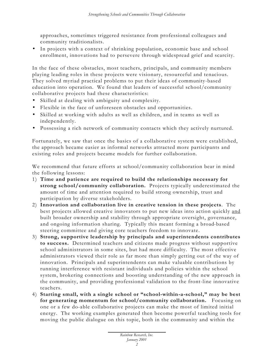approaches, sometimes triggered resistance from professional colleagues and community traditionalists.

• In projects with a context of shrinking population, economic base and school enrollment, innovations had to persevere through widespread grief and scarcity.

In the face of these obstacles, most teachers, principals, and community members playing leading roles in these projects were visionary, resourceful and tenacious. They solved myriad practical problems to put their ideas of community-based education into operation. We found that leaders of successful school/community collaborative projects had these characteristics:

- Skilled at dealing with ambiguity and complexity.
- Flexible in the face of unforeseen obstacles and opportunities.
- Skilled at working with adults as well as children, and in teams as well as independently.
- Possessing a rich network of community contacts which they actively nurtured.

Fortunately, we saw that once the basics of a collaborative system were established, the approach became easier as informal networks attracted more participants and existing roles and projects became models for further collaboration.

We recommend that future efforts at school/community collaboration bear in mind the following lessons:

- 1) **Time and patience are required to build the relationships necessary for strong school/community collaboration.** Projects typically underestimated the amount of time and attention required to build strong ownership, trust and participation by diverse stakeholders.
- 2) **Innovation and collaboration live in creative tension in these projects**. The best projects allowed creative innovators to put new ideas into action quickly and built broader ownership and stability through appropriate oversight, governance, and ongoing information sharing. Typically this meant forming a broad-based steering committee and giving core teachers freedom to innovate.
- 3) **Strong, supportive leadership by principals and superintendents contributes to success.** Determined teachers and citizens made progress without supportive school administrators in some sites, but had more difficulty. The most effective administrators viewed their role as far more than simply getting out of the way of innovation. Principals and superintendents can make valuable contributions by running interference with resistant individuals and policies within the school system, brokering connections and boosting understanding of the new approach in the community, and providing professional validation to the front-line innovative teachers.
- 4) **Starting small, with a single school or "school-within-a-school," may be best for generating momentum for school/community collaboration.** Focusing on one or a few do-able collaborative projects can make the most of limited initial energy. The working examples generated then become powerful teaching tools for moving the public dialogue on this topic, both in the community and within the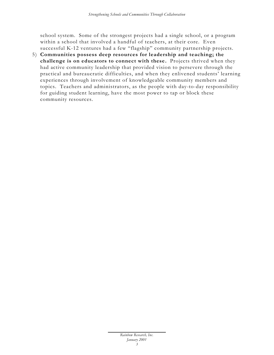school system. Some of the strongest projects had a single school, or a program within a school that involved a handful of teachers, at their core. Even successful K-12 ventures had a few "flagship" community partnership projects.

5) **Communities possess deep resources for leadership and teaching; the challenge is on educators to connect with these.** Projects thrived when they had active community leadership that provided vision to persevere through the practical and bureaucratic difficulties, and when they enlivened students' learning experiences through involvement of knowledgeable community members and topics. Teachers and administrators, as the people with day-to-day responsibility for guiding student learning, have the most power to tap or block these community resources.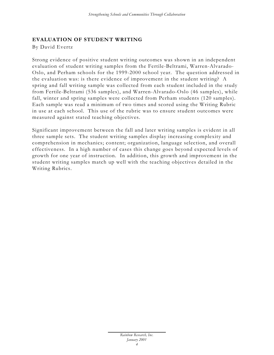#### **EVALUATION OF STUDENT WRITING**

By David Evertz

Strong evidence of positive student writing outcomes was shown in an independent evaluation of student writing samples from the Fertile-Beltrami, Warren-Alvarado-Oslo, and Perham schools for the 1999-2000 school year. The question addressed in the evaluation was: is there evidence of improvement in the student writing? A spring and fall writing sample was collected from each student included in the study from Fertile-Beltrami (536 samples), and Warren-Alvarado-Oslo (46 samples), while fall, winter and spring samples were collected from Perham students (120 samples). Each sample was read a minimum of two times and scored using the Writing Rubric in use at each school. This use of the rubric was to ensure student outcomes were measured against stated teaching objectives.

Significant improvement between the fall and later writing samples is evident in all three sample sets. The student writing samples display increasing complexity and comprehension in mechanics; content; organization, language selection, and overall effectiveness. In a high number of cases this change goes beyond expected levels of growth for one year of instruction. In addition, this growth and improvement in the student writing samples match up well with the teaching objectives detailed in the Writing Rubrics.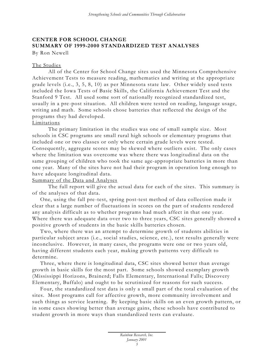#### **CENTER FOR SCHOOL CHANGE SUMMARY OF 1999-2000 STANDARDIZED TEST ANALYSES**

By Ron Newell

#### The Studies

All of the Center for School Change sites used the Minnesota Comprehensive Achievement Tests to measure reading, mathematics and writing at the appropriate grade levels (i.e., 3, 5, 8, 10) as per Minnesota state law. Other widely used tests included the Iowa Tests of Basic Skills, the California Achievement Test and the Stanford 9 Test. All used some sort of nationally recognized standardized test, usually in a pre -post situation. All children were tested on reading, language usage, writing and math. Some schools chose batteries that reflected the design of the programs they had developed.

#### Limitations

The primary limitation in the studies was one of small sample size. Most schools in CSC programs are small rural high schools or elementary programs that included one or two classes or only where certain grade levels were tested. Consequently, aggregate scores may be skewed where outliers exist. The only cases where the limitation was overcome was where there was longitudinal data on the same grouping of children who took the same age-appropriate batteries in more than one year. Many of the sites have not had their program in operation long enough to have adequate longitudinal data.

#### Summary of the Data and Analyses

The full report will give the actual data for each of the sites. This summary is of the analyses of that data.

One, using the fall pre -test, spring post-test method of data collection made it clear that a large number of fluctuations in scores on the part of students rendered any analysis difficult as to whether programs had much affect in that one year. Where there was adequate data over two to three years, CSC sites generally showed a positive growth of students in the basic skills batteries chosen.

Two, where there was an attempt to determine growth of students abilities in particular subject areas (i.e., social studies, science, etc.), test results generally were inconclusive. However, in many cases, the programs were one or two years old, having different students each year, making growth patterns very difficult to determine.

Three, where there is longitudinal data, CSC sites showed better than average growth in basic skills for the most part. Some schools showed exemplary growth (Mississippi Horizons, Brainerd; Falls Elementary, International Falls; Discovery Elementary, Buffalo) and ought to be scrutinized for reasons for such success.

Four, the standardized test data is only a small part of the total evaluation of the sites. Most programs call for affective growth, more community involvement and such things as service learning. By keeping basic skills on an even growth pattern, or in some cases showing better than average gains, these schools have contributed to student growth in more ways than standardized tests can evaluate.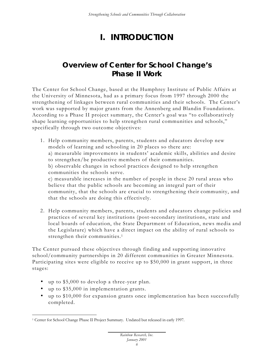# **I. INTRODUCTION**

## **Overview of Center for School Change's Phase II Work**

The Center for School Change, based at the Humphrey Institute of Public Affairs at the University of Minnesota, had as a primary focus from 1997 through 2000 the strengthening of linkages between rural communities and their schools. The Center's work was supported by major grants from the Annenberg and Blandin Foundations. According to a Phase II project summary, the Center's goal was "to collaboratively shape learning opportunities to help strengthen rural communities and schools," specifically through two outcome objectives:

1. Help community members, parents, students and educators develop new models of learning and schooling in 20 places so there are: a) measurable improvements in students' academic skills, abilities and desire to strengthen/be productive members of their communities. b) observable changes in school practices designed to help strengthen communities the schools serve. c) measurable increases in the number of people in these 20 rural areas who believe that the public schools are becoming an integral part of their community, that the schools are crucial to strengthening their community, and that the schools are doing this effectively.

2. Help community members, parents, students and educators change policies and practices of several key institutions (post-secondary institutions, state and local boards of education, the State Department of Education, news media and the Legislature) which have a direct impact on the ability of rural schools to strengthen their communities.<sup>1</sup>

The Center pursued these objectives through finding and supporting innovative school/community partnerships in 20 different communities in Greater Minnesota. Participating sites were eligible to receive up to \$50,000 in grant support, in three stages:

- up to \$5,000 to develop a three-year plan.
- up to \$35,000 in implementation grants.

 $\overline{a}$ 

• up to \$10,000 for expansion grants once implementation has been successfully completed.

<sup>&</sup>lt;sup>1</sup> Center for School Change Phase II Project Summary. Undated but released in early 1997.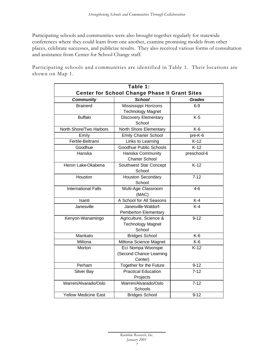Participating schools and communities were also brought together regularly for statewide conferences where they could learn from one another, examine promising models from other places, celebrate successes, and publicize results. They also received various forms of consultation and assistance from Center for School Change staff.

Participating schools and communities are identified in Table 1. Their locations are shown on Map 1.

|                             | Table 1:                                                     |               |  |  |  |  |  |  |  |
|-----------------------------|--------------------------------------------------------------|---------------|--|--|--|--|--|--|--|
|                             | <b>Center for School Change Phase II Grant Sites</b>         |               |  |  |  |  |  |  |  |
| <b>Community</b>            | <b>School</b>                                                | <b>Grades</b> |  |  |  |  |  |  |  |
| <b>Brainerd</b>             | Mississippi Horizons<br><b>Technology Magnet</b>             | $6-9$         |  |  |  |  |  |  |  |
| <b>Buffalo</b>              | <b>Discovery Elementary</b><br>School                        | $K-5$         |  |  |  |  |  |  |  |
| North Shore/Two Harbors     | North Shore Elementary                                       | $K-6$         |  |  |  |  |  |  |  |
| Emily                       | <b>Emily Charter School</b>                                  | pre-K-6       |  |  |  |  |  |  |  |
| Fertile-Beltrami            | Links to Learning                                            | $K-12$        |  |  |  |  |  |  |  |
| Goodhue                     | Goodhue Public Schools                                       | $K-12$        |  |  |  |  |  |  |  |
| Hanska                      | Hanska Community<br><b>Charter School</b>                    | preschool-6   |  |  |  |  |  |  |  |
| Heron Lake-Okabena          | Southwest Star Concept<br>School                             | $K-12$        |  |  |  |  |  |  |  |
| Houston                     | <b>Houston Secondary</b><br>School                           | $7 - 12$      |  |  |  |  |  |  |  |
| <b>International Falls</b>  | Multi-Age Classroom<br>(MAC)                                 | 4-6           |  |  |  |  |  |  |  |
| Isanti                      | A School for All Seasons                                     | $K-4$         |  |  |  |  |  |  |  |
| Janesville                  | Janesville-Waldorf-<br>Pemberton Elementary                  | $K-4$         |  |  |  |  |  |  |  |
| Kenyon-Wanamingo            | Agriculture, Science &<br><b>Technology Magnet</b><br>School | $9 - 12$      |  |  |  |  |  |  |  |
| Mankato                     | <b>Bridges School</b>                                        | $K-6$         |  |  |  |  |  |  |  |
| Miltona                     | Miltona Science Magnet                                       | $K-6$         |  |  |  |  |  |  |  |
| Morton                      | Eci Nompa Woonspe<br>(Second Chance Learning<br>Center)      | $K-12$        |  |  |  |  |  |  |  |
| Perham                      | Together for the Future                                      | $9 - 12$      |  |  |  |  |  |  |  |
| Silver Bay                  | <b>Practical Education</b><br>Projects                       | $7 - 12$      |  |  |  |  |  |  |  |
| Warren/Alvarado/Oslo        | Warren/Alvarado/Oslo<br>Schools                              | $7 - 12$      |  |  |  |  |  |  |  |
| <b>Yellow Medicine East</b> | <b>Bridges School</b>                                        | $9 - 12$      |  |  |  |  |  |  |  |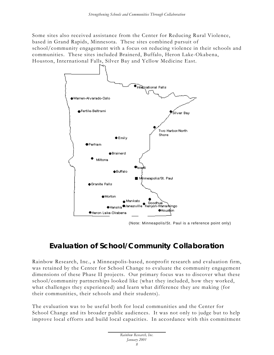Some sites also received assistance from the Center for Reducing Rural Violence, based in Grand Rapids, Minnesota. These sites combined pursuit of school/community engagement with a focus on reducing violence in their schools and communities. These sites included Brainerd, Buffalo, Heron Lake-Okabena, Houston, International Falls, Silver Bay and Yellow Medicine East.



(Note: Minneapolis/St. Paul is a reference point only)

## **Evaluation of School/Community Collaboration**

Rainbow Research, Inc., a Minneapolis-based, nonprofit research and evaluation firm, was retained by the Center for School Change to evaluate the community engagement dimensions of these Phase II projects. Our primary focus was to discover what these school/community partnerships looked like (what they included, how they worked, what challenges they experienced) and learn what difference they are making (for their communities, their schools and their students).

The evaluation was to be useful both for local communities and the Center for School Change and its broader public audiences. It was not only to judge but to help improve local efforts and build local capacities. In accordance with this commitment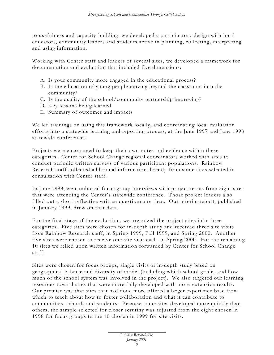to usefulness and capacity-building, we developed a participatory design with local educators, community leaders and students active in planning, collecting, interpreting and using information.

Working with Center staff and leaders of several sites, we developed a framework for documentation and evaluation that included five dimensions:

- A. Is your community more engaged in the educational process?
- B. Is the education of young people moving beyond the classroom into the community?
- C. Is the quality of the school/community partnership improving?
- D. Key lessons being learned
- E. Summary of outcomes and impacts

We led trainings on using this framework locally, and coordinating local evaluation efforts into a statewide learning and reporting process, at the June 1997 and June 1998 statewide conferences.

Projects were encouraged to keep their own notes and evidence within these categories. Center for School Change regional coordinators worked with sites to conduct periodic written surveys of various participant populations. Rainbow Research staff collected additional information directly from some sites selected in consultation with Center staff.

In June 1998, we conducted focus group interviews with project teams from eight sites that were attending the Center's statewide conference. Those project leaders also filled out a short reflective written questionnaire then. Our interim report, published in January 1999, drew on that data.

For the final stage of the evaluation, we organized the project sites into three categories. Five sites were chosen for in-depth study and received three site visits from Rainbow Research staff, in Spring 1999, Fall 1999, and Spring 2000. Another five sites were chosen to receive one site visit each, in Spring 2000. For the remaining 10 sites we relied upon written information forwarded by Center for School Change staff.

Sites were chosen for focus groups, single visits or in-depth study based on geographical balance and diversity of model (including which school grades and how much of the school system was involved in the project). We also targeted our learning resourc es toward sites that were more fully-developed with more -extensive results. Our premise was that sites that had done more offered a larger experience base from which to teach about how to foster collaboration and what it can contribute to communities, schools and students. Because some sites developed more quickly than others, the sample selected for closer scrutiny was adjusted from the eight chosen in 1998 for focus groups to the 10 chosen in 1999 for site visits.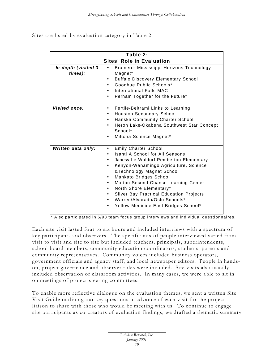Sites are listed by evaluation category in Table 2.

|                                  | Table 2:                                                                                                                                                                                                                                                                                                                                                                                                                    |  |  |  |  |  |  |  |  |
|----------------------------------|-----------------------------------------------------------------------------------------------------------------------------------------------------------------------------------------------------------------------------------------------------------------------------------------------------------------------------------------------------------------------------------------------------------------------------|--|--|--|--|--|--|--|--|
| <b>Sites' Role in Evaluation</b> |                                                                                                                                                                                                                                                                                                                                                                                                                             |  |  |  |  |  |  |  |  |
| In-depth (visited 3<br>times):   | Brainerd: Mississippi Horizons Technology<br>Magnet*<br><b>Buffalo Discovery Elementary School</b><br>Goodhue Public Schools*<br>International Falls MAC<br>Perham Together for the Future*                                                                                                                                                                                                                                 |  |  |  |  |  |  |  |  |
| <b>Visited once:</b>             | Fertile-Beltrami Links to Learning<br>$\bullet$<br><b>Houston Secondary School</b><br>$\bullet$<br>Hanska Community Charter School<br>Heron Lake-Okabena Southwest Star Concept<br>School*<br>Miltona Science Magnet*                                                                                                                                                                                                       |  |  |  |  |  |  |  |  |
| Written data only:               | <b>Emily Charter School</b><br><b>Isanti A School for All Seasons</b><br>Janesville-Waldorf-Pemberton Elementary<br>Kenyon-Wanamingo Agriculture, Science<br>&Technology Magnet School<br>Mankato Bridges School<br>Morton Second Chance Learning Center<br>North Shore Elementary*<br>$\bullet$<br><b>Silver Bay Practical Education Projects</b><br>Warren/Alvarado/Oslo Schools*<br>Yellow Medicine East Bridges School* |  |  |  |  |  |  |  |  |

\* Also participated in 6/98 team focus group interviews and individual questionnaires.

Each site visit lasted four to six hours and included interviews with a spectrum of key participants and observers. The specific mix of people interviewed varied from visit to visit and site to site but included teachers, principals, superintendents, school board members, community education coordinators, students, parents and community representatives. Community voices included business operators, government officials and agency staff, and local newspaper editors. People in handson, project governance and observer roles were included. Site visits also usually included observation of classroom activities. In many cases, we were a ble to sit in on meetings of project steering committees.

To enable more reflective dialogue on the evaluation themes, we sent a written Site Visit Guide outlining our key questions in advance of each visit for the project liaison to share with those who would be meeting with us. To continue to engage site participants as co-creators of evaluation findings, we drafted a thematic summary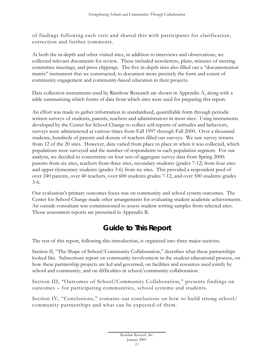of findings following each visit and shared this with participants for clarification, correction and further comments.

At both the in-depth and other visited sites, in addition to interviews and observations, we collected relevant documents for review. These included newsletters, plans, minutes of steering committee meetings, and press clippings. The five in-depth sites also filled out a "documentation matrix" instrument that we constructed, to document more precisely the form and extent of community engagement and community-based education in their projects.

Data collection instruments used by Rainbow Research are shown in Appendix A, along with a table summarizing which forms of data from which sites were used for preparing this report.

An effort was made to gather information in standardized, quantifiable form through periodic written surveys of students, parents, teachers and administrators in most sites. Using instruments developed by the Center for School Change to collect self-reports of attitudes and behaviors, surveys were administered at various times from Fall 1997 through Fall 2000. Over a thousand students, hundreds of parents and dozens of teachers filled out surveys. We saw survey returns from 12 of the 20 sites. However, data varied from place to place in when it was collected, which populations were surveyed and the number of respondents in each population segment. For our analysis, we decided to concentrate on four sets of aggregate survey data from Spring 2000: parents from six sites, teachers from three sites, secondary students (grades 7-12) from four sites and upper elementary students (grades 3-6) from six sites. This provided a respondent pool of over 240 parents, over 40 teachers, over 600 students grades 7-12, and over 500 students grades 3-6.

Our evaluation's primary outcomes focus was on community and school system outcomes. The Center for School Change made other arrangements for evaluating student academic achievements. An outside consultant was commissioned to assess student writing samples from selected sites. Those assessment reports are presented in Appendix B.

## **Guide to This Report**

The rest of this report, following this introduction, is organized into three major sections.

Section II, "The Shape of School/Community Collaboration," describes what these partnerships looked like. Subsections report on community involvement in the student educational process, on how these partnership projects are led and governed, on facilities and resources used jointly by school and community, and on difficulties in school/community collaboration.

Section III, "Outcomes of School/Community Collaboration," presents findings on outcomes – for participating communities, school systems and students.

Section IV, "Conclusions," contains our conclusions on how to build strong school/ community partnerships and what can be expected of them.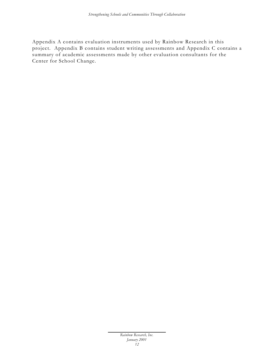Appendix A contains evaluation instruments used by Rainbow Research in this project. Appendix B contains student writing assessments and Appendix C contains a summary of academic assessments made by other evaluation consultants for the Center for School Change.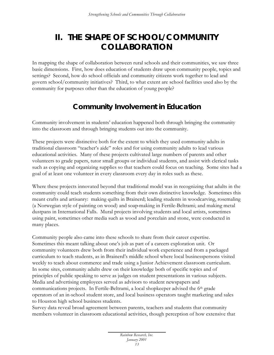## **II. THE SHAPE OF SCHOOL/COMMUNITY COLLABORATION**

In mapping the shape of collaboration between rural schools and their communities, we saw three basic dimensions. First, how does education of students draw upon community people, topics and settings? Second, how do school officials and community citizens work together to lead and govern school/community initiatives? Third, to what extent are school facilities used also by the community for purposes other than the education of young people?

#### **Community Involvement in Education**

Community involvement in students' education happened both through bringing the community into the classroom and through bringing students out into the community.

These projects were distinctive both for the extent to which they used community adults in traditional classroom "teacher's aide" roles and for using community adults to lead various educational activities. Many of these projects cultivated large numbers of parents and other volunteers to grade papers, tutor small groups or individual students, and assist with clerical tasks such as copying and organizing supplies so that teachers could focus on teaching. Some sites had a goal of at least one volunteer in every classroom every day in roles such as these.

Where these projects innovated beyond that traditional model was in recognizing that adults in the community could teach students something from their own distinctive knowledge. Sometimes this meant crafts and artisanry: making quilts in Brainerd; leading students in woodcarving, rosemaling (a Norwegian style of painting on wood) and soap-making in Fertile-Beltrami; and making metal dustpans in International Falls. Mural projects involving students and local artists, sometimes using paint, sometimes other media such as wood and porcelain and stone, were conducted in many places.

Community people also came into these schools to share from their career expertise. Sometimes this meant talking about one's job as part of a careers exploration unit. Or community volunteers drew both from their individual work experience and from a packaged curriculum to teach students, as in Brainerd's middle school where local businesspersons visited weekly to teach about commerce and trade using a Junior Achievement classroom curriculum. In some sites, community adults drew on their knowledge both of specific topics and of principles of public speaking to serve as judges on student presentations in various subjects. Media and advertising employees served as advisors to student newspapers and communications projects. In Fertile-Beltrami, a local shopkeeper advised the 6th grade operators of an in-school student store, and local business operators taught marketing and sales to Houston high school business students.

Survey data reveal broad agreement between parents, teachers and students that community members volunteer in classroom educational activities, though perception of how extensive that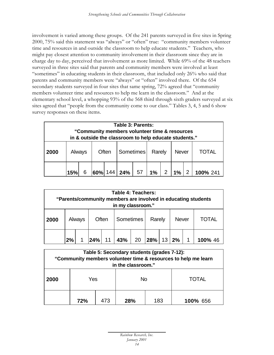involvement is varied among these groups. Of the 241 parents surveyed in five sites in Spring 2000, 75% said this statement was "always" or "often" true: "community members volunteer time and resources in and outside the classroom to help educate students." Teachers, who might pay closest attention to community involvement in their classroom since they are in charge day to day, perceived that involvement as more limited. While 69% of the 48 teachers surveyed in three sites said that parents and community members were involved at least "sometimes" in educating students in their classroom, that included only 26% who said that parents and community members were "always" or "often" involved there. Of the 654 secondary students surveyed in four sites that same spring, 72% agreed that "community members volunteer time and resources to help me learn in the classroom." And at the elementary school level, a whopping 93% of the 568 third through sixth graders surveyed at six sites agreed that "people from the community come to our class." Tables 3, 4, 5 and 6 show survey responses on these items.

| Table 3: Parents:<br>"Community members volunteer time & resources"<br>in & outside the classroom to help educate students." |                                                          |  |     |  |           |    |       |   |       |   |          |
|------------------------------------------------------------------------------------------------------------------------------|----------------------------------------------------------|--|-----|--|-----------|----|-------|---|-------|---|----------|
| 2000                                                                                                                         | Sometimes<br>Rarely<br>Often<br>Never<br>Always<br>TOTAL |  |     |  |           |    |       |   |       |   |          |
|                                                                                                                              | 15%                                                      |  | 60% |  | $144$ 24% | 57 | $1\%$ | 2 | $1\%$ | 2 | 100% 241 |

| Table 4: Teachers:<br>"Parents/community members are involved in educating students<br>in my classroom." |    |        |                                              |    |     |    |     |                 |    |       |         |
|----------------------------------------------------------------------------------------------------------|----|--------|----------------------------------------------|----|-----|----|-----|-----------------|----|-------|---------|
| 2000                                                                                                     |    | Always | Sometimes<br>Often<br>Rarely<br><b>Never</b> |    |     |    |     |                 |    | TOTAL |         |
|                                                                                                          | 2% |        | 24%                                          | 11 | 43% | 20 | 28% | 13 <sup>1</sup> | 2% |       | 100% 46 |

| Table 5: Secondary students (grades 7-12):<br>"Community members volunteer time & resources to help me learn<br>in the classroom." |     |     |     |     |          |  |  |  |  |
|------------------------------------------------------------------------------------------------------------------------------------|-----|-----|-----|-----|----------|--|--|--|--|
| 2000                                                                                                                               | Yes |     | Nο  |     | TOTAL    |  |  |  |  |
|                                                                                                                                    | 72% | 473 | 28% | 183 | 100% 656 |  |  |  |  |

| Rainbow Research, Inc. |  |
|------------------------|--|
| January 2001           |  |
| 14                     |  |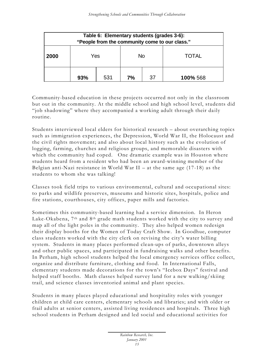| Table 6: Elementary students (grades 3-6):<br>"People from the community come to our class." |                                    |  |           |  |              |  |  |  |  |  |  |
|----------------------------------------------------------------------------------------------|------------------------------------|--|-----------|--|--------------|--|--|--|--|--|--|
| 2000                                                                                         | Yes                                |  | <b>No</b> |  | <b>TOTAL</b> |  |  |  |  |  |  |
|                                                                                              | 531<br>37<br>93%<br>7%<br>100% 568 |  |           |  |              |  |  |  |  |  |  |

Community-based education in these projects occurred not only in the classroom but out in the community. At the middle school and high school level, students did "job shadowing" where they accompanied a working adult through their daily routine.

Students interviewed local elders for historical research – about overarching topics such as immigration experiences, the Depression, World War II, the Holocaust and the civil rights movement; and also about local history such as the evolution of logging, farming, churches and religious groups, and memorable disasters with which the community had coped. One dramatic example was in Houston where students heard from a resident who had been an award-winning member of the Belgian anti-Nazi resistance in World War II – at the same age  $(17-18)$  as the students to whom she was talking!

Classes took field trips to various environmental, cultural and occupational sites: to parks and wildlife preserves, museums and historic sites, hospitals, police and fire stations, courthouses, city offices, paper mills and factories.

Sometimes this community-based learning had a service dimension. In Heron Lake-Okabena, 7<sup>th</sup> and 8<sup>th</sup> grade math students worked with the city to survey and map all of the light poles in the community. They also helped women redesign their display booths for the Women of Today Craft Show. In Goodhue, computer class students worked with the city clerk on revising the city's water billing system. Students in many places performed clean-ups of parks, downtown alleys and other public spaces, and participated in fundraising walks and other benefits. In Perham, high school students helped the local emergency services office collect, organize and distribute furniture, clothing and food. In International Falls, elementary students made decorations for the town's "Icebox Days" festival and helped staff booths. Math classes helped survey land for a new walking/skiing trail, and science classes inventoried animal and plant species.

Students in many places played educational and hospitality roles with younger children at child care centers, elementary schools and libraries; and with older or frail adults at senior centers, assisted living residences and hospitals. Three high school students in Perham designed and led social and educational activities for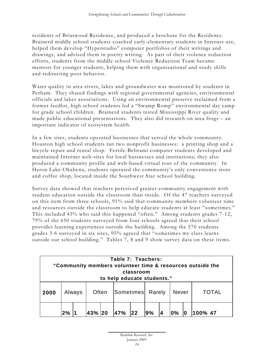residents of Briarwood Residence, and produced a brochure for the Residence. Brainerd middle school students coached early-elementary students in Internet use, helped them develop "Hyperstudio" computer portfolios of their writings and drawings, and advised them in poetry writing. As part of their violence reduction efforts, students from the middle school Violence Reduction Team became mentors for younger students, helping them with organizational and study skills and redirecting poor behavior.

Water quality in area rivers, lakes and groundwater was monitored by students in Perham. They shared findings with regional governmental agencies, environmental officials and lakes associations. Using an environmental preserve reclaimed from a former feedlot, high school students led a "Swamp Romp" environmental day camp for grade school children. Brainerd students tested Mississippi River quality and made public educational presentations. They also did research on area frogs – an important indicator of ecosystem health.

In a few sites, students operated businesses that served the whole community. Houston high school students ran two nonprofit businesses: a printing shop and a bicycle repair and rental shop. Fertile-Beltrami computer students developed and maintained Internet web-sites for local businesses and institutions; they also produced a community profile and web-based virtual tour of the community. In Heron Lake-Okabena, students operated the community's only convenience store and coffee shop, located inside the Southwest Star school building.

Survey data showed that teachers perceived greater community engagement with student education outside the classroom than inside. Of the 47 teachers surveyed on this item from three schools, 91% said that community members volunteer time and resources outside the classroom to help educate students at least "sometimes." This included 43% who said this happened "often." Among students grades 7-12, 79% of the 650 students surveyed from four schools agreed that their school provides learning experiences outside the building. Among the 570 students grades 3-6 surveyed in six sites, 95% agreed that "sometimes my class learns outside our school building." Tables 7, 8 and 9 show survey data on these items.

| Table 7: Teachers:<br>"Community members volunteer time & resources outside the<br>classroom<br>to help educate students." |                                                                  |        |       |  |  |                     |  |  |       |  |       |
|----------------------------------------------------------------------------------------------------------------------------|------------------------------------------------------------------|--------|-------|--|--|---------------------|--|--|-------|--|-------|
| 2000                                                                                                                       |                                                                  | Always | Often |  |  | Sometimes<br>Rarely |  |  | Never |  | TOTAL |
|                                                                                                                            | 22<br>9%<br>47%<br>$\mathbf{0\%}$<br>2%<br><b>43%</b><br>100% 47 |        |       |  |  |                     |  |  |       |  |       |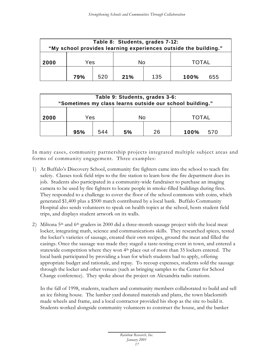| Table 8: Students, grades 7-12:<br>"My school provides learning experiences outside the building." |     |     |     |     |              |     |  |  |  |  |
|----------------------------------------------------------------------------------------------------|-----|-----|-----|-----|--------------|-----|--|--|--|--|
| 2000                                                                                               | Yes |     | Nο  |     | <b>TOTAL</b> |     |  |  |  |  |
|                                                                                                    | 79% | 520 | 21% | 135 | 100%         | 655 |  |  |  |  |

| Table 9: Students, grades 3-6:<br>"Sometimes my class learns outside our school building." |                                       |  |  |  |  |  |  |  |  |  |  |
|--------------------------------------------------------------------------------------------|---------------------------------------|--|--|--|--|--|--|--|--|--|--|
| 2000                                                                                       | Yes<br><b>TOTAL</b><br>No             |  |  |  |  |  |  |  |  |  |  |
|                                                                                            | 544<br>26<br>5%<br>95%<br>100%<br>570 |  |  |  |  |  |  |  |  |  |  |

In many cases, community partnership projects integrated multiple subject areas and forms of community engagement. Three examples:

- 1) At Buffalo's Discovery School, community fire fighters came into the school to teach fire safety. Classes took field trips to the fire station to learn how the fire department does its job. Students also participated in a community-wide fundraiser to purchase an imaging camera to be used by fire fighters to locate people in smoke-filled buildings during fires. They responded to a challenge to cover the floor of the school commons with coins, which generated \$1,400 plus a \$500 match contributed by a local bank. Buffalo Community Hospital also sends volunteers to speak on health topics at the school, hosts student field trips, and displays student artwork on its walls.
- 2) Miltona  $5<sup>th</sup>$  and  $6<sup>th</sup>$  graders in 2000 did a three-month sausage project with the local meat locker, integrating math, science and communications skills. They researched spices, tested the locker's varieties of sausage, created their own recipes, ground the meat and filled the casings. Once the sausage was made they staged a taste-testing event in town, and entered a statewide competition where they won 4<sup>th</sup> place out of more than 35 lockers entered. The local bank participated by providing a loan for which students had to apply, offering appropriate budget and rationale, and repay. To recoup expenses, students sold the sausage through the locker and other venues (such as bringing samples to the Center for School Change conference). They spoke about the project on Alexandria radio stations.

In the fall of 1998, students, teachers and community members collaborated to build and sell an ice fishing house. The lumber yard donated materials and plans, the town blacksmith made wheels and frame, and a local contractor provided his shop as the site to build it. Students worked alongside community volunteers to construct the house, and the banker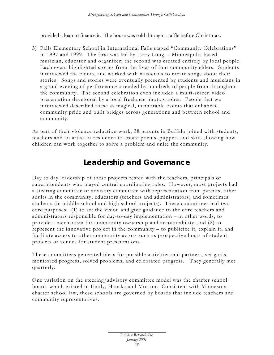provided a loan to finance it. The house was sold through a raffle before Christmas.

3) Falls Elementary School in International Falls staged "Community Celebrations" in 1997 and 1999. The first was led by Larry Long, a Minneapolis-based musician, educator and organizer; the second was created entirely by local people. Each event highlighted stories from the lives of four community elders. Students interviewed the elders, and worked with musicians to create songs about their stories. Songs and stories were eventually presented by students and musicians in a grand evening of performance attended by hundreds of people from throughout the community. The second celebration even included a multi-screen video presentation developed by a local freelance photographer. People that we interviewed described these as magical, memorable events that enhanced community pride and built bridges across generations and between school and community.

As part of their violence reduction work, 38 parents in Buffalo joined with students, teachers and an artist-in-residence to create poems, puppets and skits showing how children can work together to solve a problem and unite the community.

#### **Leadership and Governance**

Day to day leadership of these projects rested with the teachers, principals or superintendents who played central coordinating roles. However, most projects had a steering committee or advisory committee with representation from parents, other adults in the community, educators (teachers and administrators) and sometimes students (in middle school and high school projects). These committees had two core purposes: (1) to set the vision and give guidance to the core teachers and administrators responsible for day-to-day implementation – in other words, to provide a mechanism for community ownership and accountability; and (2) to represent the innovative project in the community – to publicize it, explain it, and facilitate access to other community actors such as prospective hosts of student projects or venues for student presentations.

These committees generated ideas for possible activities and partners, set goals, monitored progress, solved problems, and celebrated progress. They generally met quarterly.

One variation on the steering/advisory committee model was the charter school board, which existed in Emily, Hanska and Morton. Consistent with Minnesota charter school law, these schools are governed by boards that include teachers and community representatives.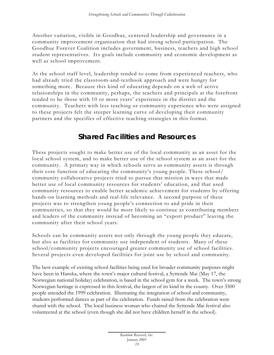Another variation, visible in Goodhue, centered leadership and governance in a community improvement organization that had strong school participation. The Goodhue Forever Coalition includes government, business, teachers and high school student representatives. Its goals include community and economic development as well as school improvement.

At the school staff level, leadership tended to come from experienced teachers, who had already tried the classroom-and-textbook approach and were hungry for something more. Because this kind of educating depends on a web of active relationships in the community, perhaps, the teachers and principals at the forefront tended to be those with 10 or more years' experience in the district and the community. Teachers with less teaching or community experience who were assigned to these projects felt the steeper learning curve of developing their community partners and the specifics of effective teaching strategies in this format.

#### **Shared Facilities and Resources**

These projects sought to make better use of the local community as an asset for the local school system, and to make better use of the school system as an asset for the community. A primary way in which schools serve as community assets is through their core function of educating the community's young people. These school/ community collaborative projects tried to pursue that mission in ways that made better use of local community resources for students' education, and that used community resources to enable better academic achievement for students by offering hands-on learning methods and real-life relevance. A second purpose of these projects was to strengthen young people's connection to and pride in their communities, so that they would be more likely to continue as contributing members and leaders of the community instead of becoming an "export product" leaving the community after their school years.

Schools can be community assets not only through the young people they educate, but also as facilities for community use independent of students. Many of these school/community projects encouraged greater community use of school facilities. Several projects even developed facilities for joint use by school and community.

The best example of existing school facilities being used for broader community purposes might have been in Hanska, where the town's major cultural festival, a Syttende Mai (May 17, the Norwegian national holiday) celebration, is based in the school gym for a week. The town's strong Norwegian heritage is expressed in this festival, the largest of its kind in the county. Over 3500 people attended the 1999 celebration. Illustrating the integration of school and community, students performed dances as part of the celebration. Funds raised from the celebration were shared with the school. The local business woman who chaired the Syttende Mai festival also volunteered at the school (even though she did not have children herself in the school).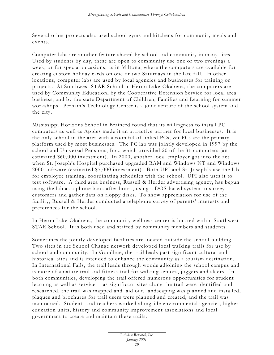Several other projects also used school gyms and kitchens for community meals and events.

Computer labs are another feature shared by school and community in many sites. Used by students by day, these are open to community use one or two evenings a week, or for special occasions, as in Miltona, where the computers are available for creating custom holiday cards on one or two Saturdays in the late fall. In other locations, computer labs are used by local agencies and businesses for training or projects. At Southwest STAR School in Heron Lake-Okabena, the computers are used by Community Education, by the Cooperative Extension Service for local area business, and by the state Department of Children, Families and Learning for summer workshops. Perham's Technology Center is a joint venture of the school system and the city.

Mississippi Horizons School in Brainerd found that its willingness to install PC computers as well as Apples made it an attractive partner for local businesses. It is the only school in the area with a roomful of linked PCs, yet PCs are the primary platform used by most businesses. The PC lab was jointly developed in 1997 by the school and Universal Pensions, Inc., which provided 20 of the 31 computers (an estimated \$60,000 investment). In 2000, another local employer got into the act when St. Joseph's Hospital purchased upgraded RAM and Windows NT and Windows 2000 software (estimated \$7,000 investment). Both UPI and St. Joseph's use the lab for employee training, coordinating schedules with the school. UPI also uses it to test software. A third area business, Russell & Herder advertising agency, has begun using the lab as a phone bank after hours, using a DOS-based system to survey customers and gather data on floppy disks. To show appreciation for use of the facility, Russell & Herder conducted a telephone survey of parents' interests and preferences for the school.

In Heron Lake-Okabena, the community wellness center is located within Southwest STAR School. It is both used and staffed by community members and students.

Sometimes the jointly-developed facilities are located outside the school building. Two sites in the School Change network developed local walking trails for use by school and community. In Goodhue, the trail leads past significant cultural and historical sites and is intended to enhance the community as a tourism destination. In International Falls, the trail leads through woods adjoining the school campus and is more of a nature trail and fitness trail for walking seniors, joggers and skiers. In both communities, developing the trail offered numerous opportunities for student learning as well as service -- as significant sites along the trail were identified and researched, the trail was mapped and laid out, landscaping was planned and installed, plaques and brochures for trail users were planned and created, and the trail was maintained. Students and teachers worked alongside environmental agencies, higher education units, history and community improvement associations and local government to create and maintain these trails.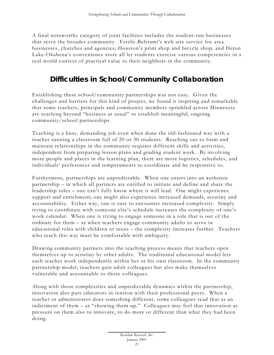A final noteworthy category of joint facilities includes the student-run businesses that serve the broader community. Fertile-Beltrami's web-site service for area businesses, churches and agencies; Houston's print shop and bicycle shop; and Heron Lake-Okabena's convenience store all let students exercise various competencies in a real-world context of practical value to their neighbors in the community.

## **Difficulties in School/Community Collaboration**

Establishing these school/community partnerships was not easy. Given the challenges and barriers for this kind of project, we found it inspiring and remarkable that some teachers, principals and community members sprinkled across Minnesota are reaching beyond "business as usual" to establish meaningful, ongoing community/school partnerships.

Teaching is a busy, demanding job even when done the old-fashioned way with a teacher running a classroom full of 20 or 30 students. Reaching out to form and maintain relationships in the community requires different skills and activities, independent from preparing lesson plans and grading student work. By involving more people and places in the learning plan, there are more logistics, schedules, and individuals' preferences and temperaments to coordinate and be responsive to.

Furthermore, partnerships are unpredictable. When one enters into an authentic partnership – in which all partners are entitled to initiate and define and share the leadership roles – one can't fully know where it will lead. One might experience support and enrichment; one might also experience increased demands, scrutiny and accountability. Either way, one is sure to encounter increased complexity. Simply trying to coordinate with someone else's schedule increases the complexity of one's work calendar. When one is trying to engage someone in a role that is out of the ordinary for them – as when teachers engage community adults to serve in educational roles with children or teens – the complexity increases further. Teachers who teach this way must be comfortable with ambiguity.

Drawing community partners into the teaching process means that teachers open themselves up to scrutiny by other adults. The traditional educational model lets each teacher work independently within her or his own classroom. In the community partnership model, teachers gain adult colleagues but also make themselves vulnerable and accountable to those colleagues.

Along with those complexities and unpredictable dynamics within the partnership, innovation also puts educators in tension with their professional peers. When a teacher or administrator does something different, some colleagues read that as an indictment of them – as "showing them up." Colleagues may feel that innovation as pressure on them also to innovate, to do more or different than what they had been doing.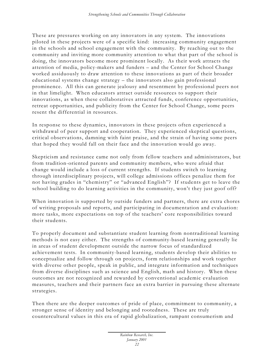These are pressures working on any innovators in any system. The innovations piloted in these projects were of a specific kind: increasing community engagement in the schools and school engagement with the community. By reaching out to the community and inviting more community attention to what that part of the school is doing, the innovators become more prominent locally. As their work attracts the attention of media, policy-makers and funders – and the Center for School Change worked assiduously to draw attention to these innovations as part of their broader educational systems change strategy – the innovators also gain professional prominence. All this can generate jealousy and resentment by professional peers not in that limelight. When educators attract outside resources to support their innovations, as when these collaboratives attracted funds, conference opportunities, retreat opportunities, and publicity from the Center for School Change, some peers resent the differential in resources.

In response to these dynamics, innovators in these projects often experienced a withdrawal of peer support and cooperation. They experienced skeptical questions, critical observations, damning with faint praise, and the strain of having some peers that hoped they would fall on their face and the innovation would go away.

Skepticism and resistance came not only from fellow teachers and administrators, but from tradition-oriented parents and community members, who were afraid that change would include a loss of current strengths. If students switch to learning through interdisciplinary projects, will college admissions offices penalize them for not having grades in "chemistry" or "advanced English"? If students get to leave the school building to do learning activities in the community, won't they just goof off?

When innovation is supported by outside funders and partners, there are extra chores of writing proposals and reports, and participating in documentation and evaluation: more tasks, more expectations on top of the teachers' core responsibilities toward their students.

To properly document and substantiate student learning from nontraditional learning methods is not easy either. The strengths of community-based learning generally lie in areas of student development outside the narrow focus of standardized achievement tests. In community-based learning, students develop their abilities to conceptualize and follow through on projects, form relationships and work together with diverse other people, speak in public, and integrate information and techniques from diverse disciplines such as science and English, math and history. When these outcomes are not recognized and rewarded by conventional academic evaluation measures, teachers and their partners face an extra barrier in pursuing these alternate strategies.

Then there are the deeper outcomes of pride of place, commitment to community, a stronger sense of identity and belonging and rootedness. These are truly countercultural values in this era of rapid globalization, rampant consumerism and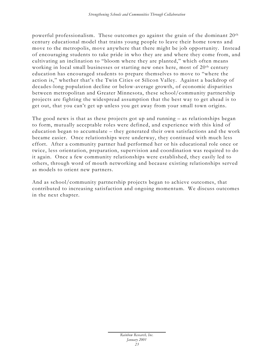powerful professionalism. These outcomes go against the grain of the dominant 20th century educational model that trains young people to leave their home towns and move to the metropolis, move anywhere that there might be job opportunity. Instead of encouraging students to take pride in who they are and where they come from, and cultivating an inclination to "bloom where they are planted," which often means working in local small businesses or starting new ones here, most of 20<sup>th</sup> century education has encouraged students to prepare themselves to move to "where the action is," whether that's the Twin Cities or Silicon Valley. Against a backdrop of decades-long population decline or below-average growth, of economic disparities between metropolitan and Greater Minnesota, these school/community partnership projects are fighting the widespread assumption that the best way to get ahead is to get out, that you can't get up unless you get away from your small town origins.

The good news is that as these projects got up and running – as relationships began to form, mutually acceptable roles were defined, and experience with this kind of education began to accumulate – they generated their own satisfactions and the work became easier. Once relationships were underway, they continued with much less effort. After a community partner had performed her or his educational role once or twice, less orientation, preparation, supervision and coordination was required to do it again. Once a few community relationships were established, they easily led to others, through word of mouth networking and because existing relationships served as models to orient new partners.

And as school/community partnership projects began to achieve outcomes, that contributed to increasing satisfaction and ongoing momentum. We discuss outcomes in the next chapter.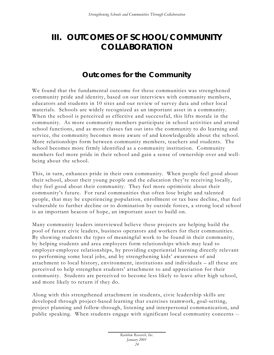# **III. OUTCOMES OF SCHOOL/COMMUNITY COLLABORATION**

#### **Outcomes for the Community**

We found that the fundamental outcome for these communities was strengthened community pride and identity, based on our interviews with community members, educators and students in 10 sites and our review of survey data and other local materials. Schools are widely recognized as an important asset in a community. When the school is perceived as effective and successful, this lifts morale in the community. As more community members participate in school activities and attend school functions, and as more classes fan out into the community to do learning and service, the community becomes more aware of and knowledgeable about the school. More relationships form between community members, teachers and students. The school becomes more firmly identified as a community institution. Community members feel more pride in their school and gain a sense of ownership over and wellbeing about the school.

This, in turn, enhances pride in their own community. When people feel good about their school, about their young people and the education they're receiving locally, they feel good about their community. They feel more optimistic about their community's future. For rural communities that often lose bright and talented people, that may be experiencing population, enrollment or tax base decline, that feel vulnerable to further decline or to domination by outside forces, a strong local school is an important beacon of hope, an important asset to build on.

Many community leaders interviewed believe these projects are helping build the pool of future civic leaders, business operators and workers for their communities. By showing students the types of meaningful work to be found in their community, by helping students and area employers form relationships which may lead to employer-employee relationships, by providing experiential learning directly relevant to performing some local jobs, and by strengthening kids' awareness of and attachment to local history, environment, institutions and individuals – all these are perceived to help strengthen students' attachment to and appreciation for their community. Students are perceived to become less likely to leave after high school, and more likely to return if they do.

Along with this strengthened attachment in students, civic leadership skills are developed through project-based learning that exercises teamwork, goal-setting, project planning and follow-through, listening and interpersonal communication, and public speaking. When students engage with significant local community concerns --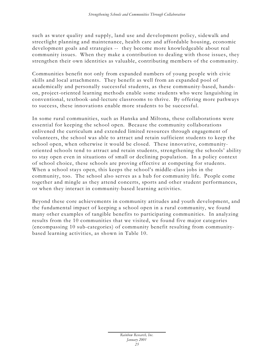such as water quality and supply, land use and development policy, sidewalk and streetlight planning and maintenance, health care and affordable housing, economic development goals and strategies -- they become more knowledgeable about real community issues. When they make a contribution to dealing with those issues, they strengthen their own identities as valuable, contributing members of the community.

Communities benefit not only from expanded numbers of young people with civic skills and local attachments. They benefit as well from an expanded pool of academically and personally successful students, as these community-based, handson, project-oriented learning methods enable some students who were languishing in conventional, textbook -and-lecture classrooms to thrive. By offering more pathways to success, these innovations enable more students to be successful.

In some rural communities, such as Hanska and Miltona, these collaborations were essential for keeping the school open. Because the community collaborations enlivened the curriculum and extended limited resources through engagement of volunteers, the school was able to attract and retain sufficient students to keep the school open, when otherwise it would be closed. These innovative, communityoriented schools tend to attract and retain students, strengthening the schools' ability to stay open even in situations of small or declining population. In a policy context of school choice, these schools are proving effective at competing for students. When a school stays open, this keeps the school's middle-class jobs in the community, too. The school also serves as a hub for community life. People come together and mingle as they attend concerts, sports and other student performances, or when they interact in community-based learning activities.

Beyond these core achievements in community attitudes and youth development, and the fundamental impact of keeping a school open in a rural community, we found many other examples of tangible benefits to participating communities. In analyzing results from the 10 communities that we visited, we found five major categories (encompassing 10 sub-categories) of community benefit resulting from communitybased learning activities, as shown in Table 10.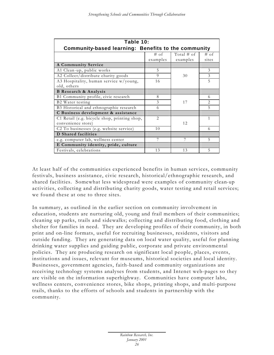| Table 10:                                           |                |               |        |  |  |  |  |  |
|-----------------------------------------------------|----------------|---------------|--------|--|--|--|--|--|
| Community-based learning: Benefits to the community |                |               |        |  |  |  |  |  |
|                                                     | $#$ of         | Total $\#$ of | $#$ of |  |  |  |  |  |
|                                                     | examples       | examples      | sites  |  |  |  |  |  |
| <b>A Community Service</b>                          |                |               |        |  |  |  |  |  |
| A1 Clean-up, public works                           | 5              |               | 3      |  |  |  |  |  |
| A2 Collect/distribute charity goods                 | $\Omega$       | 30            | 3      |  |  |  |  |  |
| A3 Hospitality, human service w/young,              | 16             |               | 5      |  |  |  |  |  |
| old, others                                         |                |               |        |  |  |  |  |  |
| <b>B</b> Research & Analysis                        |                |               |        |  |  |  |  |  |
| B1 Community profile, civic research                | 8              |               | 6      |  |  |  |  |  |
| B2 Water testing                                    | 3              | 17            | 2      |  |  |  |  |  |
| B3 Historical and ethnographic research             | 6              |               | 5      |  |  |  |  |  |
| C Business development & assistance                 |                |               |        |  |  |  |  |  |
| C1 Retail (e.g. bicycle shop, printing shop,        | $\overline{2}$ |               | 1      |  |  |  |  |  |
| convenience store)                                  |                | 12            |        |  |  |  |  |  |
| C2 To businesses (e.g. website service)             | 10             |               | 6      |  |  |  |  |  |
| <b>D</b> Shared facilities                          |                |               |        |  |  |  |  |  |
| e.g. computer lab, wellness center                  |                | 7             | 5      |  |  |  |  |  |
| E Community identity, pride, culture                |                |               |        |  |  |  |  |  |
| Festivals, celebrations                             | 13             | 13            | 5      |  |  |  |  |  |

At least half of the communities experienced benefits in human services, community festivals, business assistance, civic research, historical/ethnographic research, and shared facilities. Somewhat less widespread were examples of community clean-up activities, collecting and distributing charity goods, water testing and retail services; we found these at one to three sites.

In summary, as outlined in the earlier section on community involvement in education, students are nurturing old, young and frail members of their communities; cleaning up parks, trails and sidewalks; collecting and distributing food, clothing and shelter for families in need. They are developing profiles of their community, in both print and on-line formats, useful for recruiting businesses, residents, visitors and outside funding. They are generating data on local water quality, useful for planning drinking water supplies and guiding public, corporate and private environmental policies. They are producing research on significant local people, places, events, institutions and issues, relevant for museums, historical societies and local identity. Businesses, government agencies, faith-based and community organizations are receiving technology systems analyses from students, and Intenet web-pages so they are visible on the information superhighway. Communities have computer labs, wellness centers, convenience stores, bike shops, printing shops, and multi-purpose trails, thanks to the efforts of schools and students in partnership with the community.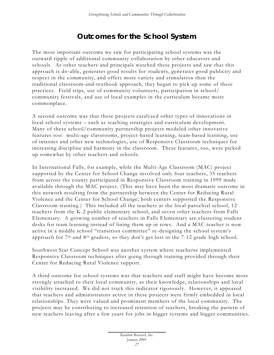## **Outcomes for the School System**

The most important outcome we saw for participating school systems was the outward ripple of additional community collaboration by other educators and schools. As other teachers and principals watched these projects and saw that this approach is do-able, generates good results for students, generates good publicity and respect in the community, and offers more variety and stimulation than the traditional classroom-and-textbook approach, they began to pick up some of these practices. Field trips, use of community volunteers, participation in school/ community festivals, and use of local examples in the curriculum became more commonplace.

A second outcome was that these projects catalyzed other types of innovations in local school systems – such as teaching strategies and curriculum development. Many of these school/community partnership projects modeled other innovative features too: multi-age classrooms, project-based learning, team-based learning, use of internet and other new technologies, use of Responsive Classroom techniques for increasing discipline and harmony in the classroom. These features, too, were picked up somewhat by other teachers and schools.

In International Falls, for example, while the Multi-Age Classroom (MAC) project supported by the Center for School Change involved only four teachers, 35 teachers from across the county participated in Responsive Classroom training in 1999 made available through the MAC project. (This may have been the most dramatic outcome in this network resulting from the partnership between the Center for Reducing Rural Violence and the Center for School Change; both centers supported the Responsive Classroom training.) This included all the teachers at the local parochial school, 12 teachers from the K-2 public elementary school, and seven other teachers from Falls Elementary. A growing number of teachers in Falls Elementary are clustering student desks for team learning instead of lining them up in rows. And a MAC teacher is now active in a middle school "transition committee" re -designing the school system's approach for 7th and 8th graders, so they don't get lost in the 7-12 grade high school.

Southwest Star Concept School was another system where teacherse implemented Responsive Classroom techniques after going through training provided through their Center for Reducing Rural Violence support.

A third outcome for school systems was that teachers and staff might have become more strongly attached to their local community, as their knowledge, relationships and local visibility increased. We did not track this indicator rigorously. However, it appeared that teachers and administrators active in these projects were firmly embedded in local relationships. They were valued and prominent members of the local community. The projects may be contributing to increased retention of teachers, breaking the pattern of new teachers leaving after a few years for jobs in bigger systems and bigger communities.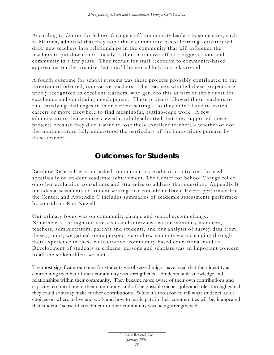According to Center for School Change staff, community leaders in some sites, such as Miltona, admitted that they hope these community-based learning activities will draw new teachers into relationships in the community that will influence the teachers to put down roots locally, rather than move off to a bigger school and community in a few years. They recruit for staff receptive to community-based approaches on the premise that they'll be more likely to stick around.

A fourth outcome for school systems was these projects probably contributed to the retention of talented, innovative teachers. The teachers who led these projects are widely recognized as excellent teachers, who get into this as part of their quest for excellence and continuing development. These projects allowed these teachers to find satisfying challenges in their current setting – so they didn't have to switch careers or move elsewhere to find meaningful, cutting-edge work. A few administrators that we interviewed candidly admitted that they supported these projects because they didn't want to lose these excellent teachers – whether or not the administrators fully understood the particulars of the innovations pursued by these teachers.

#### **Outcomes for Students**

Rainbow Research was not asked to conduct any evaluation activities focused specifically on student academic achievement. The Center for School Change relied on other evaluation consultants and strategies to address that question. Appendix B includes assessments of student writing that consultant David Evertz performed for the Center, and Appendix C includes summaries of academic assessments performed by consultant Ron Newell.

Our primary focus was on community change and school system change. Nonetheless, through our site visits and interviews with community members, teachers, administrators, parents and students, and our analysis of survey data from these groups, we gained some perspective on how students were changing through their experience in these collaborative, community-based educational models. Development of students as citizens, persons and scholars was an important concern to all the stakeholders we met.

The most significant outcome for students we observed might have been that their identity as a contributing member of their community was strengthened. Students built knowledge and relationships within their community. They became more aware of their own contributions and capacity to contribute to their community, and of the possible niches, jobs and roles through which they could someday make further contributions. While it's too soon to tell what students' adult choices on where to live and work and how to participate in their communities will be, it appeared that students' sense of attachment to their community was being strengthened.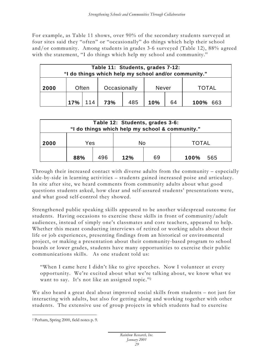For example, as Table 11 shows, over 90% of the secondary students surveyed at four sites said they "often" or "occasionally" do things which help their school and/or community. Among students in grades 3-6 surveyed (Table 12), 88% a greed with the statement, "I do things which help my school and community."

| Table 11: Students, grades 7-12:<br>"I do things which help my school and/or community." |        |     |              |     |       |    |              |  |  |  |
|------------------------------------------------------------------------------------------|--------|-----|--------------|-----|-------|----|--------------|--|--|--|
| 2000                                                                                     | Often  |     | Occasionally |     | Never |    | <b>TOTAL</b> |  |  |  |
|                                                                                          | $17\%$ | 114 | 73%          | 485 | 10%   | 64 | 100% 663     |  |  |  |

| Table 12: Students, grades 3-6:<br>"I do things which help my school & community." |     |     |     |    |              |     |  |  |  |  |  |
|------------------------------------------------------------------------------------|-----|-----|-----|----|--------------|-----|--|--|--|--|--|
| 2000                                                                               | Yes |     | No  |    | <b>TOTAL</b> |     |  |  |  |  |  |
|                                                                                    | 88% | 496 | 12% | 69 | 100%         | 565 |  |  |  |  |  |

Through their increased contact with diverse adults from the community – especially side-by-side in learning activities – students gained increased poise and articulacy. In site after site, we heard comments from community adults about what good questions students asked, how clear and self-assured students' presentations were, and what good self-control they showed.

Strengthened public speaking skills appeared to be another widespread outcome for students. Having occasions to exercise these skills in front of community/adult audiences, instead of simply one's classmates and core teachers, appeared to help. Whether this meant conducting interviews of retired or working adults about their life or job experiences, presenting findings from an historical or environmental project, or making a presentation about their community-based program to school boards or lower grades, students have many opportunities to exercise their public communications skills. As one student told us:

"When I came here I didn't like to give speeches. Now I volunteer at every opportunity. We're excited about what we're talking about, we know what we want to say. It's not like an assigned topic."<sup>2</sup>

We also heard a great deal about improved social skills from students – not just for interacting with adults, but also for getting along and working together with other students. The extensive use of group projects in which students had to exercise

 $\overline{a}$ 

<sup>2</sup> Perham, Spring 2000, field notes p. 9.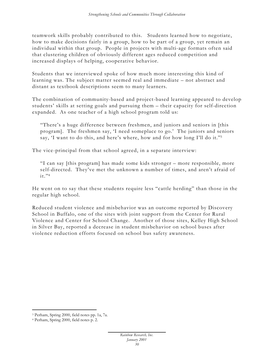teamwork skills probably contributed to this. Students learned how to negotiate, how to make decisions fairly in a group, how to be part of a group, yet remain an individual within that group. People in projects with multi-age formats often said that clustering children of obviously different ages reduced competition and increased displays of helping, cooperative behavior.

Students that we interviewed spoke of how much more interesting this kind of learning was. The subject matter seemed real and immediate – not abstract and distant as textbook descriptions seem to many learners.

The combination of community-based and project-based learning appeared to develop students' skills at setting goals and pursuing them – their capacity for self-direction expanded. As one teacher of a high school program told us:

"There's a huge difference between freshmen, and juniors and seniors in [this program]. The freshmen say, 'I need someplace to go.' The juniors and seniors say, 'I want to do this, and here's where, how and for how long I'll do it."<sup>3</sup>

The vice-principal from that school agreed, in a separate interview:

"I can say [this program] has made some kids stronger – more responsible, more self-directed. They've met the unknown a number of times, and aren't afraid of  $it.$ "4

He went on to say that these students require less "cattle herding" than those in the regular high school.

Reduced student violence and misbehavior was an outcome reported by Discovery School in Buffalo, one of the sites with joint support from the Center for Rural Violence and Center for School Change. Another of those sites, Kelley High School in Silver Bay, reported a decrease in student misbehavior on school buses after violence reduction efforts focused on school bus safety awareness.

 $\overline{a}$ 

<sup>3</sup> Perham, Spring 2000, field notes pp. 1a, 7a.

<sup>4</sup> Perham, Spring 2000, field notes p. 2.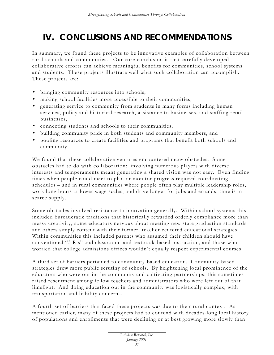# **IV. CONCLUSIONS AND RECOMMENDATIONS**

In summary, we found these projects to be innovative examples of collaboration between rural schools and communities. Our core conclusion is that carefully developed collaborative efforts can achieve meaningful benefits for communities, school systems and students. These projects illustrate well what such collaboration can accomplish. These projects are:

- bringing community resources into schools,
- making school facilities more accessible to their communities,
- generating service to community from students in many forms including human services, policy and historical research, assistance to businesses, and staffing retail businesses,
- connecting students and schools to their communities,
- building community pride in both students and community members, and
- pooling resources to create facilities and programs that benefit both schools and community.

We found that these collaborative ventures encountered many obstacles. Some obstacles had to do with collaboration: involving numerous players with diverse interests and temperaments meant generating a shared vision was not easy. Even finding times when people could meet to plan or monitor progress required coordinating schedules – and in rural communities where people often play multiple leadership roles, work long hours at lower wage scales, and drive longer for jobs and errands, time is in scarce supply.

Some obstacles involved resistance to innovation generally. Within school systems this included bureaucratic traditions that historically rewarded orderly compliance more than messy creativity, some educators nervous about meeting new state graduation standards and others simply content with their former, teacher-centered educational strategies. Within communities this included parents who assumed their children should have conventional "3 R's" and classroom- and textbook -based instruction, and those who worried that college admissions offices wouldn't equally respect experimental courses.

A third set of barriers pertained to community-based education. Community-based strategies drew more public scrutiny of schools. By heightening local prominence of the educators who were out in the community and cultivating partnerships, this sometimes raised resentment among fellow teachers and administrators who were left out of that limelight. And doing education out in the community was logistically complex, with transportation and liability concerns.

A fourth set of barriers that faced these projects was due to their rural context. As mentioned earlier, many of these projects had to contend with decades-long local history of populations and enrollments that were declining or at best growing more slowly than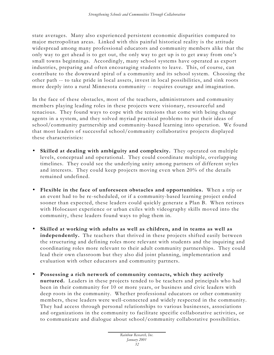state averages. Many also experienced persistent economic disparities compared to major metropolitan areas. Linked with this painful historical reality is the attitude widespread among many professional educators and community members alike that the only way to get ahead is to get out, the only way to get up is to get away from one's small towns beginnings. Accordingly, many school systems have operated as export industries, preparing and often encouraging students to leave. This, of course, can contribute to the downward spiral of a community and its school system. Choosing the other path -- to take pride in local assets, invest in local possibilities, and sink roots more deeply into a rural Minnesota community -- requires courage and imagination.

In the face of these obstacles, most of the teachers, administrators and community members playing leading roles in these projects were visionary, resourceful and tenacious. They found ways to cope with the tensions that come with being change agents in a system, and they solved myriad practical problems to put their ideas of school/community partnership and community-based learning into operation. We found that most leaders of successful school/community collaborative projects displayed these characteristics:

- **Skilled at dealing with ambiguity and complexity.** They operated on multiple levels, conceptual and operational. They could coordinate multiple, overlapping timelines. They could see the underlying unity among partners of different styles and interests. They could keep projects moving even when 20% of the details remained undefined.
- **Flexible in the face of unforeseen obstacles and opportunities.** When a trip or an event had to be re -scheduled, or if a community-based learning project ended sooner than expected, these leaders could quickly generate a Plan B. When retirees with Holocaust experience or urban exiles with videography skills moved into the community, these leaders found ways to plug them in.
- **Skilled at working with adults as well as children, and in teams as well as independently.** The teachers that thrived in these projects shifted easily between the structuring and defining roles more relevant with students and the inquiring and coordinating roles more relevant to their adult community partnerships. They could lead their own classroom but they also did joint planning, implementation and evaluation with other educators and community partners.
- **Possessing a rich network of community contacts, which they actively nurtured.** Leaders in these projects tended to be teachers and principals who had been in their community for 10 or more years, or business and civic leaders with deep roots in the community. Whether professional educators or other community members, these leaders were well-connected and widely respected in the community. They had access through personal relationships to various businesses, associations and organizations in the community to facilitate specific collaborative activities, or to communicate and dialogue about school/community collaborative possibilities.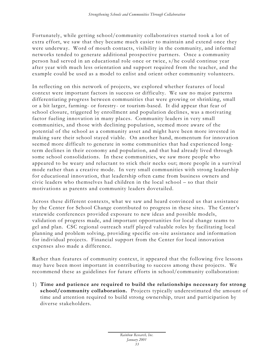Fortunately, while getting school/community collaboratives started took a lot of extra effort, we saw that they became much easier to maintain and extend once they were underway. Word of mouth contacts, visibility in the community, and informal networks tended to generate additional prospective partners. Once a community person had served in an educational role once or twice, s/he could continue year after year with much less orientation and support required from the teacher, and the example could be used as a model to enlist and orient other community volunteers.

In reflecting on this network of projects, we explored whether features of local context were important factors in success or difficulty. We saw no major patterns differentiating progress between communities that were growing or shrinking, small or a bit larger, farming- or forestry - or tourism-based. It did appear that fear of school closure, triggered by enrollment and population declines, was a motivating factor fueling innovation in many places. Community leaders in very small communities, and those with declining population, seemed more aware of the potential of the school as a community asset and might have been more invested in making sure their school stayed viable. On another hand, momentum for innovation seemed more difficult to generate in some communities that had experienced longterm declines in their economy and population, and that had already lived through some school consolidations. In these communities, we saw more people who appeared to be weary and reluctant to stick their necks out; more people in a survival mode rather than a creative mode. In very small communities with strong leadership for educational innovation, that leadership often came from business owners and civic leaders who themselves had children in the local school – so that their motivations as parents and community leaders dovetailed.

Across these different contexts, what we saw and heard convinced us that a ssistance by the Center for School Change contributed to progress in these sites. The Center's statewide conferences provided exposure to new ideas and possible models, validation of progress made, and important opportunities for local change teams to gel and plan. CSC regional outreach staff played valuable roles by facilitating local planning and problem solving, providing specific on-site assistance and information for individual projects. Financial support from the Center for local innovation expenses also made a difference.

Rather than features of community context, it appeared that the following five lessons may have been most important in contributing to success among these projects. We recommend these as guidelines for future efforts in school/community collaboration:

1) **Time and patience are required to build the relationships necessary for strong school/community collaboration.** Projects typically underestimated the amount of time and attention required to build strong ownership, trust and participation by diverse stakeholders.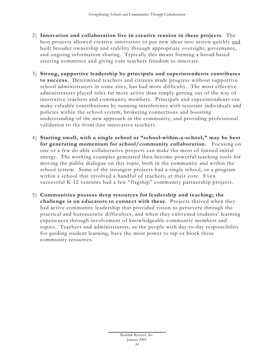- 2) **Innovation and collaboration live in creative tension in these projects**. The best projects allowed creative innovators to put new ideas into action quickly and built broader ownership and stability through appropriate oversight, governance, and ongoing information sharing. Typically this meant forming a broad-based steering committee and giving core teachers freedom to innovate.
- 3) **Strong, supportive leadership by principals and superintendents contributes to success.** Determined teachers and citizens made progress without supportive school administrators in some sites, but had more difficulty. The most effective administrators played roles far more active than simply getting out of the way of innovative teachers and community members. Principals and superintendents can make valuable contributions by running interference with resistant individuals and policies within the school system, brokering connections and boosting understanding of the new approach in the community, and providing professional validation to the front-line innovative teachers.
- 4) **Starting small, with a single school or "school-within-a-school," may be best for generating momentum for school/community collaboration.** Focusing on one or a few do-able collaborative projects can make the most of limited initial energy. The working examples generated then become powerful teaching tools for moving the public dialogue on this topic, both in the community and within the school system. Some of the strongest projects had a single school, or a program within a school that involved a handful of teachers, at their core. Even successful K-12 ventures had a few "flagship" community partnership projects.
- 5) **Communities possess deep resources for leadership and teaching; the challenge is on educators to connect with these.** Projects thrived when they had active community leadership that provided vision to persevere through the practical and bureaucratic difficulties, and when they enlivened students' learning experiences through involvement of knowledgeable community members and topics. Teachers and administrators, as the people with day-to-day responsibility for guiding student learning, have the most power to tap or block these community resources.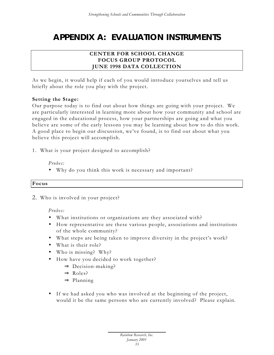# **APPENDIX A: EVALUATION INSTRUMENTS**

### **CENTER FOR SCHOOL CHANGE FOCUS GROUP PROTOCOL JUNE 1998 DATA COLLECTION**

As we begin, it would help if each of you would introduce yourselves and tell us briefly about the role you play with the project.

### **Setting the Stage:**

Our purpose today is to find out about how things are going with your project. We are particularly interested in learning more about how your community and school are engaged in the educational process, how your partnerships are going and what you believe are some of the early lessons you may be learning about how to do this work. A good place to begin our discussion, we've found, is to find out about what you believe this project will accomplish.

1. What is your project designed to accomplish?

*Probes:*

• Why do you think this work is necessary and important?

### **Focus**

2. Who is involved in your project?

*Probes:*

- What institutions or organizations are they associated with?
- How representative are these various people, associations and institutions of the whole community?
- What steps are being taken to improve diversity in the project's work?
- What is their role?
- Who is missing? Why?
- How have you decided to work together?
	- $\Rightarrow$  Decision-making?
	- ⇒ Roles?
	- ⇒ Planning
- If we had asked you who was involved at the beginning of the project, would it be the same persons who are currently involved? Please explain.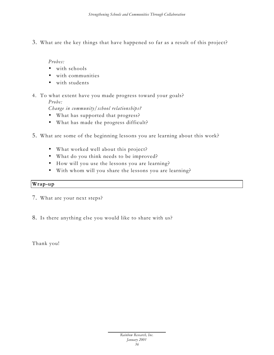3. What are the key things that have happened so far as a result of this project?

*Probes:*

- with schools
- with communities
- with students
- 4. To what extent have you made progress toward your goals? *Probe:*

*Change in community/school relationships?*

- What has supported that progress?
- What has made the progress difficult?
- 5. What are some of the beginning lessons you are learning about this work?
	- What worked well about this project?
	- What do you think needs to be improved?
	- How will you use the lessons you are learning?
	- With whom will you share the lessons you are learning?

### **Wrap-up**

- 7. What are your next steps?
- 8. Is there anything else you would like to share with us?

Thank you!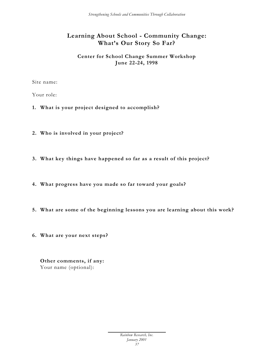### **Learning About School - Community Change: What's Our Story So Far?**

### **Center for School Change Summer Workshop June 22-24, 1998**

Site name:

Your role:

- **1. What is your project designed to accomplish?**
- **2. Who is involved in your project?**
- **3. What key things have happened so far as a result of this project?**
- **4. What progress have you made so far toward your goals?**
- **5. What are some of the beginning lessons you are learning about this work?**
- **6. What are your next steps?**

**Other comments, if any:** Your name (optional):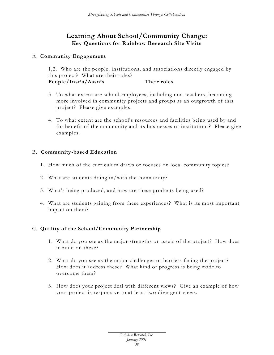### **Learning About School/Community Change: Key Questions for Rainbow Research Site Visits**

### A. **Community Engagement**

1,2. Who are the people, institutions, and associations directly engaged by this project? What are their roles? **People/Inst's/Assn's Their roles**

- 3. To what extent are school employees, including non-teachers, becoming more involved in community projects and groups as an outgrowth of this project? Please give examples.
- 4. To what extent are the school's resources and facilities being used by and for benefit of the community and its businesses or institutions? Please give examples.

### B. **Community -based Education**

- 1. How much of the curriculum draws or focuses on local community topics?
- 2. What are students doing in/with the community?
- 3. What's being produced, and how are these products being used?
- 4. What are students gaining from these experiences? What is its most important impact on them?

### C. **Quality of the School/Community Partnership**

- 1. What do you see as the major strengths or assets of the project? How does it build on these?
- 2. What do you see as the major challenges or barriers facing the project? How does it address these? What kind of progress is being made to overcome them?
- 3. How does your project deal with different views? Give an example of how your project is responsive to at least two divergent views.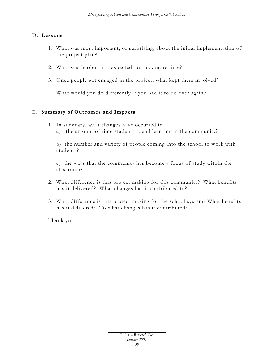### D. **Lessons**

- 1. What was most important, or surprising, about the initial implementation of the project plan?
- 2. What was harder than expected, or took more time?
- 3. Once people got engaged in the project, what kept them involved?
- 4. What would you do differently if you had it to do over again?

### E. **Summary of Outcomes and Impacts**

- 1. In summary, what changes have occurred in
	- a) the amount of time students spend learning in the community?

b) the number and variety of people coming into the school to work with students?

c) the ways that the community has become a focus of study within the classroom?

- 2. What difference is this project making for this community? What benefits has it delivered? What changes has it contributed to?
- 3. What difference is this project making for the school system? What benefits has it delivered? To what changes has it contributed?

Thank you!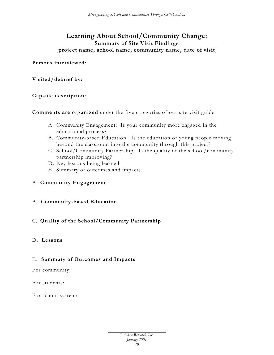### **Learning About School/Community Change: Summary of Site Visit Findings [project name, school name, community name, date of visit]**

**Persons interviewed:**

**Visited/debrief by:**

### **Capsule description:**

**Comments are organized** under the five categories of our site visit guide:

- A. Community Engagement: Is your community more engaged in the educational process?
- B. Community-based Education: Is the education of young people moving beyond the classroom into the community through this project?
- C. School/Community Partnership: Is the quality of the school/community partnership improving?
- D. Key lessons being learned
- E. Summary of outcomes and impacts

### A. **Community Engagement**

### B. **Community -based Education**

### C. **Quality of the School/Community Partnership**

### D. **Lessons**

### E. **Summary of Outcomes and Impacts**

For community:

For students:

For school system: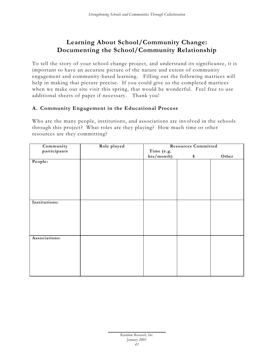# **Learning About School/Community Change: Documenting the School/Community Relationship**

To tell the story of your school change project, and understand its significance, it is important to have an accurate picture of the nature and extent of community engagement and community-based learning. Filling out the following matrices will help in making that picture precise. If you could give us the completed matrices when we make our site visit this spring, that would be wonderful. Feel free to use additional sheets of paper if necessary. Thank you!

### **A. Community Engagement in the Educational Process**

Who are the many people, institutions, and associations are involved in the schools through this project? What roles are they playing? How much time or other resources are they committing?

| Community     | Role played |            | <b>Resources Committed</b> |       |
|---------------|-------------|------------|----------------------------|-------|
| participants  |             | Time (e.g. |                            |       |
|               |             | hrs/month) | \$                         | Other |
| People:       |             |            |                            |       |
|               |             |            |                            |       |
|               |             |            |                            |       |
|               |             |            |                            |       |
|               |             |            |                            |       |
|               |             |            |                            |       |
|               |             |            |                            |       |
|               |             |            |                            |       |
| Institutions: |             |            |                            |       |
|               |             |            |                            |       |
|               |             |            |                            |       |
|               |             |            |                            |       |
|               |             |            |                            |       |
|               |             |            |                            |       |
|               |             |            |                            |       |
| Associations: |             |            |                            |       |
|               |             |            |                            |       |
|               |             |            |                            |       |
|               |             |            |                            |       |
|               |             |            |                            |       |
|               |             |            |                            |       |
|               |             |            |                            |       |
|               |             |            |                            |       |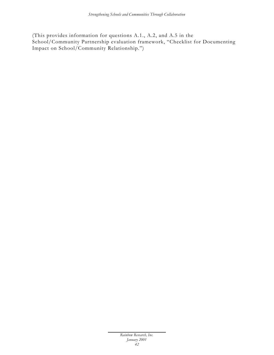(This provides information for questions A.1., A.2, and A.5 in the School/Community Partnership evaluation framework, "Checklist for Documenting Impact on School/Community Relationship.")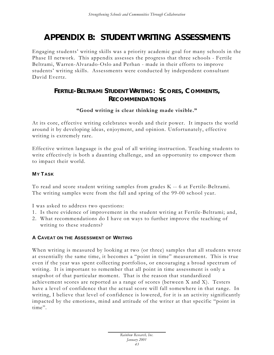# **APPENDIX B: STUDENT WRITING ASSESSMENTS**

Engaging students' writing skills was a priority academic goal for many schools in the Phase II network. This appendix assesses the progress that three schools - Fertile Beltrami, Warren-Alvarado-Oslo and Perhan - made in their efforts to improve students' writing skills. Assessments were conducted by independent consultant David Evertz.

# **FERTILE-BELTRAMI STUDENT WRITING: SCORES, COMMENTS, RECOMMENDATIONS**

### **"Good writing is clear thinking made visible."**

At its core, effective writing celebrates words and their power. It impacts the world around it by developing ideas, enjoyment, and opinion. Unfortunately, effective writing is extremely rare.

Effective written language is the goal of all writing instruction. Teaching students to write effectively is both a daunting challenge, and an opportunity to empower them to impact their world.

### **MY T ASK**

To read and score student writing samples from grades K -- 6 at Fertile-Beltrami. The writing samples were from the fall and spring of the 99-00 school year.

I was asked to address two questions:

- 1. Is there evidence of improvement in the student writing at Fertile-Beltrami; and,
- 2. What recommendations do I have on ways to further improve the teaching of writing to these students?

### **A CAVEAT ON THE ASSESSMENT OF WRITING**

When writing is measured by looking at two (or three) samples that all students wrote at essentially the same time, it becomes a "point in time" measurement. This is true even if the year was spent collecting portfolios, or encouraging a broad spectrum of writing. It is important to remember that all point in time assessment is only a snapshot of that particular moment. That is the reason that standardized achievement scores are reported as a range of scores (between X and X). Testers have a level of confidence that the actual score will fall somewhere in that range. In writing, I believe that level of confidence is lowered, for it is an activity significantly impacted by the emotions, mind and attitude of the writer at that specific "point in time".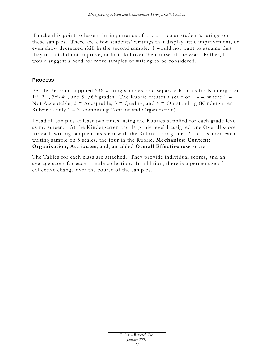I make this point to lessen the importance of any particular student's ratings on these samples. There are a few students' writings that display little improvement, or even show decreased skill in the second sample. I would not want to assume that they in fact did not improve, or lost skill over the course of the year. Rather, I would suggest a need for more samples of writing to be considered.

### **PROCESS**

Fertile-Beltrami supplied 536 writing samples, and separate Rubrics for Kindergarten, 1<sup>st</sup>, 2<sup>nd</sup>, 3<sup>rd</sup>/4<sup>th</sup>, and 5<sup>th</sup>/6<sup>th</sup> grades. The Rubric creates a scale of 1 – 4, where 1 = Not Acceptable,  $2 =$  Acceptable,  $3 =$  Quality, and  $4 =$  Outstanding (Kindergarten) Rubric is only  $1 - 3$ , combining Content and Organization).

I read all samples at least two times, using the Rubrics supplied for each grade level as my screen. At the Kindergarten and 1st grade level I assigned one Overall score for each writing sample consistent with the Rubric. For grades  $2 - 6$ , I scored each writing sample on 5 scales, the four in the Rubric, **Mechanics; Content; Organization; Attributes**; and, an added **Overall Effectiveness** score.

The Tables for each class are attached. They provide individual scores, and an average score for each sample collection. In addition, there is a percentage of collective change over the course of the samples.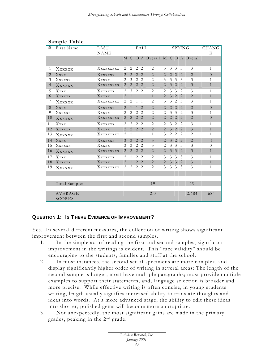| #              | First Name     | LAST        |                               |                               |                               | FALL                        |                                |                             |                             | SPRING                |                               |                | <b>CHANG</b>   |
|----------------|----------------|-------------|-------------------------------|-------------------------------|-------------------------------|-----------------------------|--------------------------------|-----------------------------|-----------------------------|-----------------------|-------------------------------|----------------|----------------|
|                |                | <b>NAME</b> |                               |                               |                               |                             |                                |                             |                             |                       |                               |                | E              |
|                |                |             |                               |                               |                               |                             | M C O A Overall M C O A Overal |                             |                             |                       |                               | 1              |                |
| 1              | XXXXXX         | Xxxxxxxxx   | 2                             | 2                             | 2                             | -2                          | 2                              | 3                           | 3                           | 3                     | 3                             | 3              | $\mathbf{1}$   |
| $\overline{2}$ | Xxxx           | XXXXXX      | 2                             | $\overline{2}$                | 2                             | $\overline{2}$              | $\overline{2}$                 | 2                           | $\overline{2}$              | $\overline{2}$        | $\overline{2}$                | $\overline{2}$ | $\overline{0}$ |
| 3              | XXXXXX         | Xxxxx       | $\mathfrak{D}$                | 3                             |                               | 2 <sub>2</sub>              | $\overline{2}$                 | 3                           | 3                           | 3                     | 3                             | 3              | 1              |
| $\overline{4}$ | XXXXXX         | XXXXXXXX    | 2                             | 2                             | 2                             | 2                           | $\overline{2}$                 | 2                           | 3                           | 2                     | $\overline{2}$                | 3              | $\mathbf{1}$   |
| 5              | Xxxx           | XXXXXX      | $\mathfrak{D}_{\mathfrak{p}}$ | $\mathcal{E}$                 | $\mathfrak{D}$                | $\mathcal{L}$               | $\overline{2}$                 | 2                           | $\mathcal{Z}$               | $\mathcal{Z}$         | 2                             | 3              | 1              |
| 6              | XXXXXX         | Xxxxx       | $\mathcal{L}$                 | $\mathbf{1}$                  | $\mathbf{1}$                  | $\bigcap$                   | $\mathbf{1}$                   | $\mathfrak{D}$              | 3                           | $\overline{2}$        | $\mathcal{L}$                 | $\overline{2}$ | $\mathbf{1}$   |
| 7              | XXXXXX         | Xxxxxxxx    | 2                             | 2                             | 1                             | 1                           | $\overline{2}$                 | 3                           | 3                           | $\overline{c}$        | 3                             | 3              | 1              |
| 8              | Xxxx           | XXXXXX      | $\overline{2}$                | $\mathbf{1}$                  | $\mathbf{1}$                  | $\mathfrak{D}$              | $\overline{2}$                 | $\mathcal{D}_{\mathcal{L}}$ | $\mathcal{D}_{\mathcal{L}}$ | $\overline{2}$        | $\mathcal{D}_{\mathcal{L}}$   | $\overline{2}$ | $\overline{0}$ |
| 9              | Xxxxxx         | Xxxxx       | $\mathfrak{D}$                | $\mathfrak{D}_{\mathfrak{p}}$ | 2                             | $\mathcal{D}_{\mathcal{L}}$ | $\overline{2}$                 | 2                           | 3                           | 3                     | 2                             | 3              | 1              |
| 10             | XXXXXX         | XXXXXXXX    | 2                             | $\mathcal{D}_{\mathcal{L}}$   | $\overline{2}$                | $\overline{2}$              | $\overline{2}$                 | 2                           | $\overline{2}$              | $\mathcal{D}_{\cdot}$ | $\overline{2}$                | $\overline{2}$ | $\theta$       |
| 11             | Xxxx           | Xxxxxxx     | $\mathfrak{D}_{\mathfrak{p}}$ | $\mathfrak{D}_{\mathfrak{p}}$ | $\mathcal{L}$                 | $\mathcal{L}$               | $\mathfrak{D}_{\mathfrak{p}}$  | 2                           | 3                           | $\mathcal{L}$         | $\mathfrak{D}_{\mathfrak{p}}$ | 3              | $\mathbf{1}$   |
| 12             | XXXXXX         | Xxxxx       | $\overline{2}$                | 2                             |                               | 2 <sub>2</sub>              | $\overline{2}$                 | 2                           | $\mathfrak{Z}$              | 2                     | 2                             | $\overline{3}$ | $\mathbf{1}$   |
| 13             | XXXXXX         | XXXXXXXX    | 2                             | 1                             | 1                             | $\mathbf{1}$                | 1                              | 3                           | 2                           | $\overline{c}$        | 2                             | $\overline{2}$ | 1              |
| 14             | Xxxx           | Xxxxxxx     | 3                             | 3                             | $2^{1}$                       | $\mathcal{D}_{\mathcal{L}}$ | 3                              | $\mathcal{L}$               | 3                           | $\mathcal{L}$         | $\mathcal{L}$                 | $\overline{2}$ | $-1$           |
| 1.5            | XXXXXX         | Xxxxx       | 3                             | 3                             | 2                             | $\overline{2}$              | 3                              | $\overline{2}$              | 3                           | 3                     | 3                             | 3              | $\Omega$       |
| 16             | XXXXXX         | XXXXXXXX    | 2                             | 2                             | $\overline{2}$                | 2                           | $\overline{2}$                 | $\overline{2}$              | 3                           | 3                     | $\overline{2}$                | 3              | $\mathbf{1}$   |
| 17             | Xxxx           | Xxxxxxx     | $\mathfrak{D}_{\mathfrak{p}}$ | $\mathbf{1}$                  | $\mathfrak{D}_{\mathfrak{p}}$ | $\mathcal{L}$               | $\mathfrak{D}_{\mathfrak{p}}$  | 3                           | 3                           | 3                     | 3                             | 3              | 1              |
| 18             | XXXXXX         | Xxxxx       | 2                             | $\mathbf{1}$                  | 2                             | $\overline{2}$              | $\overline{2}$                 | 2                           | 3                           | $\overline{3}$        | 2                             | 3              | $\mathbf{1}$   |
| 19             | XXXXXX         | XXXXXXXX    | 2                             | 2                             | 2                             | 2                           | $\overline{2}$                 | $\mathcal{Z}$               | 3                           | 3                     | 3                             | 3              | 1              |
|                |                |             |                               |                               |                               |                             |                                |                             |                             |                       |                               |                |                |
|                |                |             |                               |                               |                               |                             |                                |                             |                             |                       |                               |                |                |
|                | Total Samples  |             |                               |                               |                               |                             | 19                             |                             |                             |                       |                               | 19             |                |
|                | <b>AVERAGE</b> |             |                               |                               |                               |                             | 2.0                            |                             |                             |                       |                               | 2.684          | .684           |
|                | <b>SCORES</b>  |             |                               |                               |                               |                             |                                |                             |                             |                       |                               |                |                |

### **Sample Table**

### **QUESTION 1: IS T HERE EVIDENCE OF IMPROVEMENT?**

Yes. In several different measures, the collection of writing shows significant improvement between the first and second samples.

- 1. In the simple act of reading the first and second samples, significant improvement in the writings is evident. This "face validity" should be encouraging to the students, families and staff at the school.
- 2. In most instances, the second set of specimens are more complex, and display significantly higher order of writing in several areas: The length of the second sample is longer; most have multiple paragraphs; most provide multiple examples to support their statements; and, language selection is broader and more precise. While effective writing is often concise, in young students writing, length usually signifies increased ability to translate thoughts and ideas into words. At a more advanced stage, the ability to edit these ideas into shorter, polished gems will become more appropriate.
- 3. Not unexpectedly, the most significant gains are made in the primary grades, peaking in the 2nd grade.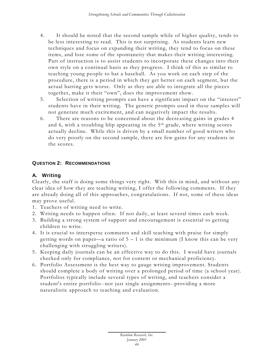- 4. It should be noted that the second sample while of higher quality, tends to be less interesting to read. This is not surprising. As students learn new techniques and focus on expanding their writing, they tend to focus on these items, and lose some of the spontaneity that makes their writing interesting. Part of instruction is to assist students to incorporate these changes into their own style on a continual basis as they progress. I think of this as similar to teaching young people to bat a baseball. As you work on each step of the procedure, there is a period in which they get better on each segment, but the actual batting gets worse. Only as they are able to integrate all the pieces together, make it their "own", does the improvement show.
- 5. Selection of writing prompts can have a significant impact on the "interest" students have in their writing. The generic prompts used in these samples will not generate much excitement, and can negatively impact the results.
- 6. There are reasons to be concerned about the decre asing gains in grades 4 and 6, with a troubling blip appearing in the 5<sup>th</sup> grade, where writing scores actually decline. While this is driven by a small number of good writers who do very poorly on the second sample, there are few gains for any students in the scores.

### **QUESTION 2: RECOMMENDATIONS**

### **A. Writing**

Clearly, the staff is doing some things very right. With this in mind, and without any clear idea of how they are teaching writing, I offer the following comments. If they are already doing all of this approaches, congratulations. If not, some of these ideas may prove useful.

- 1. Teachers of writing need to write.
- 2. Writing needs to happen often. If not daily, at least several times each week.
- 3. Building a strong system of support and encouragement is essential to getting children to write.
- 4. It is crucial to intersperse comments and skill teaching with praise for simply getting words on paper—a ratio of 5 – 1 is the minimum (I know this can be very challenging with struggling writers).
- 5. Keeping daily journals can be an effective way to do this. I would have journals checked only for compliance, not for content or mechanical proficiency.
- 6. Portfolio Assessment is the best way to gauge writing improvement. Students should complete a body of writing over a prolonged period of time (a school year). Portfolios typically include several types of writing, and teachers consider a student's entire portfolio--not just single assignments--providing a more naturalistic approach to teaching and evaluation.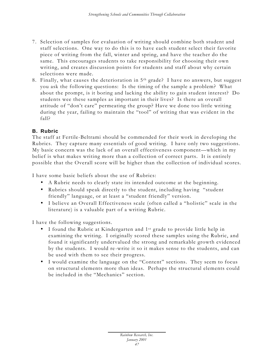- 7. Selection of samples for evaluation of writing should combine both student and staff selections. One way to do this is to have each student select their favorite piece of writing from the fall, winter and spring, and have the teacher do the same. This encourages students to take responsibility for choosing their own writing, and creates discussion points for students and staff about why certain selections were made.
- 8. Finally, what causes the deterioration in 5th grade? I have no answers, but suggest you ask the following questions: Is the timing of the sample a problem? What about the prompt, is it boring and lacking the ability to gain student interest? Do students wee these samples as important in their lives? Is there an overall attitude of "don't care" permeating the group? Have we done too little writing during the year, failing to maintain the "tool" of writing that was evident in the fall?

### **B. Rubric**

The staff at Fertile-Beltrami should be commended for their work in developing the Rubrics. They capture many essentials of good writing. I have only two suggestions. My basic concern was the lack of an overall effectiveness component—which in my belief is what makes writing more than a collection of correct parts. It is entirely possible that the Overall score will be higher than the collection of individual scores.

I have some basic beliefs about the use of Rubrics:

- A Rubric needs to clearly state its intended outcome at the beginning.
- Rubrics should speak directly to the student, including having "student friendly" language, or at least a "student friendly" version.
- I believe an Overall Effectiveness scale (often called a "holistic" scale in the literature) is a valuable part of a writing Rubric.

I have the following suggestions.

- I found the Rubric at Kindergarten and 1<sup>st</sup> grade to provide little help in examining the writing. I originally scored these samples using the Rubric, and found it significantly undervalued the strong and remarkable growth evidenced by the students. I would re -write it so it makes sense to the students, and can be used with them to see their progress.
- I would examine the language on the "Content" sections. They seem to focus on structural elements more than ideas. Perhaps the structural elements could be included in the "Mechanics" section.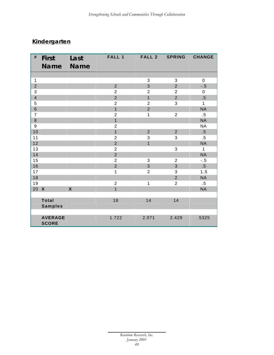# *Kindergarten*

| #                       | <b>First</b><br><b>Name</b>    | Last<br><b>Name</b> | <b>FALL 1</b>    | <b>FALL 2</b>  | <b>SPRING</b>  | <b>CHANGE</b>   |
|-------------------------|--------------------------------|---------------------|------------------|----------------|----------------|-----------------|
|                         |                                |                     |                  |                |                |                 |
| $\mathbf{1}$            |                                |                     |                  | 3              | 3              | $\pmb{0}$       |
| $\overline{2}$          |                                |                     | $\overline{2}$   | $\overline{3}$ | $\overline{2}$ | $-.5$           |
| 3                       |                                |                     | $\overline{2}$   | $\overline{2}$ | $\overline{2}$ | $\mathbf 0$     |
| $\overline{\mathbf{4}}$ |                                |                     | $\overline{2}$   | $\overline{1}$ | $\overline{2}$ | .5              |
| 5                       |                                |                     | $\boldsymbol{2}$ | $\overline{2}$ | 3              | $\mathbf{1}$    |
| $\,$ 6 $\,$             |                                |                     | $\overline{1}$   | $\overline{2}$ |                | <b>NA</b>       |
| $\overline{7}$          |                                |                     | $\overline{2}$   | $\mathbf{1}$   | $\overline{2}$ | $.5\,$          |
| $\bf 8$                 |                                |                     | $\overline{1}$   |                |                | <b>NA</b>       |
| $\boldsymbol{9}$        |                                |                     | $\overline{2}$   |                |                | <b>NA</b>       |
| 10                      |                                |                     | $\overline{1}$   | $\overline{2}$ | $\overline{2}$ | .5              |
| 11                      |                                |                     | $\boldsymbol{2}$ | 3              | 3              | .5              |
| 12                      |                                |                     | $\overline{2}$   | $\overline{1}$ |                | <b>NA</b>       |
| 13                      |                                |                     | $\overline{2}$   |                | 3              | $\mathbf{1}$    |
| 14                      |                                |                     | $\overline{2}$   |                |                | <b>NA</b>       |
| 15                      |                                |                     | $\overline{2}$   | 3              | $\overline{2}$ | $-.5$           |
| 16                      |                                |                     | $\overline{2}$   | 3              | 3              | $.5\phantom{0}$ |
| 17                      |                                |                     | $\mathbf{1}$     | $\overline{2}$ | 3              | 1.5             |
| 18                      |                                |                     |                  |                | $\overline{2}$ | <b>NA</b>       |
| 19                      |                                |                     | $\overline{c}$   | $\mathbf{1}$   | $\overline{2}$ | $.5\phantom{0}$ |
| 20                      | $\boldsymbol{\mathsf{X}}$      | $\boldsymbol{X}$    | $\overline{1}$   |                |                | <b>NA</b>       |
|                         |                                |                     |                  |                |                |                 |
|                         | <b>Total</b><br><b>Samples</b> |                     | 18               | 14             | 14             |                 |
|                         |                                |                     |                  |                |                |                 |
|                         | <b>AVERAGE</b><br><b>SCORE</b> |                     | 1.722            | 2.071          | 2.429          | .5325           |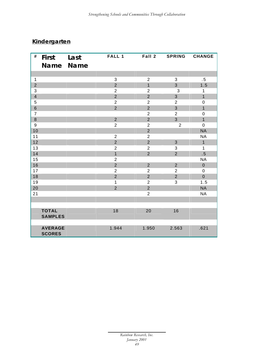# *Kindergarten*

| #                       | <b>First</b>                    | Last      | FALL 1         | Fall 2         | <b>SPRING</b>  | <b>CHANGE</b>  |
|-------------------------|---------------------------------|-----------|----------------|----------------|----------------|----------------|
|                         |                                 | Name Name |                |                |                |                |
|                         |                                 |           |                |                |                |                |
| $\mathbf{1}$            |                                 |           | 3              | $\overline{2}$ | $\sqrt{3}$     | $.5\,$         |
| $\overline{2}$          |                                 |           | $\overline{2}$ | $\overline{1}$ | $\overline{3}$ | 1.5            |
| 3                       |                                 |           | $\overline{2}$ | $\overline{2}$ | 3              | $\mathbf{1}$   |
| $\overline{\mathbf{4}}$ |                                 |           | $\overline{2}$ | $\overline{2}$ | 3              | $\overline{1}$ |
| 5                       |                                 |           | $\overline{2}$ | $\overline{2}$ | $\overline{2}$ | $\mathbf 0$    |
| $6\phantom{1}$          |                                 |           | $\overline{2}$ | $\overline{2}$ | 3              | $\mathbf{1}$   |
| $\overline{7}$          |                                 |           |                | $\overline{2}$ | $\overline{2}$ | $\pmb{0}$      |
| 8                       |                                 |           | $\overline{2}$ | $\overline{2}$ | $\overline{3}$ | $\overline{1}$ |
| $\boldsymbol{9}$        |                                 |           | $\overline{2}$ | $\overline{2}$ | $\overline{2}$ | $\mathbf 0$    |
| 10                      |                                 |           |                | $\overline{2}$ |                | <b>NA</b>      |
| 11                      |                                 |           | $\overline{2}$ | $\overline{2}$ |                | <b>NA</b>      |
| 12                      |                                 |           | $\overline{2}$ | $\overline{2}$ | 3              | $\mathbf{1}$   |
| 13                      |                                 |           | $\overline{2}$ | $\overline{2}$ | 3              | $\mathbf{1}$   |
| 14                      |                                 |           | $\overline{1}$ | $\overline{2}$ | $\overline{2}$ | .5             |
| 15                      |                                 |           | $\overline{2}$ |                |                | <b>NA</b>      |
| 16                      |                                 |           | $\overline{2}$ | $\overline{2}$ | $\overline{2}$ | $\mathbf 0$    |
| 17                      |                                 |           | $\overline{2}$ | $\overline{2}$ | $\overline{2}$ | $\mathbf 0$    |
| 18                      |                                 |           | $\overline{2}$ | $\overline{2}$ | $\overline{2}$ | $\mathbf 0$    |
| 19                      |                                 |           | $\mathbf{1}$   | $\overline{2}$ | 3              | 1.5            |
| 20                      |                                 |           | $\overline{2}$ | $\overline{2}$ |                | <b>NA</b>      |
| 21                      |                                 |           |                | $\overline{2}$ |                | <b>NA</b>      |
|                         |                                 |           |                |                |                |                |
|                         |                                 |           |                |                |                |                |
|                         | <b>TOTAL</b><br><b>SAMPLES</b>  |           | 18             | 20             | 16             |                |
|                         |                                 |           |                |                |                |                |
|                         | <b>AVERAGE</b><br><b>SCORES</b> |           | 1.944          | 1.950          | 2.563          | .621           |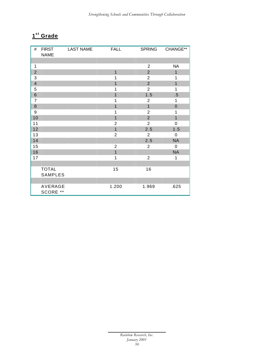### **s t Grade**

| #              | <b>FIRST</b><br><b>NAME</b> | <b>LAST NAME</b> | <b>FALL</b>    | <b>SPRING</b>  | CHANGE**       |
|----------------|-----------------------------|------------------|----------------|----------------|----------------|
|                |                             |                  |                |                |                |
| 1              |                             |                  |                | $\overline{2}$ | <b>NA</b>      |
| $\overline{2}$ |                             |                  | $\overline{1}$ | $\overline{2}$ | $\mathbf{1}$   |
| 3              |                             |                  | 1              | $\overline{2}$ | 1              |
| $\overline{4}$ |                             |                  | $\overline{1}$ | $\overline{2}$ | $\overline{1}$ |
| 5              |                             |                  | 1              | $\overline{2}$ | $\mathbf{1}$   |
| $\,6\,$        |                             |                  | $\mathbf{1}$   | 1.5            | $.5\,$         |
| $\overline{7}$ |                             |                  | 1              | $\overline{2}$ | 1              |
| $\bf 8$        |                             |                  | $\mathbf{1}$   | $\overline{1}$ | $\pmb{0}$      |
| 9              |                             |                  | 1              | $\overline{2}$ | 1              |
| 10             |                             |                  | $\overline{1}$ | $\overline{2}$ | $\overline{1}$ |
| 11             |                             |                  | $\mathbf 2$    | $\overline{2}$ | 0              |
| 12             |                             |                  | $\overline{1}$ | 2.5            | 1.5            |
| 13             |                             |                  | $\overline{2}$ | $\overline{2}$ | $\pmb{0}$      |
| 14             |                             |                  |                | 2.5            | <b>NA</b>      |
| 15             |                             |                  | $\overline{2}$ | $\overline{2}$ | 0              |
| 16             |                             |                  | $\mathbf{1}$   |                | <b>NA</b>      |
| 17             |                             |                  | $\mathbf{1}$   | $\overline{2}$ | 1              |
|                |                             |                  |                |                |                |
|                | <b>TOTAL</b>                |                  | 15             | 16             |                |
|                | SAMPLES                     |                  |                |                |                |
|                |                             |                  |                |                |                |
|                | AVERAGE<br>SCORE **         |                  | 1.200          | 1.969          | .625           |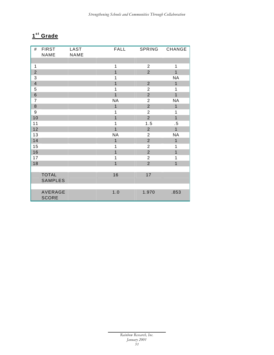### $1<sup>st</sup>$  Grade

| #                | <b>FIRST</b>   | LAST | <b>FALL</b>    | <b>SPRING</b>  | CHANGE         |
|------------------|----------------|------|----------------|----------------|----------------|
|                  | NAME           | NAME |                |                |                |
|                  |                |      |                |                |                |
| $\mathbf 1$      |                |      | $\mathbf{1}$   | $\overline{2}$ | $\mathbf 1$    |
| $\overline{2}$   |                |      | $\overline{1}$ | $\overline{2}$ | $\overline{1}$ |
| 3                |                |      | 1              |                | <b>NA</b>      |
| $\overline{4}$   |                |      | $\overline{1}$ | $\overline{2}$ | $\mathbf{1}$   |
| 5                |                |      | 1              | $\overline{2}$ | 1              |
| $\,6\,$          |                |      | $\overline{1}$ | $\overline{2}$ | $\overline{1}$ |
| $\overline{7}$   |                |      | <b>NA</b>      | $\overline{2}$ | <b>NA</b>      |
| 8                |                |      | $\mathbf{1}$   | $\overline{2}$ | $\mathbf{1}$   |
| $\boldsymbol{9}$ |                |      | 1              | $\overline{2}$ | 1              |
| 10               |                |      | $\overline{1}$ | $\overline{2}$ | $\mathbf{1}$   |
| 11               |                |      | 1              | 1.5            | $.5\,$         |
| 12               |                |      | $\overline{1}$ | $\overline{2}$ | $\overline{1}$ |
| 13               |                |      | <b>NA</b>      | $\overline{2}$ | <b>NA</b>      |
| 14               |                |      | $\overline{1}$ | $\overline{2}$ | $\mathbf{1}$   |
| 15               |                |      | 1              | $\overline{2}$ | 1              |
| 16               |                |      | $\mathbf{1}$   | $\overline{2}$ | $\overline{1}$ |
| 17               |                |      | 1              | $\overline{2}$ | 1              |
| 18               |                |      | $\overline{1}$ | $\overline{2}$ | $\overline{1}$ |
|                  |                |      |                |                |                |
|                  | <b>TOTAL</b>   |      | 16             | 17             |                |
|                  | <b>SAMPLES</b> |      |                |                |                |
|                  |                |      |                |                |                |
|                  | AVERAGE        |      | 1.0            | 1.970          | .853           |
|                  | <b>SCORE</b>   |      |                |                |                |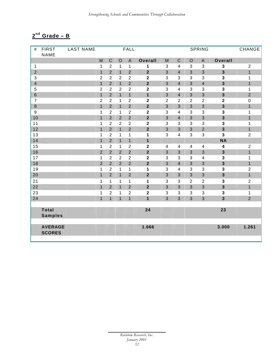### **nd Grade – B**

| #                       | <b>FIRST</b>   | <b>LAST NAME</b> |                |                  |                | <b>FALL</b>             |                         |                           |                         |                | <b>SPRING</b>             |                         | CHANGE           |
|-------------------------|----------------|------------------|----------------|------------------|----------------|-------------------------|-------------------------|---------------------------|-------------------------|----------------|---------------------------|-------------------------|------------------|
|                         | <b>NAME</b>    |                  |                |                  |                |                         |                         |                           |                         |                |                           |                         |                  |
|                         |                |                  | M              | $\mathsf C$      | $\circ$        | $\mathsf A$             | Overall                 | M                         | $\mathsf C$             | $\mathsf O$    | $\mathsf A$               | Overall                 |                  |
| $\mathbf{1}$            |                |                  | $\mathbf{1}$   | $\boldsymbol{2}$ | $\mathbf{1}$   | $\mathbf{1}$            | 1                       | $\ensuremath{\mathsf{3}}$ | $\overline{\mathbf{4}}$ | $\mathbf{3}$   | $\sqrt{3}$                | $\mathbf 3$             | $\sqrt{2}$       |
| $\overline{2}$          |                |                  | $\mathbf{1}$   | $\overline{2}$   | $\mathbf{1}$   | $\overline{2}$          | $\overline{\mathbf{2}}$ | 3                         | $\overline{\mathbf{4}}$ | $\overline{3}$ | 3                         | 3                       | $\mathbf{1}$     |
| 3                       |                |                  | $\overline{2}$ | $\overline{2}$   | $\overline{2}$ | $\overline{c}$          | $\overline{\mathbf{2}}$ | 3                         | 3                       | 3              | 3                         | 3                       | 1                |
| $\overline{\mathbf{4}}$ |                |                  | $\mathbf{1}$   | $\overline{2}$   | $\overline{1}$ | $\overline{2}$          | $\overline{2}$          | 3                         | $\overline{4}$          | 3              | $\overline{\mathbf{4}}$   | 3                       | $\mathbf{1}$     |
| 5                       |                |                  | $\overline{2}$ | $\overline{2}$   | $\overline{2}$ | $\boldsymbol{2}$        | $\overline{\mathbf{2}}$ | $\ensuremath{\mathsf{3}}$ | $\overline{\mathbf{4}}$ | 3              | 3                         | 3                       | 1                |
| $\,$ 6 $\,$             |                |                  | $\mathbf{1}$   | $\overline{2}$   | $\overline{1}$ | $\mathbf{1}$            | $\mathbf{1}$            | $\mathbf{3}$              | $\overline{\mathbf{4}}$ | $\mathfrak{S}$ | $\mathsf 3$               | 3                       | $\overline{2}$   |
| $\overline{7}$          |                |                  | $\overline{2}$ | $\overline{2}$   | 1              | $\boldsymbol{2}$        | $\mathbf 2$             | $\overline{2}$            | $\overline{2}$          | $\overline{2}$ | $\overline{2}$            | $\overline{\mathbf{2}}$ | 0                |
| $\bf 8$                 |                |                  | $\mathbf{1}$   | $\overline{2}$   | $\mathbf{1}$   | $\overline{2}$          | $\overline{\mathbf{2}}$ | $\overline{3}$            | 3                       | 3              | $\overline{3}$            | $\overline{\mathbf{3}}$ | $\mathbf{1}$     |
| 9                       |                |                  | $\mathbf{1}$   | $\overline{2}$   | 1              | $\overline{2}$          | $\overline{\mathbf{c}}$ | 3                         | $\overline{\mathbf{4}}$ | 3              | 3                         | 3                       | 1                |
| 10                      |                |                  | $\overline{1}$ | $\overline{2}$   | $\overline{2}$ | $\overline{2}$          | $\overline{\mathbf{2}}$ | $\overline{3}$            | $\overline{4}$          | 3              | $\overline{3}$            | $\overline{\mathbf{3}}$ | $\overline{1}$   |
| 11                      |                |                  | 1              | $\overline{2}$   | $\overline{2}$ | $\boldsymbol{2}$        | $\mathbf 2$             | 3                         | 3                       | 3              | $\ensuremath{\mathsf{3}}$ | $\mathbf{3}$            | 1                |
| 12                      |                |                  | $\mathbf{1}$   | $\overline{2}$   | $\overline{1}$ | $\overline{2}$          | $\overline{\mathbf{2}}$ | 3                         | 3                       | $\overline{3}$ | $\overline{2}$            | $\overline{\mathbf{3}}$ | $\mathbf{1}$     |
| 13                      |                |                  | 1              | $\overline{c}$   | 1              | $\mathbf{1}$            | 1                       | $\ensuremath{\mathsf{3}}$ | 4                       | 3              | $\ensuremath{\mathsf{3}}$ | 3                       | $\overline{2}$   |
| 14                      |                |                  | $\mathbf{1}$   | $\overline{2}$   | $\mathbf{1}$   | $\mathbf{1}$            | $\mathbf 1$             |                           |                         |                |                           | <b>NA</b>               |                  |
| 15                      |                |                  | 1              | $\overline{2}$   | 1              | $\overline{2}$          | $\mathbf{2}$            | $\overline{\mathbf{4}}$   | $\overline{\mathbf{4}}$ | $\overline{4}$ | $\overline{\mathbf{4}}$   | 4                       | $\overline{2}$   |
| 16                      |                |                  | $\overline{2}$ | $\overline{2}$   | $\overline{2}$ | $\overline{2}$          | $\overline{\mathbf{2}}$ | $\mathbf{3}$              | 3                       | $\mathfrak{S}$ | $\ensuremath{\mathsf{3}}$ | 3                       | $\mathbf{1}$     |
| 17                      |                |                  | 1              | $\overline{2}$   | $\overline{2}$ | $\overline{c}$          | $\mathbf 2$             | 3                         | 3                       | $\mathfrak{S}$ | $\overline{\mathbf{4}}$   | 3                       | 1                |
| 18                      |                |                  | $\overline{2}$ | $\overline{2}$   | $\overline{2}$ | $\overline{2}$          | $\overline{\mathbf{2}}$ | $\overline{3}$            | $\overline{4}$          | 3              | $\mathbf{3}$              | $\overline{\mathbf{3}}$ | $\mathbf{1}$     |
| 19                      |                |                  | 1              | $\overline{2}$   | 1              | $\mathbf{1}$            | 1                       | 3                         | 4                       | 3              | 3                         | 3                       | $\boldsymbol{2}$ |
| 20                      |                |                  | $\overline{1}$ | $\overline{2}$   | $\overline{1}$ | $\overline{2}$          | $\overline{\mathbf{2}}$ | $\overline{3}$            | $\overline{3}$          | 3              | $\overline{3}$            | $\overline{\mathbf{3}}$ | $\overline{1}$   |
| 21                      |                |                  | 1              | 1                | 1              | $\mathbf{1}$            | 1                       | 3                         | 3                       | $\overline{2}$ | $\overline{2}$            | 3                       | $\overline{2}$   |
| 22                      |                |                  | $\mathbf{1}$   | $\overline{2}$   | $\mathbf{1}$   | $\overline{2}$          | $\mathbf{2}$            | $\mathbf{3}$              | 3                       | 3              | $\mathfrak{S}$            | 3                       | $\mathbf{1}$     |
| 23                      |                |                  | $\mathbf{1}$   | 2                | 1              | $\overline{\mathbf{c}}$ | 2                       | $\sqrt{3}$                | 3                       | 3              | 3                         | 3                       | 1                |
| 24                      |                |                  | $\mathbf{1}$   | $\overline{1}$   | $\overline{1}$ | $\overline{1}$          | $\overline{1}$          | 3                         | $\overline{3}$          | 3              | $\mathbf{3}$              | $\overline{\mathbf{3}}$ | $\overline{2}$   |
|                         |                |                  |                |                  |                |                         |                         |                           |                         |                |                           |                         |                  |
|                         | <b>Total</b>   |                  |                |                  |                |                         | 24                      |                           |                         |                |                           | 23                      |                  |
|                         | <b>Samples</b> |                  |                |                  |                |                         |                         |                           |                         |                |                           |                         |                  |
|                         |                |                  |                |                  |                |                         |                         |                           |                         |                |                           |                         |                  |
|                         | <b>AVERAGE</b> |                  |                |                  |                |                         | 1.666                   |                           |                         |                |                           | 3.000                   | 1.261            |
|                         | <b>SCORES</b>  |                  |                |                  |                |                         |                         |                           |                         |                |                           |                         |                  |
|                         |                |                  |                |                  |                |                         |                         |                           |                         |                |                           |                         |                  |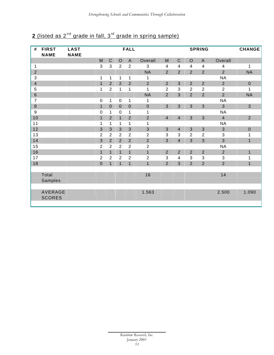| #                       | <b>FIRST</b><br><b>NAME</b>     | <b>LAST</b><br><b>NAME</b> |                  |                |                | <b>FALL</b>               |                |                                                                                                            |                         |                         | <b>SPRING</b>    |                           | <b>CHANGE</b>    |
|-------------------------|---------------------------------|----------------------------|------------------|----------------|----------------|---------------------------|----------------|------------------------------------------------------------------------------------------------------------|-------------------------|-------------------------|------------------|---------------------------|------------------|
|                         |                                 |                            | M                | $\mathsf C$    | $\circ$        | $\mathsf{A}$              | Overall        | $\mathsf{M}% _{T}=\mathsf{M}_{T}\!\left( a,b\right) ,\ \mathsf{M}_{T}=\mathsf{M}_{T}\!\left( a,b\right) ,$ | $\mathsf C$             | $\mathsf O$             | $\mathsf{A}$     | Overall                   |                  |
| $\mathbf 1$             |                                 |                            | $\sqrt{3}$       | $\sqrt{3}$     | $\overline{2}$ | $\overline{c}$            | $\mathbf{3}$   | $\overline{\mathbf{4}}$                                                                                    | $\overline{\mathbf{4}}$ | $\overline{\mathbf{4}}$ | 4                | $\overline{\mathbf{4}}$   | 1                |
| $\overline{2}$          |                                 |                            |                  |                |                |                           | <b>NA</b>      | $\overline{2}$                                                                                             | $\overline{2}$          | $\overline{2}$          | $\overline{2}$   | $\overline{2}$            | <b>NA</b>        |
| 3                       |                                 |                            | 1                | $\mathbf{1}$   | 1              | 1                         | 1              |                                                                                                            |                         |                         |                  | <b>NA</b>                 |                  |
| $\overline{\mathbf{4}}$ |                                 |                            | $\overline{1}$   | $\overline{2}$ | $\overline{2}$ | $\overline{2}$            | $\overline{2}$ | $\overline{2}$                                                                                             | 3                       | $\overline{2}$          | $\overline{2}$   | $\overline{2}$            | $\boldsymbol{0}$ |
| 5                       |                                 |                            | 1                | $\overline{2}$ | 1              | 1                         | $\mathbf{1}$   | $\overline{2}$                                                                                             | $\mathbf{3}$            | $\overline{2}$          | $\overline{2}$   | $\overline{2}$            | 1                |
| $\,$ 6 $\,$             |                                 |                            |                  |                |                |                           | <b>NA</b>      | $\overline{2}$                                                                                             | 3                       | $\overline{2}$          | $\overline{2}$   | $\overline{2}$            | <b>NA</b>        |
| $\overline{7}$          |                                 |                            | $\pmb{0}$        | $\mathbf{1}$   | $\pmb{0}$      | 1                         | 1              |                                                                                                            |                         |                         |                  | <b>NA</b>                 |                  |
| $\,8\,$                 |                                 |                            | $\mathbf{1}$     | $\pmb{0}$      | $\mathbf 0$    | $\pmb{0}$                 | $\pmb{0}$      | 3                                                                                                          | $\mathbf{3}$            | $\mathbf{3}$            | 3                | 3                         | $\mathbf{3}$     |
| 9                       |                                 |                            | $\mathbf 0$      | 1              | 0              | 1                         | 1              |                                                                                                            |                         |                         |                  | <b>NA</b>                 |                  |
| 10                      |                                 |                            | $\overline{1}$   | $\overline{2}$ | $\mathbf{1}$   | $\overline{2}$            | $\overline{2}$ | $\overline{4}$                                                                                             | $\overline{\mathbf{4}}$ | $\mathbf{3}$            | 3                | $\overline{\mathbf{4}}$   | $\overline{2}$   |
| 11                      |                                 |                            | 1                | $\mathbf{1}$   | 1              | 1                         | 1              |                                                                                                            |                         |                         |                  | <b>NA</b>                 |                  |
| 12                      |                                 |                            | 3                | $\sqrt{3}$     | 3              | $\ensuremath{\mathsf{3}}$ | $\sqrt{3}$     | $\mathfrak{S}$                                                                                             | $\overline{4}$          | $\mathfrak{S}$          | $\mathfrak{S}$   | $\sqrt{3}$                | $\boldsymbol{0}$ |
| 13                      |                                 |                            | $\boldsymbol{2}$ | $\overline{2}$ | $\overline{2}$ | $\overline{c}$            | $\sqrt{2}$     | 3                                                                                                          | $\sqrt{3}$              | $\overline{2}$          | $\boldsymbol{2}$ | $\mathsf 3$               | 1                |
| 14                      |                                 |                            | 3                | $\overline{2}$ | $\overline{2}$ | $\overline{2}$            | $\overline{2}$ | 3                                                                                                          | $\overline{4}$          | 3                       | 3                | 3                         | $\mathbf{1}$     |
| 15                      |                                 |                            | $\overline{2}$   | $\overline{2}$ | $\overline{2}$ | $\overline{2}$            | $\sqrt{2}$     |                                                                                                            |                         |                         |                  | <b>NA</b>                 |                  |
| 16                      |                                 |                            | $\overline{1}$   | $\overline{1}$ | $\mathbf{1}$   | $\overline{1}$            | $\overline{1}$ | $\overline{2}$                                                                                             | $\overline{2}$          | $\overline{2}$          | $\overline{2}$   | $\overline{2}$            | $\mathbf{1}$     |
| 17                      |                                 |                            | $\overline{2}$   | $\overline{2}$ | $\overline{2}$ | $\overline{2}$            | $\overline{2}$ | 3                                                                                                          | $\overline{\mathbf{4}}$ | $\mathbf{3}$            | 3                | $\ensuremath{\mathsf{3}}$ | 1                |
| 18                      |                                 |                            | $\boldsymbol{0}$ | $\mathbf{1}$   | $\mathbf{1}$   | $\mathbf{1}$              | $\mathbf{1}$   | $\overline{2}$                                                                                             | 3                       | $\overline{2}$          | $\overline{2}$   | $\overline{2}$            | $\mathbf{1}$     |
|                         |                                 |                            |                  |                |                |                           |                |                                                                                                            |                         |                         |                  |                           |                  |
|                         | Total                           |                            |                  |                |                |                           | 16             |                                                                                                            |                         |                         |                  | 14                        |                  |
|                         | Samples                         |                            |                  |                |                |                           |                |                                                                                                            |                         |                         |                  |                           |                  |
|                         |                                 |                            |                  |                |                |                           |                |                                                                                                            |                         |                         |                  |                           |                  |
|                         | <b>AVERAGE</b><br><b>SCORES</b> |                            |                  |                |                |                           | 1.563          |                                                                                                            |                         |                         |                  | 2.500                     | 1.090            |
|                         |                                 |                            |                  |                |                |                           |                |                                                                                                            |                         |                         |                  |                           |                  |

# 2 (listed as 2<sup>nd</sup> grade in fall, 3<sup>rd</sup> grade in spring sample)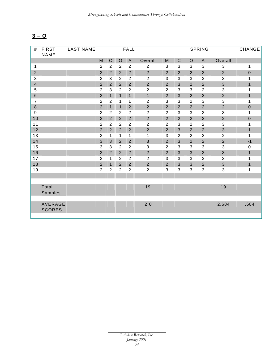# **3 – O**

| #              | <b>FIRST</b><br><b>NAME</b> | <b>LAST NAME</b> |                  |                |                | FALL           |                  |                |                           |                | SPRING         |                | CHANGE       |
|----------------|-----------------------------|------------------|------------------|----------------|----------------|----------------|------------------|----------------|---------------------------|----------------|----------------|----------------|--------------|
|                |                             |                  | M                | $\mathsf{C}$   | $\mathsf O$    | $\overline{A}$ | Overall          | M              | $\mathsf C$               | $\mathsf O$    | $\mathsf{A}$   | Overall        |              |
| $\mathbf{1}$   |                             |                  | $\overline{2}$   | $\overline{2}$ | $\overline{2}$ | $\overline{2}$ | $\overline{2}$   | 3              | 3                         | 3              | $\mathbf{3}$   | 3              | 1            |
| $\overline{2}$ |                             |                  | $\overline{2}$   | $\overline{2}$ | $\overline{2}$ | $\overline{2}$ | $\overline{2}$   | $\overline{2}$ | $\overline{2}$            | $\overline{2}$ | $\overline{2}$ | $\overline{2}$ | $\mathbf 0$  |
| 3              |                             |                  | $\boldsymbol{2}$ | 3              | $\overline{2}$ | $\overline{c}$ | $\overline{2}$   | 3              | $\ensuremath{\mathsf{3}}$ | 3              | 3              | 3              | 1            |
| $\overline{4}$ |                             |                  | $\overline{2}$   | $\overline{2}$ | $\overline{2}$ | $\overline{2}$ | $\overline{2}$   | $\overline{2}$ | 3                         | $\overline{2}$ | $\overline{2}$ | $\overline{3}$ | $\mathbf{1}$ |
| 5              |                             |                  | $\overline{2}$   | 3              | $\overline{2}$ | $\overline{c}$ | $\boldsymbol{2}$ | $\overline{2}$ | 3                         | 3              | $\overline{2}$ | 3              | 1            |
| $\,6\,$        |                             |                  | $\overline{2}$   | $\mathbf{1}$   | $\mathbf{1}$   | $\mathbf{1}$   | $\overline{1}$   | $\overline{2}$ | 3                         | $\overline{2}$ | $\overline{2}$ | $\overline{2}$ | $\mathbf{1}$ |
| $\overline{7}$ |                             |                  | $\overline{2}$   | $\overline{2}$ | 1              | 1              | $\overline{2}$   | 3              | 3                         | $\overline{2}$ | 3              | 3              | $\mathbf 1$  |
| $\bf 8$        |                             |                  | $\overline{2}$   | $\mathbf{1}$   | $\mathbf{1}$   | $\overline{2}$ | $\overline{2}$   | $\overline{2}$ | $\overline{2}$            | $\overline{2}$ | $\overline{2}$ | $\mathbf 2$    | $\mathbf 0$  |
| 9              |                             |                  | $\overline{2}$   | $\overline{2}$ | $\overline{2}$ | $\overline{2}$ | $\overline{2}$   | $\overline{2}$ | 3                         | 3              | $\overline{2}$ | 3              | $\mathbf 1$  |
| 10             |                             |                  | $\overline{2}$   | $\overline{2}$ | $\overline{2}$ | $\overline{2}$ | $\overline{2}$   | $\overline{2}$ | $\overline{2}$            | $\overline{2}$ | $\overline{2}$ | $\overline{2}$ | $\mathbf 0$  |
| 11             |                             |                  | $\overline{2}$   | $\overline{2}$ | $\overline{2}$ | $\overline{2}$ | $\overline{2}$   | $\overline{2}$ | 3                         | $\overline{2}$ | $\overline{2}$ | 3              | $\mathbf 1$  |
| 12             |                             |                  | $\overline{2}$   | $\overline{2}$ | $\overline{2}$ | $\overline{2}$ | $\overline{2}$   | $\overline{2}$ | 3                         | $\overline{2}$ | $\overline{2}$ | 3              | $\mathbf{1}$ |
| 13             |                             |                  | $\overline{2}$   | $\mathbf{1}$   | 1              | $\mathbf{1}$   | 1                | 3              | $\overline{2}$            | $\overline{2}$ | $\overline{2}$ | $\overline{2}$ | 1            |
| 14             |                             |                  | 3                | 3              | $\overline{2}$ | $\overline{2}$ | $\mathfrak{S}$   | $\overline{2}$ | 3                         | $\overline{2}$ | $\overline{2}$ | $\overline{2}$ | $-1$         |
| 15             |                             |                  | 3                | $\sqrt{3}$     | $\overline{2}$ | $\overline{2}$ | 3                | $\overline{2}$ | 3                         | 3              | 3              | 3              | $\mathbf 0$  |
| 16             |                             |                  | $\overline{2}$   | $\overline{2}$ | $\overline{2}$ | $\overline{2}$ | $\overline{2}$   | $\overline{2}$ | 3                         | 3              | $\overline{2}$ | 3              | $\mathbf{1}$ |
| 17             |                             |                  | $\overline{2}$   | $\mathbf{1}$   | $\overline{2}$ | $\overline{c}$ | $\overline{2}$   | 3              | 3                         | 3              | 3              | 3              | 1            |
| 18             |                             |                  | $\overline{2}$   | $\mathbf{1}$   | $\overline{2}$ | $\mathbf 2$    | $\sqrt{2}$       | $\overline{2}$ | 3                         | $\mathfrak{S}$ | $\overline{2}$ | 3              | $\mathbf{1}$ |
| 19             |                             |                  | $\overline{2}$   | $\overline{2}$ | $\overline{2}$ | $\overline{c}$ | $\overline{2}$   | 3              | 3                         | 3              | 3              | 3              | 1            |
|                |                             |                  |                  |                |                |                |                  |                |                           |                |                |                |              |
|                |                             |                  |                  |                |                |                |                  |                |                           |                |                |                |              |
|                | Total<br>Samples            |                  |                  |                |                |                | 19               |                |                           |                |                | 19             |              |
|                |                             |                  |                  |                |                |                |                  |                |                           |                |                |                |              |
|                | AVERAGE<br><b>SCORES</b>    |                  |                  |                |                |                | 2.0              |                |                           |                |                | 2.684          | .684         |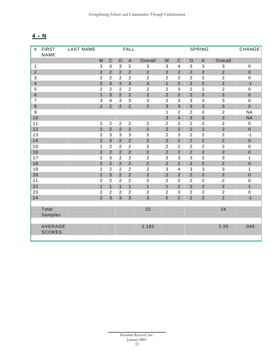# **4 – N**

| #                       | <b>FIRST</b>  | <b>LAST NAME</b> |                           |                         |                | <b>FALL</b>               |                           |                |                         |                  | <b>SPRING</b>    |                           | CHANGE       |
|-------------------------|---------------|------------------|---------------------------|-------------------------|----------------|---------------------------|---------------------------|----------------|-------------------------|------------------|------------------|---------------------------|--------------|
|                         | NAME          |                  |                           |                         |                |                           |                           |                |                         |                  |                  |                           |              |
|                         |               |                  | M                         | $\mathsf C$             | $\circ$        | $\mathsf A$               | Overall                   | M              | $\mathbf C$             | $\circ$          | $\mathsf A$      | Overall                   |              |
| $\mathbf{1}$            |               |                  | $\ensuremath{\mathsf{3}}$ | $\mathbf{3}$            | 3              | $\overline{2}$            | $\sqrt{3}$                | 3              | $\overline{\mathbf{4}}$ | $\mathbf{3}$     | $\mathbf{3}$     | $\ensuremath{\mathsf{3}}$ | $\pmb{0}$    |
| $\overline{2}$          |               |                  | $\overline{2}$            | $\overline{2}$          | $\overline{2}$ | $\overline{2}$            | $\overline{2}$            | $\overline{2}$ | $\overline{2}$          | $\overline{2}$   | $\overline{2}$   | $\overline{2}$            | $\mathbf 0$  |
| 3                       |               |                  | $\boldsymbol{2}$          | $\overline{2}$          | $\overline{2}$ | $\overline{2}$            | $\boldsymbol{2}$          | $\overline{2}$ | $\overline{2}$          | $\overline{2}$   | $\overline{2}$   | $\mathbf{2}$              | $\pmb{0}$    |
| $\overline{\mathbf{4}}$ |               |                  | $\overline{2}$            | 3                       | $\overline{3}$ | 3                         | $\overline{3}$            | $\mathbf{1}$   | $\overline{2}$          | $\overline{2}$   | $\overline{2}$   | $\overline{2}$            | $-1$         |
| 5                       |               |                  | $\overline{2}$            | $\overline{2}$          | $\overline{2}$ | $\sqrt{2}$                | $\boldsymbol{2}$          | $\overline{2}$ | 3                       | $\overline{2}$   | $\overline{2}$   | $\overline{2}$            | $\pmb{0}$    |
| $\,6\,$                 |               |                  | $\mathbf{1}$              | $\mathfrak{S}$          | $\overline{2}$ | $\overline{2}$            | $\mathbf 2$               | $\overline{2}$ | $\overline{2}$          | $\overline{2}$   | $\mathbf 2$      | $\overline{2}$            | $\pmb{0}$    |
| $\overline{7}$          |               |                  | $\sqrt{3}$                | $\overline{\mathbf{4}}$ | 3              | 3                         | $\sqrt{3}$                | $\mathfrak{S}$ | 3                       | 3                | $\mathbf{3}$     | $\ensuremath{\mathsf{3}}$ | $\pmb{0}$    |
| $\,8\,$                 |               |                  | $\overline{2}$            | $\overline{2}$          | $\overline{2}$ | $\overline{2}$            | $\overline{2}$            | 3              | $\overline{3}$          | 3                | 3                | $\overline{3}$            | $\mathbf 0$  |
| $\boldsymbol{9}$        |               |                  |                           |                         |                |                           |                           | $\mathbf{1}$   | $\overline{2}$          | $\overline{2}$   | $\overline{2}$   | $\boldsymbol{2}$          | <b>NA</b>    |
| 10                      |               |                  |                           |                         |                |                           |                           | 3              | $\overline{\mathbf{4}}$ | 3                | 3                | $\mathbf{3}$              | <b>NA</b>    |
| 11                      |               |                  | $\overline{2}$            | $\overline{2}$          | $\overline{2}$ | $\overline{2}$            | $\overline{2}$            | $\overline{2}$ | $\overline{2}$          | $\overline{2}$   | $\overline{2}$   | $\overline{2}$            | $\pmb{0}$    |
| 12                      |               |                  | $\overline{2}$            | $\overline{2}$          | $\overline{2}$ | $\overline{2}$            | $\overline{2}$            | $\overline{2}$ | $\overline{2}$          | $\overline{2}$   | $\overline{2}$   | $\overline{2}$            | $\pmb{0}$    |
| 13                      |               |                  | $\overline{2}$            | $\sqrt{3}$              | 3              | $\ensuremath{\mathsf{3}}$ | $\ensuremath{\mathsf{3}}$ | $\overline{2}$ | 3                       | $\overline{2}$   | $\overline{2}$   | $\boldsymbol{2}$          | $-1$         |
| 14                      |               |                  | $\overline{2}$            | 3                       | $\overline{2}$ | $\overline{2}$            | $\overline{2}$            | $\overline{2}$ | $\overline{2}$          | $\overline{2}$   | $\overline{2}$   | $\overline{2}$            | $\mathbf 0$  |
| 15                      |               |                  | $\mathbf{1}$              | $\overline{2}$          | $\overline{2}$ | $\overline{c}$            | $\boldsymbol{2}$          | $\overline{2}$ | $\overline{2}$          | $\overline{2}$   | $\boldsymbol{2}$ | $\boldsymbol{2}$          | $\pmb{0}$    |
| 16                      |               |                  | $\overline{2}$            | $\overline{2}$          | $\overline{2}$ | $\overline{2}$            | $\overline{2}$            | $\overline{2}$ | $\overline{2}$          | $\overline{2}$   | $\overline{2}$   | $\overline{2}$            | $\pmb{0}$    |
| 17                      |               |                  | $\overline{2}$            | 3                       | $\overline{2}$ | $\overline{2}$            | $\sqrt{2}$                | $\mathsf 3$    | 3                       | $\mathbf{3}$     | $\overline{2}$   | $\ensuremath{\mathsf{3}}$ | 1            |
| 18                      |               |                  | $\overline{2}$            | $\overline{2}$          | $\overline{2}$ | $\overline{2}$            | $\overline{2}$            | $\overline{2}$ | $\overline{2}$          | $\overline{2}$   | $\overline{2}$   | $\overline{2}$            | $\pmb{0}$    |
| 19                      |               |                  | $\overline{2}$            | $\overline{2}$          | $\overline{2}$ | $\sqrt{2}$                | $\boldsymbol{2}$          | 3              | $\overline{\mathbf{4}}$ | 3                | 3                | $\sqrt{3}$                | $\mathbf 1$  |
| 20                      |               |                  | $\overline{2}$            | $\overline{3}$          | $\overline{2}$ | $\overline{2}$            | $\overline{2}$            | $\overline{2}$ | $\overline{2}$          | $\overline{2}$   | $\overline{2}$   | $\overline{2}$            | $\pmb{0}$    |
| 21                      |               |                  | $\sqrt{2}$                | $\overline{2}$          | $\overline{2}$ | $\overline{2}$            | $\boldsymbol{2}$          | $\overline{c}$ | $\overline{2}$          | $\overline{2}$   | $\boldsymbol{2}$ | $\boldsymbol{2}$          | $\mathbf 0$  |
| 22                      |               |                  | $\overline{1}$            | $\overline{1}$          | $\overline{1}$ | $\overline{1}$            | $\overline{1}$            | $\overline{1}$ | $\overline{2}$          | $\overline{2}$   | $\overline{2}$   | $\overline{2}$            | $\mathbf{1}$ |
| 23                      |               |                  | $\sqrt{2}$                | $\overline{2}$          | $\overline{2}$ | $\sqrt{2}$                | $\boldsymbol{2}$          | $\overline{2}$ | $\mathsf 3$             | $\boldsymbol{2}$ | $\sqrt{2}$       | $\boldsymbol{2}$          | $\mathbf 0$  |
| 24                      |               |                  | $\overline{2}$            | $\overline{3}$          | 3              | 3                         | $\overline{3}$            | $\overline{2}$ | $\overline{2}$          | $\overline{2}$   | $\overline{2}$   | $\overline{2}$            | $-1$         |
|                         |               |                  |                           |                         |                |                           |                           |                |                         |                  |                  |                           |              |
|                         | Total         |                  |                           |                         |                |                           | 22                        |                |                         |                  |                  | 24                        |              |
|                         | Samples       |                  |                           |                         |                |                           |                           |                |                         |                  |                  |                           |              |
|                         |               |                  |                           |                         |                |                           |                           |                |                         |                  |                  |                           |              |
|                         | AVERAGE       |                  |                           |                         |                |                           | 2.182                     |                |                         |                  |                  | 2.25                      | .045         |
|                         | <b>SCORES</b> |                  |                           |                         |                |                           |                           |                |                         |                  |                  |                           |              |
|                         |               |                  |                           |                         |                |                           |                           |                |                         |                  |                  |                           |              |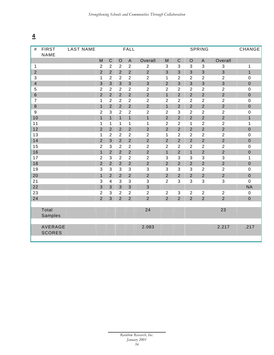| #               | <b>FIRST</b><br><b>NAME</b> | <b>LAST NAME</b> |                |                |                | <b>FALL</b>               |                  |                  |                |                | <b>SPRING</b>    |                  | CHANGE           |
|-----------------|-----------------------------|------------------|----------------|----------------|----------------|---------------------------|------------------|------------------|----------------|----------------|------------------|------------------|------------------|
|                 |                             |                  | M              | $\mathsf{C}$   | $\circ$        | $\mathsf{A}$              | Overall          | M                | $\mathsf{C}$   | $\circ$        | $\mathsf{A}$     | Overall          |                  |
| 1               |                             |                  | $\overline{2}$ | $\overline{2}$ | $\overline{2}$ | $\overline{2}$            | $\overline{2}$   | 3                | 3              | 3              | 3                | 3                | 1                |
| $\overline{2}$  |                             |                  | $\overline{2}$ | $\overline{2}$ | $\overline{2}$ | $\overline{2}$            | $\overline{2}$   | 3                | $\overline{3}$ | 3              | 3                | $\mathbf{3}$     | $\mathbf{1}$     |
| 3               |                             |                  | $\mathbf{1}$   | $\overline{2}$ | $\overline{2}$ | $\overline{2}$            | $\overline{2}$   | 1                | $\overline{2}$ | $\overline{2}$ | $\overline{2}$   | $\overline{c}$   | $\boldsymbol{0}$ |
| $\overline{4}$  |                             |                  | 3              | $\overline{3}$ | $\overline{3}$ | $\overline{3}$            | $\overline{3}$   | $\overline{2}$   | $\overline{3}$ | $\overline{3}$ | $\overline{3}$   | $\mathbf{3}$     | $\boldsymbol{0}$ |
| 5               |                             |                  | $\overline{2}$ | $\overline{2}$ | $\overline{2}$ | $\overline{c}$            | $\overline{2}$   | $\overline{2}$   | $\overline{2}$ | $\overline{2}$ | $\overline{2}$   | $\boldsymbol{2}$ | $\pmb{0}$        |
| $6\overline{6}$ |                             |                  | $\overline{2}$ | $\overline{2}$ | $\overline{2}$ | $\overline{2}$            | $\overline{2}$   | $\overline{1}$   | $\overline{2}$ | $\overline{2}$ | $\overline{2}$   | $\overline{2}$   | $\mathbf 0$      |
| $\overline{7}$  |                             |                  | 1              | $\overline{2}$ | $\overline{2}$ | $\overline{2}$            | $\overline{2}$   | $\overline{2}$   | $\overline{2}$ | $\overline{2}$ | $\overline{2}$   | $\boldsymbol{2}$ | $\pmb{0}$        |
| 8               |                             |                  | $\overline{1}$ | $\overline{2}$ | $\overline{2}$ | $\overline{2}$            | $\overline{2}$   | $\overline{1}$   | $\overline{2}$ | $\overline{2}$ | $\overline{2}$   | $\overline{2}$   | $\overline{0}$   |
| $9\,$           |                             |                  | $\overline{2}$ | 3              | $\overline{2}$ | $\overline{2}$            | $\boldsymbol{2}$ | $\overline{2}$   | 3              | $\overline{2}$ | $\overline{2}$   | $\overline{2}$   | $\boldsymbol{0}$ |
| 10              |                             |                  | $\overline{1}$ | $\overline{1}$ | $\mathbf{1}$   | $\overline{1}$            | $\overline{1}$   | $\overline{2}$   | $\overline{2}$ | $\overline{2}$ | $\overline{2}$   | $\overline{2}$   | $\overline{1}$   |
| 11              |                             |                  | 1              | 1              | 1              | $\mathbf{1}$              | 1                | $\overline{2}$   | $\overline{2}$ | $\mathbf{1}$   | $\overline{2}$   | $\overline{2}$   | 1                |
| 12              |                             |                  | $\overline{2}$ | $\overline{2}$ | $\overline{2}$ | $\overline{2}$            | $\overline{2}$   | $\overline{2}$   | $\overline{2}$ | $\overline{2}$ | $\overline{2}$   | $\overline{2}$   | $\pmb{0}$        |
| 13              |                             |                  | $\mathbf 1$    | $\overline{c}$ | $\overline{2}$ | $\boldsymbol{2}$          | $\boldsymbol{2}$ | $\mathbf 1$      | $\overline{2}$ | $\overline{2}$ | $\boldsymbol{2}$ | $\boldsymbol{2}$ | $\mathbf 0$      |
| 14              |                             |                  | $\overline{2}$ | $\overline{3}$ | $\overline{2}$ | $\overline{2}$            | $\overline{2}$   | $\overline{2}$   | $\overline{2}$ | $\overline{2}$ | $\overline{2}$   | $\overline{2}$   | $\mathbf 0$      |
| 15              |                             |                  | $\overline{2}$ | $\mathbf{3}$   | $\overline{2}$ | $\overline{2}$            | $\overline{2}$   | $\overline{2}$   | $\overline{2}$ | $\overline{2}$ | $\overline{2}$   | $\overline{2}$   | $\pmb{0}$        |
| 16              |                             |                  | $\mathbf{1}$   | $\overline{2}$ | $\overline{2}$ | $\overline{2}$            | $\overline{2}$   | $\overline{1}$   | $\overline{2}$ | $\overline{1}$ | $\overline{2}$   | $\overline{2}$   | $\mathbf 0$      |
| 17              |                             |                  | $\overline{2}$ | 3              | $\overline{2}$ | $\overline{2}$            | $\overline{2}$   | 3                | 3              | 3              | 3                | $\sqrt{3}$       | 1                |
| 18              |                             |                  | $\overline{2}$ | $\overline{2}$ | $\overline{2}$ | $\overline{2}$            | $\overline{2}$   | $\overline{2}$   | $\overline{2}$ | $\overline{2}$ | $\overline{2}$   | $\overline{2}$   | $\pmb{0}$        |
| 19              |                             |                  | 3              | $\mathbf{3}$   | 3              | $\ensuremath{\mathsf{3}}$ | $\sqrt{3}$       | 3                | 3              | 3              | $\overline{2}$   | $\overline{c}$   | $\boldsymbol{0}$ |
| 20              |                             |                  | $\mathbf{1}$   | $\overline{2}$ | $\overline{2}$ | $\overline{2}$            | $\overline{2}$   | $\overline{2}$   | $\overline{2}$ | $\overline{2}$ | $\overline{2}$   | $\overline{2}$   | $\mathbf 0$      |
| 21              |                             |                  | 3              | 4              | 3              | 3                         | 3                | $\overline{2}$   | 3              | 3              | 3                | 3                | $\mathbf 0$      |
| 22              |                             |                  | 3              | $\mathfrak{S}$ | 3              | $\mathbf{3}$              | $\mathbf{3}$     |                  |                |                |                  |                  | <b>NA</b>        |
| 23              |                             |                  | $\overline{2}$ | 3              | $\overline{2}$ | $\boldsymbol{2}$          | $\boldsymbol{2}$ | $\boldsymbol{2}$ | $\mathbf{3}$   | $\overline{2}$ | $\overline{2}$   | $\overline{c}$   | $\pmb{0}$        |
| 24              |                             |                  | $\overline{2}$ | 3              | $\overline{2}$ | $\overline{2}$            | $\overline{2}$   | $\overline{2}$   | $\overline{2}$ | $\overline{2}$ | $\overline{2}$   | $\overline{2}$   | $\pmb{0}$        |
|                 |                             |                  |                |                |                |                           |                  |                  |                |                |                  |                  |                  |
|                 | Total                       |                  |                |                |                |                           | 24               |                  |                |                |                  | 23               |                  |
|                 | Samples                     |                  |                |                |                |                           |                  |                  |                |                |                  |                  |                  |
|                 |                             |                  |                |                |                |                           |                  |                  |                |                |                  |                  |                  |
|                 | AVERAGE                     |                  |                |                |                |                           | 2.083            |                  |                |                |                  | 2.217            | .217             |
|                 | <b>SCORES</b>               |                  |                |                |                |                           |                  |                  |                |                |                  |                  |                  |
|                 |                             |                  |                |                |                |                           |                  |                  |                |                |                  |                  |                  |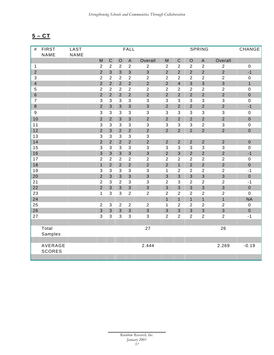# **5 – CT**

| $\#$           | <b>FIRST</b>  | LAST        |                  |                |                | FALL                      |                |                           |                |                  | <b>SPRING</b>    |                           | CHANGE           |
|----------------|---------------|-------------|------------------|----------------|----------------|---------------------------|----------------|---------------------------|----------------|------------------|------------------|---------------------------|------------------|
|                | <b>NAME</b>   | <b>NAME</b> |                  |                |                |                           |                |                           |                |                  |                  |                           |                  |
|                |               |             | M                | $\mathsf C$    | $\mathsf O$    | $\mathsf A$               | Overall        | M                         | $\mathsf C$    | $\mathsf O$      | $\mathsf A$      | Overall                   |                  |
| $\mathbf{1}$   |               |             | $\overline{2}$   | $\overline{2}$ | $\overline{2}$ | $\overline{c}$            | $\sqrt{2}$     | $\overline{2}$            | $\overline{2}$ | $\overline{2}$   | $\overline{2}$   | $\overline{2}$            | $\boldsymbol{0}$ |
| $\overline{2}$ |               |             | $\overline{2}$   | $\overline{3}$ | 3              | $\overline{3}$            | $\mathfrak{S}$ | $\overline{2}$            | $\overline{2}$ | $\overline{2}$   | $\overline{2}$   | $\overline{2}$            | $-1$             |
| $\mathfrak{S}$ |               |             | $\sqrt{2}$       | $\overline{2}$ | $\overline{2}$ | $\overline{c}$            | $\overline{2}$ | $\overline{c}$            | $\overline{c}$ | $\overline{2}$   | $\sqrt{2}$       | $\overline{2}$            | $\pmb{0}$        |
| $\overline{4}$ |               |             | $\overline{2}$   | $\overline{2}$ | $\overline{2}$ | $\overline{2}$            | $\overline{2}$ | $\overline{2}$            | $\overline{4}$ | $\overline{3}$   | $\overline{3}$   | $\overline{3}$            | $\mathbf{1}$     |
| 5              |               |             | $\overline{2}$   | $\overline{2}$ | $\overline{2}$ | $\overline{c}$            | $\overline{2}$ | $\overline{c}$            | $\overline{2}$ | $\overline{2}$   | $\overline{2}$   | $\overline{2}$            | $\mathbf 0$      |
| 6              |               |             | $\overline{2}$   | $\overline{2}$ | $\overline{2}$ | $\overline{2}$            | $\overline{2}$ | $\overline{2}$            | $\overline{2}$ | $\overline{2}$   | $\overline{2}$   | $\overline{2}$            | $\pmb{0}$        |
| $\overline{7}$ |               |             | 3                | $\mathbf{3}$   | 3              | $\mathsf 3$               | $\mathbf{3}$   | 3                         | 3              | $\mathbf{3}$     | 3                | $\ensuremath{\mathsf{3}}$ | $\mathbf 0$      |
| $\bf 8$        |               |             | $\overline{2}$   | 3              | 3              | $\mathsf 3$               | $\mathbf{3}$   | $\overline{2}$            | $\overline{2}$ | $\overline{2}$   | $\overline{2}$   | $\overline{2}$            | $-1$             |
| $9\,$          |               |             | 3                | $\mathbf{3}$   | 3              | $\ensuremath{\mathsf{3}}$ | $\sqrt{3}$     | 3                         | 3              | $\mathbf{3}$     | $\mathbf{3}$     | $\ensuremath{\mathsf{3}}$ | $\pmb{0}$        |
| 10             |               |             | $\overline{2}$   | $\overline{2}$ | 3              | $\mathfrak{S}$            | $\overline{2}$ | $\overline{2}$            | $\overline{2}$ | $\overline{2}$   | $\overline{2}$   | $\mathbf 2$               | $\boldsymbol{0}$ |
| 11             |               |             | $\sqrt{3}$       | $\sqrt{3}$     | 3              | $\ensuremath{\mathsf{3}}$ | $\mathsf 3$    | $\ensuremath{\mathsf{3}}$ | $\mathfrak{S}$ | $\sqrt{3}$       | $\boldsymbol{2}$ | $\ensuremath{\mathsf{3}}$ | $\pmb{0}$        |
| 12             |               |             | $\overline{2}$   | $\overline{3}$ | $\overline{2}$ | $\overline{2}$            | $\overline{2}$ | $\overline{2}$            | $\overline{2}$ | $\overline{2}$   | $\overline{2}$   | $\overline{2}$            | $\mathbf 0$      |
| 13             |               |             | $\sqrt{3}$       | $\mathbf{3}$   | 3              | $\mathfrak{S}$            | $\sqrt{3}$     |                           |                |                  |                  |                           |                  |
| 14             |               |             | $\overline{2}$   | $\overline{2}$ | $\overline{2}$ | $\overline{2}$            | $\overline{2}$ | $\overline{2}$            | $\overline{2}$ | $\overline{2}$   | $\overline{2}$   | $\overline{2}$            | $\mathbf 0$      |
| 15             |               |             | $\mathbf{3}$     | $\mathbf{3}$   | 3              | $\mathfrak{S}$            | $\sqrt{3}$     | 3                         | 3              | $\mathbf{3}$     | $\mathfrak{S}$   | $\mathbf{3}$              | $\pmb{0}$        |
| 16             |               |             | $\overline{3}$   | $\mathfrak{S}$ | 3              | $\mathbf{3}$              | $\mathfrak{S}$ | $\overline{2}$            | 3              | $\overline{2}$   | $\overline{2}$   | $\overline{2}$            | $-1$             |
| 17             |               |             | $\boldsymbol{2}$ | $\overline{2}$ | $\overline{2}$ | $\overline{c}$            | $\overline{2}$ | $\overline{c}$            | $\overline{2}$ | $\overline{2}$   | $\sqrt{2}$       | $\boldsymbol{2}$          | $\pmb{0}$        |
| 18             |               |             | $\mathbf{1}$     | $\overline{2}$ | $\overline{2}$ | $\overline{2}$            | $\overline{2}$ | $\overline{2}$            | $\mathbf{1}$   | $\overline{2}$   | $\overline{2}$   | $\overline{2}$            | $\mathbf 0$      |
| 19             |               |             | $\mathbf{3}$     | $\mathbf{3}$   | 3              | $\mathfrak{S}$            | $\mathfrak{S}$ | $\mathbf{1}$              | $\overline{c}$ | $\boldsymbol{2}$ | $\sqrt{2}$       | $\overline{2}$            | $-1$             |
| 20             |               |             | $\overline{2}$   | 3              | 3              | $\mathbf{3}$              | $\mathfrak{S}$ | $\mathfrak{S}$            | 3              | $\mathfrak{S}$   | $\mathsf 3$      | 3                         | $\pmb{0}$        |
| 21             |               |             | $\boldsymbol{2}$ | $\mathfrak{S}$ | $\overline{2}$ | $\mathfrak{S}$            | $\mathfrak{S}$ | $\overline{c}$            | 3              | $\boldsymbol{2}$ | $\overline{c}$   | $\overline{c}$            | $-1$             |
| 22             |               |             | $\overline{2}$   | 3              | 3              | $\ensuremath{\mathsf{3}}$ | $\mathfrak{S}$ | 3                         | 3              | $\mathfrak{S}$   | $\mathbf{3}$     | $\mathfrak{S}$            | $\pmb{0}$        |
| 23             |               |             | $\mathbf{1}$     | $\mathbf{3}$   | 3              | $\overline{c}$            | $\sqrt{2}$     | $\overline{c}$            | $\overline{c}$ | $\boldsymbol{2}$ | $\overline{c}$   | $\boldsymbol{2}$          | $\pmb{0}$        |
| 24             |               |             |                  |                |                |                           |                | $\mathbf{1}$              | $\overline{1}$ | $\overline{1}$   | $\mathbf{1}$     | $\mathbf{1}$              | <b>NA</b>        |
| 25             |               |             | $\sqrt{2}$       | $\mathfrak{S}$ | $\overline{2}$ | $\overline{c}$            | $\overline{2}$ | $\mathbf 1$               | $\overline{c}$ | $\boldsymbol{2}$ | $\overline{c}$   | $\boldsymbol{2}$          | $\pmb{0}$        |
| 26             |               |             | $\mathbf{3}$     | 3              | 3              | 3                         | $\mathfrak{S}$ | 3                         | 3              | $\mathfrak{S}$   | $\mathsf 3$      | $\mathfrak{S}$            | $\pmb{0}$        |
| 27             |               |             | 3                | $\sqrt{3}$     | 3              | 3                         | $\sqrt{3}$     | $\overline{c}$            | $\overline{2}$ | $\overline{2}$   | $\boldsymbol{2}$ | $\boldsymbol{2}$          | $-1$             |
|                |               |             |                  |                |                |                           |                |                           |                |                  |                  |                           |                  |
|                | Total         |             |                  |                |                |                           | 27             |                           |                |                  |                  | 26                        |                  |
|                | Samples       |             |                  |                |                |                           |                |                           |                |                  |                  |                           |                  |
|                |               |             |                  |                |                |                           |                |                           |                |                  |                  |                           |                  |
|                | AVERAGE       |             |                  |                |                |                           | 2.444          |                           |                |                  |                  | 2.269                     | $-0.19$          |
|                | <b>SCORES</b> |             |                  |                |                |                           |                |                           |                |                  |                  |                           |                  |
|                |               |             |                  |                |                |                           |                |                           |                |                  |                  |                           |                  |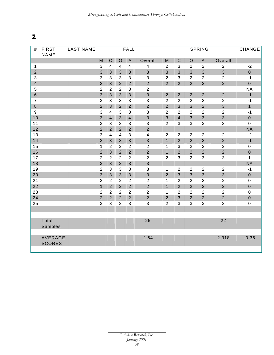| #                       | <b>FIRST</b><br>NAME | <b>LAST NAME</b> |                |                         |                           | <b>FALL</b>               |                         |                |                |                | <b>SPRING</b>  | CHANGE           |              |
|-------------------------|----------------------|------------------|----------------|-------------------------|---------------------------|---------------------------|-------------------------|----------------|----------------|----------------|----------------|------------------|--------------|
|                         |                      |                  | M              | $\mathbf C$             | $\circ$                   | $\mathsf{A}$              | Overall                 | M              | $\mathsf C$    | $\circ$        | $\mathsf{A}$   | Overall          |              |
| $\mathbf{1}$            |                      |                  | $\sqrt{3}$     | $\overline{4}$          | 4                         | $\overline{\mathbf{4}}$   | $\overline{\mathbf{4}}$ | $\overline{2}$ | $\mathbf{3}$   | $\overline{2}$ | $\overline{2}$ | $\overline{2}$   | $-2$         |
| $\overline{2}$          |                      |                  | 3              | $\overline{3}$          | 3                         | 3                         | $\overline{3}$          | 3              | $\overline{3}$ | $\overline{3}$ | 3              | 3                | $\mathbf 0$  |
| $\mathbf{3}$            |                      |                  | $\mathfrak{S}$ | $\mathbf{3}$            | 3                         | $\mathsf 3$               | $\sqrt{3}$              | $\overline{2}$ | $\mathbf{3}$   | $\overline{2}$ | $\overline{2}$ | $\overline{c}$   | $-1$         |
| $\overline{\mathbf{4}}$ |                      |                  | $\overline{2}$ | 3                       | $\overline{2}$            | $\overline{2}$            | $\overline{2}$          | $\overline{2}$ | $\overline{2}$ | $\overline{2}$ | $\overline{2}$ | $\overline{2}$   | $\mathbf 0$  |
| $\overline{5}$          |                      |                  | $\sqrt{2}$     | $\overline{2}$          | $\overline{2}$            | 3                         | $\sqrt{2}$              |                |                |                |                |                  | <b>NA</b>    |
| $6\overline{6}$         |                      |                  | $\overline{3}$ | $\overline{3}$          | $\overline{3}$            | $\overline{3}$            | $\overline{3}$          | $\overline{2}$ | $\overline{2}$ | $\overline{2}$ | $\overline{2}$ | $\overline{2}$   | $-1$         |
| $\overline{7}$          |                      |                  | $\mathbf{3}$   | $\mathbf{3}$            | 3                         | $\ensuremath{\mathsf{3}}$ | $\sqrt{3}$              | $\overline{2}$ | $\overline{2}$ | $\overline{2}$ | $\overline{2}$ | $\overline{2}$   | $-1$         |
| $\,8\,$                 |                      |                  | $\overline{2}$ | $\overline{3}$          | $\overline{2}$            | $\overline{2}$            | $\overline{2}$          | $\overline{2}$ | $\overline{3}$ | 3              | $\overline{2}$ | $\overline{3}$   | $\mathbf{1}$ |
| $9\,$                   |                      |                  | $\mathbf{3}$   | $\overline{4}$          | 3                         | $\sqrt{3}$                | $\sqrt{3}$              | $\overline{2}$ | $\overline{2}$ | $\overline{2}$ | $\overline{c}$ | $\boldsymbol{2}$ | $-1$         |
| 10                      |                      |                  | $\overline{3}$ | $\overline{4}$          | 3                         | $\overline{\mathbf{4}}$   | $\mathfrak{S}$          | 3              | $\overline{4}$ | 3              | $\mathsf 3$    | $\mathsf 3$      | $\pmb{0}$    |
| 11                      |                      |                  | 3              | 3                       | 3                         | 3                         | $\sqrt{3}$              | $\overline{2}$ | 3              | 3              | 3              | 3                | $\mathbf 0$  |
| 12                      |                      |                  | $\overline{2}$ | $\overline{2}$          | $\overline{2}$            | $\overline{2}$            | $\overline{2}$          |                |                |                |                |                  | <b>NA</b>    |
| 13                      |                      |                  | 3              | $\overline{\mathbf{4}}$ | $\overline{\mathbf{4}}$   | $\mathfrak{S}$            | $\overline{\mathbf{4}}$ | $\overline{2}$ | $\overline{2}$ | $\overline{2}$ | $\sqrt{2}$     | $\overline{c}$   | $-2$         |
| 14                      |                      |                  | $\overline{2}$ | $\overline{3}$          | $\overline{3}$            | $\overline{3}$            | $\overline{3}$          | $\overline{1}$ | $\overline{2}$ | $\overline{2}$ | $\overline{2}$ | $\overline{2}$   | $-1$         |
| 15                      |                      |                  | $\mathbf{1}$   | $\overline{2}$          | $\overline{2}$            | $\overline{2}$            | $\mathbf 2$             | $\mathbf{1}$   | $\mathbf{3}$   | $\overline{2}$ | $\overline{2}$ | $\overline{c}$   | $\pmb{0}$    |
| 16                      |                      |                  | $\overline{2}$ | $\overline{3}$          | $\overline{2}$            | $\overline{2}$            | $\overline{2}$          | $\overline{1}$ | $\overline{2}$ | $\overline{2}$ | $\overline{2}$ | $\overline{2}$   | $\pmb{0}$    |
| 17                      |                      |                  | $\overline{2}$ | $\overline{2}$          | $\overline{2}$            | $\overline{2}$            | $\sqrt{2}$              | $\overline{2}$ | 3              | $\overline{2}$ | $\mathbf{3}$   | $\mathfrak{S}$   | $\mathbf{1}$ |
| 18                      |                      |                  | 3              | 3                       | $\overline{3}$            | $\mathbf{3}$              | 3                       |                |                |                |                |                  | <b>NA</b>    |
| 19                      |                      |                  | $\overline{2}$ | $\mathfrak{S}$          | $\ensuremath{\mathsf{3}}$ | $\mathfrak{S}$            | $\sqrt{3}$              | $\mathbf{1}$   | $\overline{2}$ | $\overline{2}$ | $\mathbf{2}$   | $\sqrt{2}$       | $-1$         |
| 20                      |                      |                  | 3              | $\overline{3}$          | $\overline{3}$            | $\mathbf{3}$              | $\mathfrak{S}$          | $\overline{2}$ | $\mathbf{3}$   | $\overline{3}$ | $\overline{3}$ | 3                | $\pmb{0}$    |
| 21                      |                      |                  | $\overline{2}$ | $\overline{2}$          | $\overline{2}$            | $\overline{c}$            | $\overline{c}$          | $\mathbf{1}$   | $\overline{2}$ | $\overline{2}$ | $\overline{2}$ | $\overline{c}$   | $\pmb{0}$    |
| 22                      |                      |                  | $\mathbf{1}$   | $\overline{2}$          | $\overline{2}$            | $\overline{2}$            | $\overline{2}$          | $\overline{1}$ | $\overline{2}$ | $\overline{2}$ | $\overline{2}$ | $\overline{2}$   | $\mathbf 0$  |
| 23                      |                      |                  | $\overline{2}$ | 2                       | $\overline{2}$            | $\overline{2}$            | $\overline{2}$          | $\mathbf{1}$   | $\overline{2}$ | $\overline{2}$ | $\overline{2}$ | $\overline{2}$   | $\pmb{0}$    |
| 24                      |                      |                  | $\overline{2}$ | $\overline{2}$          | $\overline{2}$            | $\overline{2}$            | $\overline{2}$          | $\overline{2}$ | $\overline{3}$ | $\overline{2}$ | $\overline{2}$ | $\overline{2}$   | $\pmb{0}$    |
| 25                      |                      |                  | 3              | $\mathbf{3}$            | 3                         | $\mathsf 3$               | $\sqrt{3}$              | $\overline{2}$ | $\mathbf{3}$   | $\mathbf{3}$   | $\mathbf{3}$   | 3                | $\mathbf 0$  |
|                         |                      |                  |                |                         |                           |                           |                         |                |                |                |                |                  |              |
|                         |                      |                  |                |                         |                           |                           |                         |                |                |                |                |                  |              |
|                         | Total                |                  |                |                         |                           |                           | 25                      |                |                |                |                | 22               |              |
|                         | Samples              |                  |                |                         |                           |                           |                         |                |                |                |                |                  |              |
|                         | AVERAGE              |                  |                |                         |                           |                           | 2.64                    |                |                |                |                | 2.318            | $-0.36$      |
|                         | <b>SCORES</b>        |                  |                |                         |                           |                           |                         |                |                |                |                |                  |              |
|                         |                      |                  |                |                         |                           |                           |                         |                |                |                |                |                  |              |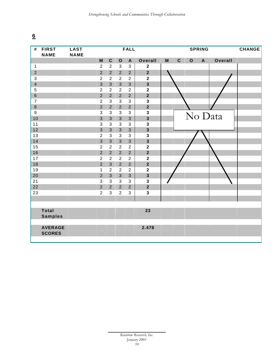| $\pmb{\#}$     | <b>FIRST</b><br><b>NAME</b>     | <b>LAST</b><br><b>NAME</b> |                  |                |                | <b>FALL</b>               |                         |                                                                                       |             | <b>CHANGE</b> |              |         |  |
|----------------|---------------------------------|----------------------------|------------------|----------------|----------------|---------------------------|-------------------------|---------------------------------------------------------------------------------------|-------------|---------------|--------------|---------|--|
|                |                                 |                            | M                | $\mathbf C$    | $\mathbf O$    | $\boldsymbol{\mathsf{A}}$ | Overall                 | $\mathsf{M}% _{T}=\mathsf{M}_{T}\!\left( a,b\right) ,\ \mathsf{M}_{T}=\mathsf{M}_{T}$ | $\mathbf C$ | $\mathbf{o}$  | $\mathbf{A}$ | Overall |  |
| $\mathbf{1}$   |                                 |                            | $\boldsymbol{2}$ | $\overline{2}$ | $\mathfrak{S}$ | $\sqrt{3}$                | $\boldsymbol{2}$        |                                                                                       |             |               |              |         |  |
| $\overline{2}$ |                                 |                            | $\overline{2}$   | $\overline{2}$ | $\overline{2}$ | $\overline{2}$            | $\overline{2}$          |                                                                                       |             |               |              |         |  |
| $\mathbf{3}$   |                                 |                            | $\overline{2}$   | $\overline{2}$ | $\overline{2}$ | $\boldsymbol{2}$          | $\mathbf 2$             |                                                                                       |             |               |              |         |  |
| $\overline{4}$ |                                 |                            | $\mathfrak{S}$   | $\mathfrak{S}$ | $\mathbf{3}$   | $\mathfrak{S}$            | $\overline{\mathbf{3}}$ |                                                                                       |             |               |              |         |  |
| $\sqrt{5}$     |                                 |                            | $\overline{2}$   | $\overline{2}$ | $\overline{2}$ | $\overline{2}$            | $\mathbf{2}$            |                                                                                       |             |               |              |         |  |
| $\,6\,$        |                                 |                            | $\overline{2}$   | $\overline{2}$ | $\overline{2}$ | $\overline{2}$            | $\overline{\mathbf{2}}$ |                                                                                       |             |               |              |         |  |
| $\overline{7}$ |                                 |                            | $\overline{2}$   | 3              | $\mathfrak{S}$ | $\sqrt{3}$                | $\mathbf 3$             |                                                                                       |             |               |              |         |  |
| $\,8\,$        |                                 |                            | $\overline{2}$   | $\overline{2}$ | $\overline{2}$ | $\overline{2}$            | $\overline{\mathbf{2}}$ |                                                                                       |             |               |              |         |  |
| $\overline{9}$ |                                 |                            | $\mathfrak{S}$   | 3              | $\sqrt{3}$     | $\sqrt{3}$                | 3                       |                                                                                       |             |               |              |         |  |
| 10             |                                 |                            | 3                | $\mathfrak{S}$ | $\mathbf{3}$   | $\mathbf{3}$              | $\overline{\mathbf{3}}$ |                                                                                       |             |               |              | No Data |  |
| 11             |                                 |                            | $\mathfrak{S}$   | $\mathfrak{S}$ | $\mathbf{3}$   | $\mathbf{3}$              | $\mathbf 3$             |                                                                                       |             |               |              |         |  |
| 12             |                                 |                            | $\overline{3}$   | $\overline{3}$ | $\overline{3}$ | $\overline{3}$            | $\overline{\mathbf{3}}$ |                                                                                       |             |               |              |         |  |
| 13             |                                 |                            | $\overline{2}$   | $\mathbf{3}$   | $\mathfrak{S}$ | $\sqrt{3}$                | 3                       |                                                                                       |             |               |              |         |  |
| 14             |                                 |                            | $\overline{3}$   | $\overline{3}$ | $\overline{3}$ | $\overline{3}$            | $\overline{\mathbf{3}}$ |                                                                                       |             |               |              |         |  |
| 15             |                                 |                            | $\overline{2}$   | $\overline{2}$ | $\overline{2}$ | $\sqrt{2}$                | $\mathbf 2$             |                                                                                       |             |               |              |         |  |
| 16             |                                 |                            | $\overline{2}$   | $\overline{2}$ | $\overline{2}$ | $\overline{2}$            | $\overline{\mathbf{2}}$ |                                                                                       |             |               |              |         |  |
| 17             |                                 |                            | $\boldsymbol{2}$ | $\overline{2}$ | $\overline{2}$ | $\overline{c}$            | $\boldsymbol{2}$        |                                                                                       |             |               |              |         |  |
| 18             |                                 |                            | $\overline{2}$   | $\overline{3}$ | $\overline{2}$ | $\overline{2}$            | $\overline{\mathbf{2}}$ |                                                                                       |             |               |              |         |  |
| 19             |                                 |                            | 1                | $\overline{2}$ | $\overline{2}$ | $\overline{2}$            | $\mathbf{2}$            |                                                                                       |             |               |              |         |  |
| 20             |                                 |                            | $\overline{2}$   | $\mathfrak{S}$ | $\mathbf{3}$   | $\mathbf{3}$              | $\overline{\mathbf{3}}$ |                                                                                       |             |               |              |         |  |
| 21             |                                 |                            | $\mathsf 3$      | $\mathfrak{S}$ | $\mathfrak{S}$ | $\sqrt{3}$                | $\mathbf{3}$            |                                                                                       |             |               |              |         |  |
| 22             |                                 |                            | $\overline{2}$   | $\overline{2}$ | $\overline{2}$ | $\overline{2}$            | $\mathbf{2}$            |                                                                                       |             |               |              |         |  |
| 23             |                                 |                            | $\overline{c}$   | $\mathfrak{S}$ | $\sqrt{2}$     | $\sqrt{3}$                | $\mathbf{3}$            |                                                                                       |             |               |              |         |  |
|                |                                 |                            |                  |                |                |                           |                         |                                                                                       |             |               |              |         |  |
|                |                                 |                            |                  |                |                |                           |                         |                                                                                       |             |               |              |         |  |
|                | <b>Total</b>                    |                            |                  |                |                |                           | 23                      |                                                                                       |             |               |              |         |  |
|                | <b>Samples</b>                  |                            |                  |                |                |                           |                         |                                                                                       |             |               |              |         |  |
|                |                                 |                            |                  |                |                |                           |                         |                                                                                       |             |               |              |         |  |
|                | <b>AVERAGE</b><br><b>SCORES</b> |                            |                  |                |                |                           | 2.478                   |                                                                                       |             |               |              |         |  |
|                |                                 |                            |                  |                |                |                           |                         |                                                                                       |             |               |              |         |  |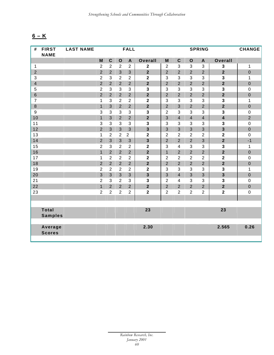# **6 – K**

| #                       | <b>FIRST</b>   | <b>LAST NAME</b> |                           |                  |                | <b>FALL</b>               |                         |                |                         | <b>CHANGE</b>  |                           |                         |                  |
|-------------------------|----------------|------------------|---------------------------|------------------|----------------|---------------------------|-------------------------|----------------|-------------------------|----------------|---------------------------|-------------------------|------------------|
|                         | <b>NAME</b>    |                  |                           |                  |                |                           |                         |                |                         |                |                           |                         |                  |
|                         |                |                  | M                         | $\mathbf C$      | $\mathbf{o}$   | $\boldsymbol{\mathsf{A}}$ | <b>Overall</b>          | M              | $\mathbf C$             | $\mathbf O$    | $\boldsymbol{\mathsf{A}}$ | Overall                 |                  |
| $\mathbf{1}$            |                |                  | $\sqrt{2}$                | $\boldsymbol{2}$ | $\sqrt{2}$     | $\overline{c}$            | $\mathbf 2$             | $\overline{c}$ | 3                       | 3              | $\mathfrak{S}$            | $\mathbf 3$             | $\mathbf 1$      |
| $\overline{2}$          |                |                  | $\overline{2}$            | $\overline{2}$   | $\overline{3}$ | $\overline{3}$            | $\overline{2}$          | $\overline{2}$ | $\overline{2}$          | $\overline{2}$ | $\overline{2}$            | $\overline{2}$          | $\mathbf 0$      |
| 3                       |                |                  | $\overline{2}$            | $\sqrt{3}$       | $\overline{2}$ | $\overline{2}$            | $\mathbf 2$             | 3              | 3                       | 3              | 3                         | $\mathbf 3$             | 1                |
| $\overline{\mathbf{4}}$ |                |                  | $\overline{2}$            | $\overline{2}$   | $\overline{2}$ | $\overline{2}$            | $\overline{2}$          | $\overline{2}$ | $\overline{2}$          | $\overline{2}$ | $\overline{2}$            | $\overline{2}$          | $\mathbf 0$      |
| 5                       |                |                  | $\overline{2}$            | $\sqrt{3}$       | 3              | $\mathfrak{S}$            | 3                       | $\sqrt{3}$     | 3                       | $\mathbf{3}$   | 3                         | $\mathbf 3$             | $\pmb{0}$        |
| $6\phantom{1}$          |                |                  | $\overline{2}$            | $\overline{2}$   | $\overline{2}$ | $\overline{2}$            | $\overline{\mathbf{2}}$ | $\overline{2}$ | $\overline{2}$          | $\overline{2}$ | $\overline{2}$            | $\overline{\mathbf{2}}$ | $\mathbf 0$      |
| $\overline{7}$          |                |                  | 1                         | $\mathbf{3}$     | $\overline{2}$ | $\overline{2}$            | $\mathbf{2}$            | 3              | 3                       | 3              | 3                         | $\mathbf{3}$            | 1                |
| $\bf 8$                 |                |                  | $\mathbf{1}$              | $\mathbf{3}$     | $\overline{2}$ | $\overline{2}$            | $\overline{2}$          | $\overline{2}$ | 3                       | $\overline{2}$ | $\overline{2}$            | $\overline{2}$          | $\mathbf 0$      |
| 9                       |                |                  | $\ensuremath{\mathsf{3}}$ | $\mathbf{3}$     | 3              | 3                         | $\mathbf{3}$            | $\overline{2}$ | 3                       | $\mathbf{3}$   | 3                         | 3                       | $\pmb{0}$        |
| 10                      |                |                  | $\overline{1}$            | 3                | $\overline{2}$ | $\overline{2}$            | $\overline{2}$          | $\overline{3}$ | $\overline{4}$          | $\overline{4}$ | $\overline{4}$            | $\overline{\mathbf{4}}$ | $\overline{2}$   |
| 11                      |                |                  | $\mathbf{3}$              | $\mathbf{3}$     | 3              | 3                         | $\mathbf{3}$            | 3              | 3                       | $\mathbf{3}$   | 3                         | $\mathbf{3}$            | $\mathbf 0$      |
| 12                      |                |                  | $\overline{2}$            | $\overline{3}$   | $\overline{3}$ | $\overline{3}$            | $\overline{\mathbf{3}}$ | $\overline{3}$ | 3                       | $\overline{3}$ | 3                         | $\overline{\mathbf{3}}$ | $\mathbf 0$      |
| 13                      |                |                  | 1                         | 2                | $\overline{2}$ | $\overline{2}$            | $\mathbf 2$             | $\overline{2}$ | $\overline{2}$          | $\overline{2}$ | $\overline{2}$            | 2                       | $\mathbf 0$      |
| 14                      |                |                  | $\overline{2}$            | $\overline{3}$   | 3              | 3                         | $\overline{\mathbf{3}}$ | $\overline{2}$ | $\overline{2}$          | $\overline{2}$ | 3                         | $\overline{2}$          | $-1$             |
| 15                      |                |                  | $\overline{2}$            | 3                | $\overline{2}$ | $\overline{2}$            | $\overline{\mathbf{2}}$ | 3              | $\overline{\mathbf{4}}$ | $\mathbf{3}$   | 3                         | $\mathbf{3}$            | 1                |
| 16                      |                |                  | $\mathbf{1}$              | $\overline{2}$   | $\overline{2}$ | $\overline{2}$            | $\mathbf{2}$            | $\mathbf{1}$   | $\overline{2}$          | $\overline{2}$ | $\overline{2}$            | $\overline{\mathbf{2}}$ | $\boldsymbol{0}$ |
| 17                      |                |                  | 1                         | $\overline{2}$   | $\overline{2}$ | $\overline{2}$            | $\mathbf{2}$            | $\overline{2}$ | $\overline{2}$          | $\overline{2}$ | $\overline{2}$            | $\mathbf 2$             | $\mathbf 0$      |
| 18                      |                |                  | $\overline{2}$            | $\overline{2}$   | $\overline{2}$ | $\overline{2}$            | $\overline{2}$          | $\overline{2}$ | $\overline{2}$          | $\overline{2}$ | $\overline{2}$            | $\overline{\mathbf{2}}$ | $\boldsymbol{0}$ |
| 19                      |                |                  | $\overline{2}$            | $\overline{2}$   | $\overline{2}$ | $\overline{2}$            | $\mathbf{2}$            | 3              | 3                       | 3              | 3                         | 3                       | 1                |
| 20                      |                |                  | $\overline{3}$            | $\overline{3}$   | 3              | 3                         | $\overline{\mathbf{3}}$ | 3              | $\overline{4}$          | $\overline{3}$ | 3                         | $\overline{\mathbf{3}}$ | $\mathbf 0$      |
| 21                      |                |                  | $\sqrt{2}$                | $\mathbf{3}$     | $\overline{2}$ | 3                         | $\mathbf{3}$            | $\overline{2}$ | $\overline{\mathbf{4}}$ | $\mathbf{3}$   | 3                         | $\mathbf{3}$            | $\boldsymbol{0}$ |
| 22                      |                |                  | $\overline{1}$            | $\overline{2}$   | $\overline{2}$ | $\overline{2}$            | $\overline{\mathbf{2}}$ | $\overline{2}$ | $\overline{2}$          | $\overline{2}$ | $\overline{2}$            | $\overline{2}$          | $\boldsymbol{0}$ |
| 23                      |                |                  | $\overline{2}$            | $\overline{2}$   | $\overline{2}$ | $\overline{2}$            | $\overline{\mathbf{2}}$ | $\overline{2}$ | $\overline{2}$          | $\overline{2}$ | $\overline{2}$            | $\overline{\mathbf{2}}$ | $\boldsymbol{0}$ |
|                         |                |                  |                           |                  |                |                           |                         |                |                         |                |                           |                         |                  |
|                         |                |                  |                           |                  |                |                           |                         |                |                         |                |                           |                         |                  |
|                         | <b>Total</b>   |                  |                           |                  |                |                           | 23                      |                |                         |                |                           | 23                      |                  |
|                         | <b>Samples</b> |                  |                           |                  |                |                           |                         |                |                         |                |                           |                         |                  |
|                         |                |                  |                           |                  |                |                           |                         |                |                         |                |                           |                         |                  |
|                         | Average        |                  |                           |                  |                |                           | 2.30                    |                |                         |                |                           | 2.565                   | 0.26             |
|                         | <b>Scores</b>  |                  |                           |                  |                |                           |                         |                |                         |                |                           |                         |                  |
|                         |                |                  |                           |                  |                |                           |                         |                |                         |                |                           |                         |                  |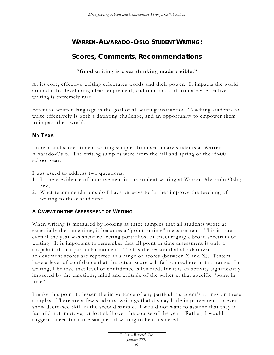# **WARREN-ALVARADO-OSLO STUDENT WRITING:**

## **Scores, Comments, Recommendations**

### **"Good writing is clear thinking made visible."**

At its core, effective writing celebrates words a nd their power. It impacts the world around it by developing ideas, enjoyment, and opinion. Unfortunately, effective writing is extremely rare.

Effective written language is the goal of all writing instruction. Teaching students to write effectively is both a daunting challenge, and an opportunity to empower them to impact their world.

### **MY T ASK**

To read and score student writing samples from secondary students at Warren-Alvarado-Oslo. The writing samples were from the fall and spring of the 99-00 school year.

I was asked to address two questions:

- 1. Is there evidence of improvement in the student writing at Warren-Alvarado-Oslo; and,
- 2. What recommendations do I have on ways to further improve the teaching of writing to these students?

### **A CAVEAT ON THE ASSESSMENT OF WRITING**

When writing is measured by looking at three samples that all students wrote at essentially the same time, it becomes a "point in time" measurement. This is true even if the year was spent collecting portfolios, or encouraging a broad spectrum of writing. It is important to remember that all point in time assessment is only a snapshot of that particular moment. That is the reason that standardized achievement scores are reported as a range of scores (between X and X). Testers have a level of confidence that the actual score will fall somewhere in that range. In writing, I believe that level of confidence is lowered, for it is an activity significantly impacted by the emotions, mind and attitude of the writer at that specific "point in time".

I make this point to lessen the importance of any particular student's ratings on these samples. There are a few students' writings that display little improvement, or even show decreased skill in the second sample. I would not want to assume that they in fact did not improve, or lost skill over the course of the year. Rather, I would suggest a need for more samples of writing to be considered.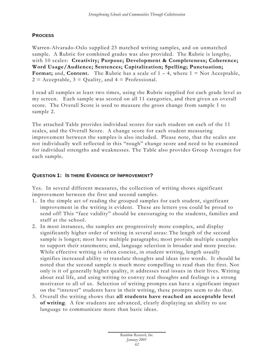### **PROCESS**

Warren-Alvarado-Oslo supplied 23 matched writing samples, and on unmatched sample. A Rubric for combined grades was also provided. The Rubric is lengthy, with 10 scales: **Creativity; Purpose; Development & Completeness; Coherence; Word Usage/Audience; Sentences; Capitalization; Spelling; Punctuation; Format;** and, **Content.** The Rubric has a scale of  $1 - 4$ , where  $1 = Not Acceptable$ ,  $2 =$  Acceptable,  $3 =$  Quality, and  $4 =$  Professional.

I read all samples at least two times, using the Rubric supplied for each grade level as my screen. Each sample was scored on all 11 categories, and then given an overall score. The Overall Score is used to measure the gross change from sample 1 to sample 2.

The attached Table provides individual scores for each student on each of the 11 scales, and the Overall Score. A change score for each student measuring improvement between the samples is also included. Please note, that the scales are not individually well reflected in this "rough" change score and need to be examined for individual strengths and weaknesses. The Table also provides Group Averages for each sample.

### **QUESTION 1: IS THERE EVIDENCE OF IMPROVEMENT?**

Yes. In several different measures, the collection of writing shows significant improvement between the first and second samples.

- 1. In the simple act of reading the grouped samples for each student, significant improvement in the writing is evident. These are letters you could be proud to send off! This "face validity" should be encouraging to the students, families and staff at the school.
- 2. In most instances, the samples are progressively more complex, and display significantly higher order of writing in several areas: The length of the second sample is longer; most have multiple paragraphs; most provide multiple examples to support their statements; and, language selection is broader and more precise. While effective writing is often concise, in student writing, length usually signifies increased ability to translate thoughts and ideas into words. It should be noted that the second sample is much more compelling to read than the first. Not only is it of generally higher quality, it addresses real issues in their lives. Writing about real life, and using writing to convey real thoughts and feelings is a strong motivator to all of us. Selection of writing prompts can have a significant impact on the "interest" students have in their writing, these prompts seem to do that.
- 3. Overall the writing shows that **all students have reached an acceptable level of writing**. A few students are advanced, clearly displaying an ability to use language to communicate more than basic ideas.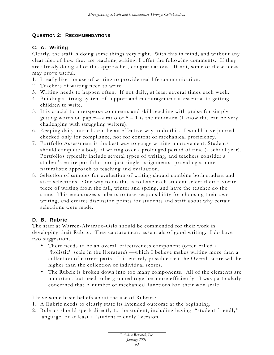### **QUESTION 2: RECOMMENDATIONS**

### **C. A. Writing**

Clearly, the staff is doing some things very right. With this in mind, and without any clear idea of how they are teaching writing, I offer the following comments. If they are already doing all of this approaches, congratulations. If not, some of these ideas may prove useful.

- 1. I really like the use of writing to provide real life communication.
- 2. Teachers of writing need to write.
- 3. Writing needs to happen often. If not daily, at least several times each week.
- 4. Building a strong system of support and encouragement is essential to getting children to write.
- 5. It is crucial to intersperse comments and skill teaching with praise for simply getting words on paper—a ratio of 5 – 1 is the minimum (I know this can be very challenging with struggling writers).
- 6. Keeping daily journals can be an effective way to do this. I would have journals checked only for compliance, not for content or mechanical proficiency.
- 7. Portfolio Assessment is the best way to gauge writing improvement. Students should complete a body of writing over a prolonged period of time (a school year). Portfolios typically include several types of writing, and teachers consider a student's entire portfolio--not just single assignments--providing a more naturalistic approach to teaching and evaluation.
- 8. Selection of samples for evaluation of writing should combine both student and staff selections. One way to do this is to have each student select their favorite piece of writing from the fall, winter and spring, and have the teacher do the same. This encourages students to take responsibility for choosing their own writing, and creates discussion points for students and staff about why certain selections were made.

### **D. B. Rubric**

The staff at Warren-Alvarado-Oslo should be commended for their work in developing their Rubric. They capture many essentials of good writing. I do have two suggestions.

- There needs to be an overall effectiveness component (often called a "holistic" scale in the literature) —which I believe makes writing more than a collection of correct parts. It is entirely possible that the Overall score will be higher than the collection of individual scores.
- The Rubric is broken down into too many components. All of the elements are important, but need to be grouped together more efficiently. I was particularly concerned that A number of mechanical functions had their won scale.

I have some basic beliefs about the use of Rubrics:

- 1. A Rubric needs to clearly state its intended outcome at the beginning.
- 2. Rubrics should speak directly to the student, including having "student friendly" language, or at least a "student friendly" version.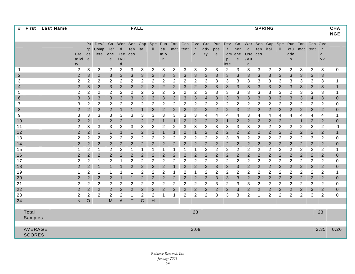| #              | <b>First</b>  | <b>Last Name</b> |                |                |                |                |                | <b>FALL</b>    |             |                |                |                |                |                |                |                |                |                |                  | <b>SPRING</b>  |                |                |                |                |                |                | <b>CHA</b><br><b>NGE</b> |
|----------------|---------------|------------------|----------------|----------------|----------------|----------------|----------------|----------------|-------------|----------------|----------------|----------------|----------------|----------------|----------------|----------------|----------------|----------------|------------------|----------------|----------------|----------------|----------------|----------------|----------------|----------------|--------------------------|
|                |               |                  |                |                |                |                |                |                |             |                |                |                |                |                |                |                |                |                |                  |                |                |                |                |                |                |                |                          |
|                |               |                  |                | Pu             | Dev/           | Co             | Wor            | Sen            | Cap         | Spe            | Pun            | For-           | Con Ove        |                | Cre            | Pur            | Dev            | Co             | Wor              | Sen            | Cap            | Spe            | Pun            | For-           | Con            | Ove            |                          |
|                |               |                  |                | rp             | Comp           | Her            | d              | ten            | ital.       | Ш              | ctu            | mat            | tent           |                | ativi          | pos            |                | her            | d                | ten            | ital.          | II             | ctu            |                | mat tent       | $\mathsf{r}$   |                          |
|                |               |                  | Cre            | <b>OS</b>      | lete           | enc            | Use            | ces            |             |                | atio           |                |                | all            | ty             | e              | Com            | enc            | Use              | ces            |                |                | atio           |                |                | all            |                          |
|                |               |                  | ativi<br>ty    | e              |                | $\mathbf e$    | /Au<br>d       |                |             |                | n              |                |                |                |                |                | p<br>lete      | e              | /Au<br>d         |                |                |                | n              |                |                | <b>VV</b>      |                          |
| 1              |               |                  | 2              | 3              | 2              | $\overline{2}$ | 2              | 3              | 3           | 3              | 3              | 3              | 3              | 3              | 2              | 3              | 2              | 3              | 3                | 3              | $\overline{c}$ | 3              | 2              | 3              | 3              | 3              | $\mathbf 0$              |
| $\overline{2}$ |               |                  | 2              | 3              | $\overline{2}$ | 3              | 3              | 3              | 3           | $\overline{2}$ | 3              | 3              | 3              | 3              | 3              | 3              | 3              | 3              | 3                | 3              | 3              | 3              | 3              | 3              | 3              | 3              |                          |
| 3              |               |                  | 2              | 2              | 2              | 2              | 2              | 2              | 2           | $\overline{2}$ | 2              | 2              | 2              | 2              | 3              | 3              | 3              | 3              | 3                | 3              | 3              | 3              | 3              | 3              | 3              | 3              | $\mathbf 1$              |
| $\overline{4}$ |               |                  | $\overline{2}$ | 3              | $\overline{2}$ | 3              | $\overline{2}$ | 2              | 2           | $\overline{2}$ | 2              | $\overline{2}$ | 3              | $\overline{2}$ | 3              | 3              | 3              | 3              | 3                | 3              | 3              | 3              | 3              | 3              | 3              | 3              | $\mathbf{1}$             |
| 5              |               |                  | 2              | 2              | 2              | 2              | 2              | 2              | 2           | $\overline{2}$ | $\overline{c}$ | 2              | 2              | 2              | 3              | 3              | 3              | 3              | 3                | 3              | 3              | 3              | 2              | 3              | 3              | 3              | $\mathbf 1$              |
| $\,6$          |               |                  | 3              | 3              | 3              | 3              | 3              | 3              | 3           | 3              | 3              | 3              | 3              | 3              | 4              | 3              | 3              | 3              | 3                | 3              | 3              | 3              | 3              | 3              | $\overline{4}$ | 3              | $\mathbf{0}$             |
| $\overline{7}$ |               |                  | 3              | $\overline{2}$ | 2              | $\overline{2}$ | 2              | 2              | 2           | 2              | $\overline{c}$ | 2              | 2              | $\overline{2}$ | 2              | 2              | 2              | $\overline{2}$ | 2                | 2              | 2              | 2              | 2              | 2              | 2              | 2              | 0                        |
| 8              |               |                  | 2              | $\overline{2}$ | $\overline{2}$ | $\overline{2}$ | $\mathbf 1$    | $\mathbf 1$    | 1           | $\overline{2}$ | 2              | $\overline{2}$ | $\overline{2}$ | $\overline{2}$ | $\overline{2}$ | 2              | $\overline{2}$ | 3              | $\overline{2}$   | 2              | $\overline{2}$ | 2              | $\overline{2}$ | 2              | 2              | $\overline{2}$ | $\mathbf{0}$             |
| 9              |               |                  | 3              | 3              | 3              | 3              | 3              | 3              | 3           | 3              | 3              | 3              | 3              | 3              | 4              | 4              | 4              | 4              | 3                | 4              | 4              | 4              | 4              | 4              | 4              | 4              | $\mathbf 1$              |
| 10             |               |                  | 2              | $\overline{2}$ | $\mathbf{1}$   | 2              | $\overline{2}$ | 1              | 2           | $\overline{2}$ | 1              | $\mathbf{1}$   | $\overline{2}$ | $\overline{2}$ | $\overline{2}$ | 2              | $\mathbf{1}$   | $\overline{2}$ | 2                | 2              | $\overline{2}$ | 2              | $\mathbf{1}$   | 1              | $\overline{2}$ | 2              | $\mathbf{0}$             |
| 11             |               |                  | 2              | 3              | 3              | 3              | 3              | 3              | 3           | $\overline{2}$ | $\overline{2}$ | $\overline{2}$ | 3              | 3              | $\overline{2}$ | 3              | 3              | 3              | 3                | 2              | $\overline{2}$ | $\overline{2}$ | 2              | 2              | 2              | 2              | $-1$                     |
| 12             |               |                  | $\overline{2}$ | $\overline{2}$ | $\mathbf{1}$   | 1              | $\mathbf 1$    | $\mathbf{1}$   | 2           | $\mathbf{1}$   | 1              | $\mathbf{1}$   | $\overline{2}$ | 1              | $\overline{2}$ | 2              | $\overline{2}$ | $\overline{2}$ | $\overline{2}$   | 2              | $\overline{2}$ | 2              | $\overline{2}$ | 2              | $\overline{2}$ | $\overline{2}$ | $\mathbf{1}$             |
| 13             |               |                  | 2              | $\overline{2}$ | $\overline{2}$ | $\overline{2}$ | 2              | $\overline{2}$ | 2           | $\overline{2}$ | $\overline{2}$ | $\overline{2}$ | $\overline{2}$ | $\overline{2}$ | $\overline{2}$ | 2              | 3              | 3              | 2                | 2              | $\overline{2}$ | 2              | 2              | 2              | 3              | 2              | $\mathbf 0$              |
| 14             |               |                  | $\overline{2}$ | 2              | $\overline{2}$ | 2              | $\overline{2}$ | 2              | 2           | 2              | 2              | $\overline{2}$ | $\overline{2}$ | $\overline{2}$ | $\overline{2}$ | $\overline{2}$ | $\overline{2}$ | $\overline{2}$ | $\overline{2}$   | $\overline{2}$ | $\overline{2}$ | 2              | $\overline{2}$ | 2              | $\overline{2}$ | $\overline{2}$ | $\mathbf{0}$             |
| 15             |               |                  | $\mathbf 1$    | $\overline{2}$ | 1              | $\overline{2}$ | 2              | -1             | 1           | 1              | 1              | 1              | 1              | 1              | $\overline{c}$ | 2              | $\overline{2}$ | $\overline{2}$ | 2                | 2              | $\overline{2}$ | $\overline{2}$ | $\overline{2}$ | $\overline{2}$ | 2              | 2              | $\mathbf 1$              |
| 16             |               |                  | 2              | $\overline{2}$ | $\overline{2}$ | 2              | $\overline{2}$ | 2              | 2           | 2              | 2              | $\overline{2}$ | $\overline{2}$ | $\overline{2}$ | $\overline{2}$ | $\overline{2}$ | 2              | $\overline{2}$ | 2                | $\overline{2}$ | $\overline{2}$ | 2              | $\overline{2}$ | 2              | $\overline{2}$ | $\overline{2}$ | $\mathbf{0}$             |
| 17             |               |                  | 2              | $\overline{2}$ | 1              | $\overline{2}$ | 1              | 2              | 2           | $\overline{2}$ | $\overline{2}$ | 2              | 2              | $\overline{2}$ | $\overline{2}$ | $\overline{2}$ | 2              | $\overline{2}$ | 2                | 2              | $\overline{2}$ | $\overline{2}$ | $\overline{2}$ | $\overline{2}$ | 2              | 2              | 0                        |
| 18             |               |                  | $\overline{2}$ | $\overline{2}$ | $\mathbf{1}$   | -1             | $\mathbf 1$    | $\overline{2}$ | 2           | 2              | 2              | $\mathbf{1}$   | $\overline{2}$ | $\overline{2}$ | 3              | 3              | 3              | 3              | $\overline{2}$   | $\overline{2}$ | $\overline{2}$ | 2              | $\overline{2}$ | 2              | $\overline{2}$ | $\overline{2}$ | $\mathbf{0}$             |
| 19             |               |                  | -1             | $\overline{2}$ | 1              | $\mathbf 1$    | 1              | -1             | 2           | $\overline{2}$ | $\overline{c}$ |                | 2              | 1              | $\overline{2}$ | 2              | 2              | $\overline{2}$ | 2                | 2              | $\overline{2}$ | $\overline{c}$ | $\overline{2}$ | $\overline{c}$ | $\overline{2}$ | $\overline{2}$ | $\mathbf 1$              |
| 20             |               |                  | 2              | $\overline{2}$ | $\overline{2}$ | 2              | $\mathbf 1$    | $\mathbf{1}$   | 2           | 2              | 2              | $\overline{2}$ | $\overline{2}$ | $\overline{2}$ | 3              | 3              | 3              | 3              | 2                | $\overline{2}$ | $\overline{2}$ | $\overline{2}$ | $\overline{2}$ | 2              | $\overline{2}$ | $\overline{2}$ | $\mathbf{0}$             |
| 21             |               |                  | 2              | $\overline{2}$ | $\overline{2}$ | $\overline{2}$ | 2              | $\overline{2}$ | 2           | $\overline{2}$ | 2              | 2              | 2              | $\overline{2}$ | 3              | 3              | $\overline{2}$ | 3              | 3                | 2              | $\overline{2}$ | $\overline{c}$ | 2              | 2              | 3              | 2              | $\Omega$                 |
| 22             |               |                  | $\overline{2}$ | $\overline{2}$ | $\overline{2}$ | $\overline{2}$ | $\overline{2}$ | $\overline{2}$ | 2           | 2              | $\overline{2}$ | $\overline{2}$ | $\overline{2}$ | $\overline{2}$ | $\overline{2}$ | $\overline{2}$ | $\overline{2}$ | 3              | 2                | $\overline{c}$ | $\overline{2}$ | 2              | $\overline{2}$ | 2              | 3              | $\overline{2}$ | $\mathbf 0$              |
| 23             |               |                  | 2              | $\overline{c}$ | 2              | $\overline{2}$ | 2              | 1              | 2           | $\overline{2}$ | 1              |                | $\overline{2}$ | $\overline{2}$ | $\mathbf 2$    | 3              | 3              | 3              | $\boldsymbol{2}$ | 1              | $\overline{c}$ | $\overline{c}$ | $\overline{2}$ | $\overline{c}$ | 3              | $\overline{c}$ | $\mathbf 0$              |
| 24             |               |                  | $\mathsf{N}$   | $\circ$        |                | M              | A              | т              | $\mathsf C$ | H              |                |                |                |                |                |                |                |                |                  |                |                |                |                |                |                |                |                          |
|                |               |                  |                |                |                |                |                |                |             |                |                |                |                |                |                |                |                |                |                  |                |                |                |                |                |                |                |                          |
|                | Total         |                  |                |                |                |                |                |                |             |                |                |                |                | 23             |                |                |                |                |                  |                |                |                |                |                |                | 23             |                          |
|                | Samples       |                  |                |                |                |                |                |                |             |                |                |                |                |                |                |                |                |                |                  |                |                |                |                |                |                |                |                          |
|                | AVERAGE       |                  |                |                |                |                |                |                |             |                |                |                |                | 2.09           |                |                |                |                |                  |                |                |                |                |                |                | 2.35           | 0.26                     |
|                | <b>SCORES</b> |                  |                |                |                |                |                |                |             |                |                |                |                |                |                |                |                |                |                  |                |                |                |                |                |                |                |                          |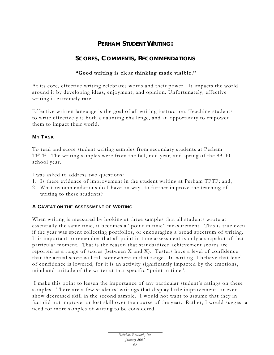### **PERHAM STUDENT WRITING:**

# **SCORES, COMMENTS, RECOMMENDATIONS**

### **"Good writing is clear thinking made visible."**

At its core, effective writing celebrates words and their power. It impacts the world around it by developing ideas, enjoyment, and opinion. Unfortunately, effective writing is extremely rare.

Effective written language is the goal of all writing instruction. Teaching students to write effectively is both a daunting cha llenge, and an opportunity to empower them to impact their world.

### **MY T ASK**

To read and score student writing samples from secondary students at Perham TFTF. The writing samples were from the fall, mid-year, and spring of the 99-00 school year.

I was asked to address two questions:

- 1. Is there evidence of improvement in the student writing at Perham TFTF; and,
- 2. What recommendations do I have on ways to further improve the teaching of writing to these students?

### **A CAVEAT ON THE ASSESSMENT OF WRITING**

When writing is measured by looking at three samples that all students wrote at essentially the same time, it becomes a "point in time" measurement. This is true even if the year was spent collecting portfolios, or encouraging a broad spectrum of writing. It is important to remember that all point in time assessment is only a snapshot of that particular moment. That is the reason that standardized achievement scores are reported as a range of scores (between X and X). Testers have a level of confidence that the actual score will fall somewhere in that range. In writing, I believe that level of confidence is lowered, for it is an activity significantly impacted by the emotions, mind and attitude of the writer at that specific "point in time".

 I make this point to lessen the importance of any particular student's ratings on these samples. There are a few students' writings that display little improvement, or even show decreased skill in the second sample. I would not want to assume that they in fact did not improve, or lost skill over the course of the year. Rather, I would suggest a need for more samples of writing to be considered.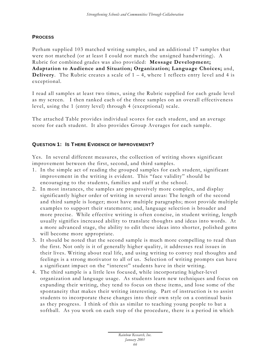### **PROCESS**

Perham supplied 103 matched writing samples, and an additional 17 samples that were not matched (or at least I could not match the unsigned handwriting). A Rubric for combined grades was also provided: **Message Development; Adaptation to Audience and Situation; Organization; Language Choices;** and, **Delivery**. The Rubric creates a scale of  $1 - 4$ , where 1 reflects entry level and 4 is exceptional.

I read all samples at least two times, using the Rubric supplied for each grade level as my screen. I then ranked each of the three samples on an overall effectiveness level, using the 1 (entry level) through 4 (exceptional) scale.

The attached Table provides individual scores for each student, and an average score for each student. It also provides Group Averages for each sample.

### **QUESTION 1: IS T HERE EVIDENCE OF IMPROVEMENT?**

Yes. In several different measures, the collection of writing shows significant improvement between the first, second, and third samples.

- 1. In the simple act of reading the grouped samples for each student, significant improvement in the writing is evident. This "face validity" should be encouraging to the students, families and staff at the school.
- 2. In most instances, the samples are progressively more complex, and display significantly higher order of writing in several areas: The length of the second and third sample is longer; most have multiple paragraphs; most provide multiple examples to support their statements; and, language selection is broader and more precise. While effective writing is often concise, in student writing, length usually signifies increased ability to translate thoughts and ideas into words. At a more advanced stage, the ability to edit these ideas into shorter, polished gems will become more appropriate.
- 3. It should be noted that the second sample is much more compelling to read than the first. Not only is it of generally higher quality, it addresses real issues in their lives. Writing about real life, and using writing to convey real thoughts and feelings is a strong motivator to all of us. Selection of writing prompts can have a significant impact on the "interest" students have in their writing.
- 4. The third sample is a little less focused, while incorporating higher-level organization and language usage. As students learn new techniques and focus on expanding their writing, they tend to focus on these items, and lose some of the spontaneity that makes their writing interesting. Part of instruction is to assist students to incorporate these changes into their own style on a continual basis as they progress. I think of this as similar to teaching young people to bat a softball. As you work on each step of the procedure, there is a period in which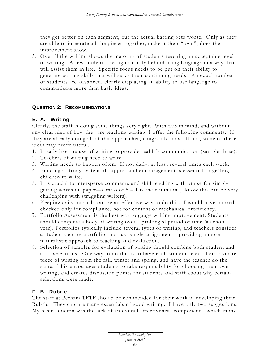they get better on each segment, but the actual batting gets worse. Only as they are able to integrate all the pieces together, make it their "own", does the improvement show.

5. Overall the writing shows the majority of students reaching an acceptable level of writing. A few students are significantly behind using language in a way that will assist them in life. Specific focus needs to be put on their ability to generate writing skills that will serve their continuing needs. An equal number of students are advanced, clearly displaying an ability to use language to communicate more than basic ideas.

### **QUESTION 2: RECOMMENDATIONS**

### **E. A. Writing**

Clearly, the staff is doing some things very right. With this in mind, and without any clear idea of how they are teaching writing, I offer the following comments. If they are already doing all of this approaches, congratulations. If not, some of these ideas may prove useful.

- 1. I really like the use of writing to provide real life communication (sample three).
- 2. Teachers of writing need to write.
- 3. Writing needs to happen often. If not daily, at least several times each week.
- 4. Building a strong system of support and encouragement is essential to getting children to write.
- 5. It is crucial to intersperse comments and skill teaching with praise for simply getting words on paper—a ratio of  $5 - 1$  is the minimum (I know this can be very challenging with struggling writers).
- 6. Keeping daily journals can be an effective way to do this. I would have journals checked only for compliance, not for content or mechanical proficiency.
- 7. Portfolio Assessment is the best way to gauge writing improvement. Students should complete a body of writing over a prolonged period of time (a school year). Portfolios typically include several types of writing, and teachers consider a student's entire portfolio--not just single assignments--providing a more naturalistic approach to teaching and evaluation.
- 8. Selection of samples for evaluation of writing should combine both student and staff selections. One way to do this is to have each student select their favorite piece of writing from the fall, winter and spring, and have the teacher do the same. This encourages students to take responsibility for choosing their own writing, and creates discussion points for students and staff about why certain selections were made.

### **F. B. Rubric**

The staff at Perham TFTF should be commended for their work in developing their Rubric. They capture many essentials of good writing. I have only two suggestions. My basic concern was the lack of an overall effectiveness component—which in my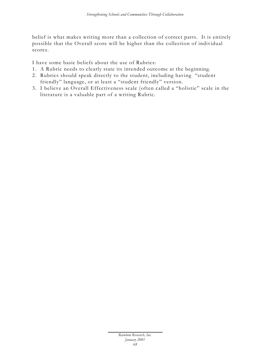belief is what makes writing more than a collection of correct parts. It is entirely possible that the Overall score will be higher than the collection of individual scores.

I have some basic beliefs about the use of Rubrics:

- 1. A Rubric needs to clearly state its intended outcome at the beginning.
- 2. Rubrics should speak directly to the student, including having "student friendly" language, or at least a "student friendly" version.
- 3. I believe an Overall Effectiveness scale (often called a "holistic" scale in the literature is a valuable part of a writing Rubric.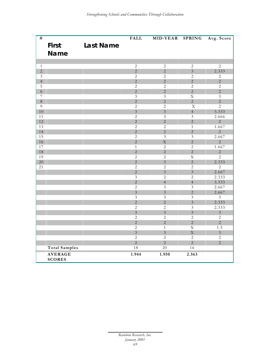| #              |                      |                  | <b>FALL</b>             | MID-YEAR                | <b>SPRING</b>           | Avg. Score              |
|----------------|----------------------|------------------|-------------------------|-------------------------|-------------------------|-------------------------|
| <b>First</b>   |                      | <b>Last Name</b> |                         |                         |                         |                         |
|                | <b>Name</b>          |                  |                         |                         |                         |                         |
|                |                      |                  |                         |                         |                         |                         |
| $\mathbf{1}$   |                      |                  | $\overline{2}$          | $\sqrt{2}$              | $\sqrt{2}$              | $\overline{2}$          |
| $\overline{2}$ |                      |                  | $\overline{2}$          | $\overline{2}$          | $\overline{3}$          | 2.333                   |
| $\mathfrak{Z}$ |                      |                  | $\mathbf{2}$            | 2                       | 2                       | $\overline{2}$          |
| $\overline{4}$ |                      |                  | $\overline{2}$          | $\overline{2}$          | $\overline{2}$          | $\overline{2}$          |
| $\overline{5}$ |                      |                  | $\overline{2}$          | $\overline{2}$          | $\overline{2}$          | $\overline{2}$          |
| $\sqrt{6}$     |                      |                  | $\overline{2}$          | $\overline{2}$          | $\overline{2}$          | $\overline{2}$          |
| $\overline{7}$ |                      |                  | $\overline{\mathbf{3}}$ | $\mathfrak{Z}$          | $\overline{\mathbf{X}}$ | $\overline{\mathbf{3}}$ |
| $8\,$          |                      |                  | $\sqrt{2}$              | $\overline{2}$          | $\overline{2}$          | $\overline{2}$          |
| 9              |                      |                  | $\overline{2}$          | $\overline{2}$          | $\overline{\mathbf{X}}$ | $\overline{2}$          |
| 10             |                      |                  | $\overline{3}$          | $\overline{3}$          | $\overline{4}$          | 3.333                   |
| 11             |                      |                  | $\sqrt{2}$              | $\mathfrak{Z}$          | 3                       | 2.666                   |
| 12             |                      |                  | $\overline{2}$          | $\overline{2}$          | $\overline{2}$          | $\overline{2}$          |
| 13             |                      |                  | $\overline{2}$          | $\overline{2}$          | $\mathbf{1}$            | 1.667                   |
| 14             |                      |                  | $\overline{2}$          | $\overline{2}$          | $\overline{2}$          | $\overline{2}$          |
| 15             |                      |                  | $\overline{2}$          | $\overline{\mathbf{3}}$ | $\overline{\mathbf{3}}$ | 2.667                   |
| 16             |                      |                  | $\overline{2}$          | $\overline{\mathrm{X}}$ | $\overline{2}$          | $\overline{2}$          |
| 17             |                      |                  | $\overline{1}$          | $\overline{2}$          | $\overline{2}$          | 1.667                   |
| 18             |                      |                  | $\overline{2}$          | $\overline{2}$          | $\overline{2}$          | $\overline{2}$          |
| 19             |                      |                  | $\overline{2}$          | 2                       | $\overline{\mathbf{X}}$ | $\overline{2}$          |
| 20             |                      |                  | $\overline{2}$          | $\overline{3}$          | $\overline{2}$          | 2.333                   |
| 21             |                      |                  | $\overline{2}$          | $\overline{2}$          | $\overline{2}$          | $\overline{2}$          |
|                |                      |                  | $\overline{2}$          | $\overline{3}$          | $\overline{3}$          | 2.667                   |
|                |                      |                  | $\overline{\mathbf{3}}$ | $\overline{2}$          | 2                       | 2.333                   |
|                |                      |                  | $\overline{2}$          | $\overline{4}$          | $\overline{4}$          | 3.333                   |
|                |                      |                  | $\overline{2}$          | $\mathfrak{Z}$          | $\mathfrak{Z}$          | 2.667                   |
|                |                      |                  | $\overline{3}$          | $\overline{3}$          | $\overline{2}$          | 2.667                   |
|                |                      |                  | $\overline{\mathbf{3}}$ | $\mathfrak{Z}$          | $\mathfrak{Z}$          | $\overline{3}$          |
|                |                      |                  | $\overline{2}$          | $\overline{2}$          | $\overline{3}$          | 2.333                   |
|                |                      |                  | $\overline{2}$          | $\overline{2}$          | $\overline{\mathbf{3}}$ | 2.333                   |
|                |                      |                  | $\overline{3}$          | $\overline{3}$          | $\overline{3}$          | $\overline{3}$          |
|                |                      |                  | $\overline{2}$          | $\overline{2}$          | $\overline{2}$          | $\overline{2}$          |
|                |                      |                  | $\overline{2}$          | $\overline{2}$          | $\overline{2}$          | $\overline{2}$          |
|                |                      |                  | $\overline{2}$          | $\mathbf{1}$            | $\overline{\mathbf{X}}$ | 1.5                     |
|                |                      |                  | $\overline{3}$          | $\overline{3}$          | $\mathbf X$             | $\overline{3}$          |
|                |                      |                  | $\mathbf{2}$            | $\overline{2}$          | $\overline{c}$          | $\overline{c}$          |
|                |                      |                  | $\overline{2}$          | $\overline{2}$          | $\overline{2}$          | $\overline{2}$          |
|                | <b>Total Samples</b> |                  | $\overline{18}$         | $\overline{20}$         | 16                      |                         |
|                | <b>AVERAGE</b>       |                  | 1.944                   | 1.950                   | 2.563                   |                         |
|                | <b>SCORES</b>        |                  |                         |                         |                         |                         |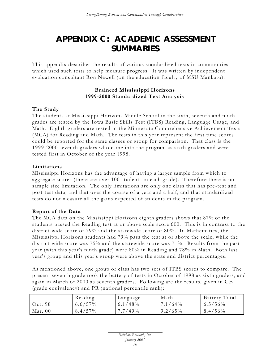# **APPENDIX C: ACADEMIC ASSESSMENT SUMMARIES**

This appendix describes the results of various standardized tests in communities which used such tests to help measure progress. It was written by independent evaluation consultant Ron Newell (on the education faculty of MSU-Mankato).

# **Brainerd Mississippi Horizons 1999-2000 Standardized Test Analysis**

# **The Study**

The students at Mississippi Horizons Middle School in the sixth, seventh and ninth grades are tested by the Iowa Basic Skills Test (ITBS) Reading, Language Usage, and Math. Eighth graders are tested in the Minnesota Comprehensive Achievement Tests (MCA) for Reading and Math. The tests in this year represent the first time scores could be reported for the same classes or group for comparison. That class is the 1999-2000 seventh graders who came into the program as sixth graders and were tested first in October of the year 1998.

# **Limitations**

Mississippi Horizons has the advantage of having a larger sample from which to aggregate scores (there are over 100 students in each grade). Therefore there is no sample size limitation. The only limitations are only one class that has pre -test and post-test data, and that over the course of a year and a half; and that standardized tests do not measure all the gains expected of students in the program.

# **Report of the Data**

The MCA data on the Mississippi Horizons eighth graders shows that 87% of the students passed the Reading test at or above scale score 600. This is in contrast to the district-wide score of 79% and the statewide score of 80%. In Mathematics, the Mississippi Horizons students had 79% pass the test at or above the scale, while the district-wide score was 75% and the statewide score was 71%. Results from the past year (with this year's ninth grade) were 80% in Reading and 78% in Math. Both last year's group and this year's group were above the state and district percentages.

As mentioned above, one group or class has two sets of ITBS scores to compare. The present seventh grade took the battery of tests in October of 1998 as sixth graders, and again in March of 2000 as seventh graders. Following are the results, given in GE (grade equivalency) and PR (national percentile rank):

|           | Reading    | Language   | Math       | Battery Total |
|-----------|------------|------------|------------|---------------|
| Oct. 98   | $6.6/57\%$ | $6.1/48\%$ | $7.1/64\%$ | $6.5/56\%$    |
| Mar. $00$ | $8.4/57\%$ | $7.7/49\%$ | $9.2/65\%$ | $8.4/56\%$    |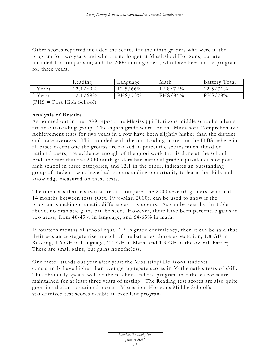Other scores reported included the scores for the ninth graders who were in the program for two years and who are no longer at Mississippi Horizons, but are included for comparison; and the 2000 ninth graders, who have been in the program for three years.

|         | Reading     | Language    | Math        | Battery Total |
|---------|-------------|-------------|-------------|---------------|
| 2 Years | $12.1/69\%$ | $12.5/66\%$ | $12.8/72\%$ | $12.5/71\%$   |
| 3 Years | $12.1/69\%$ | $PHS/73\%$  | PHS/84%     | PHS/78%       |

(PHS = Post High School)

# **Analysis of Results**

As pointed out in the 1999 report, the Mississippi Horizons middle school students are an outstanding group. The eighth grade scores on the Minnesota Comprehensive Achievement tests for two years in a row have been slightly higher than the district and state averages. This coupled with the outstanding scores on the ITBS, where in all cases except one the groups are ranked in percentile scores much ahead of national peers, are evidence enough of the good work that is done at the school. And, the fact that the 2000 ninth graders had national grade equivalencies of post high school in three categories, and 12.1 in the other, indicates an outstanding group of students who have had an outstanding opportunity to learn the skills and knowledge measured on these tests.

The one class that has two scores to compare, the 2000 seventh graders, who had 14 months between tests (Oct. 1998-Mar. 2000), can be used to show if the program is making dramatic differences in students. As can be seen by the table above, no dramatic gains can be seen. However, there have been percentile gains in two areas; from 48-49% in language, and 64-65% in math.

If fourteen months of school equal 1.5 in grade equivalency, then it can be said that their was an aggregate rise in each of the batteries above expectation; 1.8 GE in Reading, 1.6 GE in Language, 2.1 GE in Math, and 1.9 GE in the overall battery. These are small gains, but gains nonetheless.

One factor stands out year after year; the Mississippi Horizons students consistently have higher than average aggregate scores in Mathematics tests of skill. This obviously speaks well of the teachers and the program that these scores are maintained for at least three years of testing. The Reading test scores are also quite good in relation to national norms. Mississippi Horizons Middle School's standardized test scores exhibit an excellent program.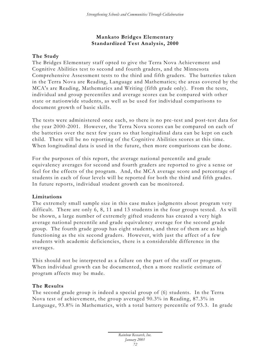# **Mankato Bridges Elementary Standardized Test Analysis, 2000**

# **The Study**

The Bridges Elementary staff opted to give the Terra Nova Achievement and Cognitive Abilities test to second and fourth graders, and the Minnesota Comprehensive Assessment tests to the third and fifth graders. The batteries taken in the Terra Nova are Reading, Language and Mathematics; the areas covered by the MCA's are Reading, Mathematics and Writing (fifth grade only). From the tests, individual and group percentiles and average scores can be compared with other state or nationwide students, as well as be used for individual comparisons to document growth of basic skills.

The tests were administered once each, so there is no pre -test and post-test data for the year 2000-2001. However, the Terra Nova scores can be compared on each of the batteries over the next few years so that longitudinal data can be kept on each child. There will be no reporting of the Cognitive Abilities scores at this time. When longitudinal data is used in the future, then more comparisons can be done.

For the purposes of this report, the average national percentile and grade equivalency averages for second and fourth graders are reported to give a sense or feel for the effects of the program. And, the MCA average score and percentage of students in each of four levels will be reported for both the third and fifth grades. In future reports, individual student growth can be monitored.

# **Limitations**

The extremely small sample size in this case makes judgments about program very difficult. There are only 6, 8, 11 and 13 students in the four groups tested. As will be shown, a large number of extremely gifted students has created a very high average national percentile and grade equivalency average for the second grade group. The fourth grade group has eight students, and three of them are as high functioning as the six second graders. However, with just the affect of a few students with academic deficiencies, there is a considerable difference in the averages.

This should not be interpreted as a failure on the part of the staff or program. When individual growth can be documented, then a more realistic estimate of program affects may be made.

# **The Results**

The second grade group is indeed a special group of (6) students. In the Terra Nova test of achievement, the group averaged 90.3% in Reading, 87.3% in Language, 93.8% in Mathematics, with a total battery percentile of 93.3. In grade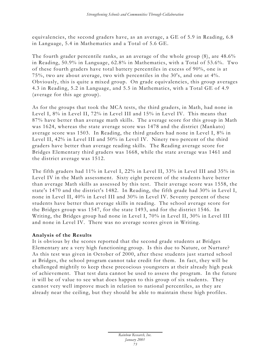equivalencies, the second graders have, as an average, a GE of 5.9 in Reading, 6.8 in Language, 5.4 in Mathematics and a Total of 5.6 GE.

The fourth grader percentile ranks, as an average of the whole group (8), are 48.6% in Reading, 50.9% in Language, 62.8% in Mathematics, with a Total of 53.6%. Two of these fourth graders have total battery percentiles in excess of 90%, one is at 75%, two are about average, two with percentiles in the 30's, and one at 4%. Obviously, this is quite a mixed group. On grade equivalencies, this group averages 4.3 in Reading, 5.2 in Language, and 5.5 in Mathematics, with a Total GE of 4.9 (average for this age group).

As for the groups that took the MCA tests, the third graders, in Math, had none in Level I, 8% in Level II, 72% in Level III and 15% in Level IV. This means that 87% have better than average math skills. The a verage score for this group in Math was 1624, whereas the state average score was 1478 and the district (Mankato) average score was 1503. In Reading, the third graders had none in Level I, 8% in Level II, 42% in Level III and 50% in Level IV. Ninety two percent of the third graders have better than average reading skills. The Reading average score for Bridges Elementary third graders was 1668, while the state average was 1461 and the district average was 1512.

The fifth graders had 11% in Level I, 22% in Level II, 33% in Level III and 35% in Level IV in the Math assessment. Sixty eight percent of the students have better than average Math skills as assessed by this test. Their average score was 1558, the state's 1470 and the district's 1482. In Reading, the fifth grade had 30% in Level I, none in Level II, 40% in Level III and 30% in Level IV. Seventy percent of these students have better than average skills in reading. The school average score for the Bridges group was 1547, for the state 1493, and for the district 1546. In Writing, the Bridges group had none in Level I, 70% in Level II, 30% in Level III and none in Level IV. There was no average scores given in Writing.

# **Analysis of the Results**

It is obvious by the scores reported that the second grade students at Bridges Elementary are a very high functioning group. Is this due to Nature, or Nurture? As this test was given in October of 2000, after these students just started school at Bridges, the school program cannot take credit for them. In fact, they will be challenged mightily to keep these precocious youngsters at their already high peak of achievement. That test data cannot be used to assess the program. In the future it will be of value to see what does happen to this group of six students. They cannot very well improve much in relation to national percentiles, as they are already near the ceiling, but they should be able to maintain these high profiles.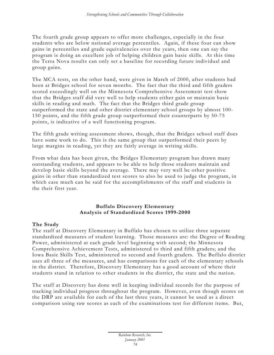The fourth grade group appears to offer more challenges, especially in the four students who are below national average percentiles. Again, if these four can show gains in percentiles and grade equivalencies over the years, then one can say the program is doing an excellent job of helping children gain basic skills. At this time the Terra Nova results can only set a baseline for recording future individual and group gains.

The MCA tests, on the other hand, were given in March of 2000, after students had been at Bridges school for seven months. The fact that the third and fifth graders scored exceedingly well on the Minnesota Comprehensive Assessment test show that the Bridges staff did very well to help students either gain or maintain basic skills in reading and math. The fact that the Bridges third grade group outperformed the state and other district elementary school groups by almost 100- 150 points, and the fifth grade group outperformed their counterparts by 50-75 points, is indicative of a well functioning program.

The fifth grade writing assessment shows, though, that the Bridges school staff does have some work to do. This is the same group that outperformed their peers by large margins in reading, yet they are fairly average in writing skills.

From what data has been given, the Bridges Elementary program has drawn many outstanding students, and appears to be able to help those students maintain and develop basic skills beyond the average. There may very well be other positive gains in other than standardized test scores to also be used to judge the program, in which case much can be said for the accomplishments of the staff and students in the their first year.

# **Buffalo Discovery Elementary Analysis of Standardized Scores 1999-2000**

# **The Study**

The staff at Discovery Elementary in Buffalo has chosen to utilize three separate standardized measures of student learning. Those measures are: the Degree of Reading Power, administered at each grade level beginning with second; the Minnesota Comprehensive Achievement Tests, administered to third and fifth graders; and the Iowa Basic Skills Test, administered to second and fourth graders. The Buffalo district uses all three of the measures, and has comparisons for each of the elementary schools in the district. Therefore, Discovery Elementary has a good account of where their students stand in relation to other students in the district, the state and the nation.

The staff at Discovery has done well in keeping individual records for the purpose of tracking individual progress throughout the program. However, even though scores on the DRP are available for each of the last three years, it cannot be used as a direct comparison using raw scores as each of the examinations test for different items. But,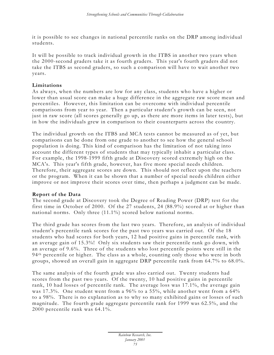it is possible to see changes in national percentile ranks on the DRP among individual students.

It will be possible to track individual growth in the ITBS in another two years when the 2000-second graders take it as fourth graders. This year's fourth graders did not take the ITBS as second graders, so such a comparison will have to wait another two years.

# **Limitations**

As always, when the numbers are low for any class, students who have a higher or lower than usual score can make a huge difference in the aggregate raw score mean and percentiles. However, this limitation can be overcome with individual percentile comparisons from year to year. Then a particular student's growth can be seen, not just in raw score (all scores generally go up, as there are more items in later tests), but in how the individuals grew in comparison to their counterparts across the country.

The individual growth on the ITBS and MCA tests cannot be measured as of yet, but comparisons can be done from one grade to another to see how the general school population is doing. This kind of comparison has the limitation of not taking into account the different types of students that may typically inhabit a particular class. For example, the 1998-1999 fifth grade at Discovery scored extremely high on the MCA's. This year's fifth grade, however, has five more special needs children. Therefore, their aggregate scores are down. This should not reflect upon the teachers or the program. When it can be shown that a number of special needs children either improve or not improve their scores over time, then perhaps a judgment can be made.

#### **Report of the Data**

The second grade at Discovery took the Degree of Reading Power (DRP) test for the first time in October of 2000. Of the 27 students, 24 (88.9%) scored at or higher than national norms. Only three (11.1%) scored below national norms.

The third grade has scores from the last two years. Therefore, an analysis of individual student's percentile rank scores for the past two years was carried out. Of the 18 students who had scores for both years, 12 had positive gains in percentile rank, with an average gain of 15.3%! Only six students saw their percentile rank go down, with an average of 9.6%. Three of the students who lost percentile points were still in the 94<sup>th</sup> percentile or higher. The class as a whole, counting only those who were in both groups, showed an overall gain in aggregate DRP percentile rank from 64.7% to 68.0%.

The same analysis of the fourth grade was also carried out. Twenty students had scores from the past two years. Of the twenty, 10 had positive gains in percentile rank, 10 had losses of percentile rank. The average loss was 17.1%, the average gain was 17.3%. One student went from a 96% to a 55%, while another went from a 64% to a 98%. There is no explanation as to why so many exhibited gains or losses of such magnitude. The fourth grade aggregate percentile rank for 1999 was 62.5%, and the 2000 percentile rank was 64.1%.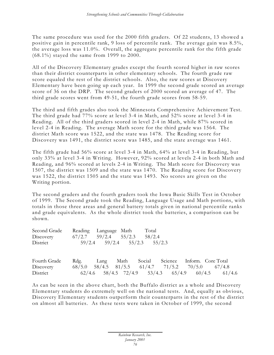The same procedure was used for the 2000 fifth graders. Of 22 students, 13 showed a positive gain in percentile rank, 9 loss of percentile rank. The average gain was 8.5%, the average loss was 11.0%. Overall, the aggregate percentile rank for the fifth grade (68.1%) stayed the same from 1999 to 2000.

All of the Discovery Elementary grades except the fourth scored higher in raw scores than their district counterparts in other elementary schools. The fourth grade raw score equaled the rest of the district schools. Also, the raw scores at Discovery Elementary have been going up each year. In 1999 the second grade scored an average score of 36 on the DRP. The second graders of 2000 scored an average of 47. The third grade scores went from 49-51, the fourth grade scores from 58-59.

The third and fifth grades also took the Minnesota Comprehensive Achievement Test. The third grade had 77% score at level 3-4 in Math, and 52% score at level 3-4 in Reading. All of the third graders scored in level 2-4 in Math, while 87% scored in level 2-4 in Reading. The average Math score for the third grade was 1564. The district Math score was 1522, and the state was 1478. The Reading score for Discovery was 1491, the district score was 1485, and the state average was 1461.

The fifth grade had 56% score at level 3-4 in Math, 64% at level 3-4 in Reading, but only 33% at level 3-4 in Writing. However, 92% scored at levels 2-4 in both Math and Reading, and 96% scored at levels 2-4 in Writing. The Math score for Discovery was 1507, the district was 1509 and the state was 1470. The Reading score for Discovery was 1522, the district 1505 and the state was 1493. No scores are given on the Writing portion.

The second graders and the fourth graders took the Iowa Basic Skills Test in October of 1999. The Second grade took the Reading, Language Usage and Math portions, with totals in those three areas and general battery totals given in national percentile ranks and grade equivalents. As the whole district took the batteries, a comparison can be shown.

| Second Grade | Reading Language Math |                                     | Total                               |
|--------------|-----------------------|-------------------------------------|-------------------------------------|
| Discovery    |                       | $67/2.7$ $59/2.4$ $55/2.3$ $58/2.4$ |                                     |
| District     |                       |                                     | $59/2.4$ $59/2.4$ $55/2.3$ $55/2.3$ |

| Fourth Grade Rdg. Lang Math Social Science Inform. Core Total |  |  |                                                    |                                                    |
|---------------------------------------------------------------|--|--|----------------------------------------------------|----------------------------------------------------|
| Discovery                                                     |  |  | $68/5.0$ 58/4.5 81/5.5 61/4.7 71/5.2 70/5.0 67/4.8 |                                                    |
| District                                                      |  |  |                                                    | $62/4.6$ 58/4.5 72/4.9 53/4.3 65/4.9 60/4.5 61/4.6 |

As can be seen in the above chart, both the Buffalo district as a whole and Discovery Elementary students do extremely well on the national tests. And, equally as obvious, Discovery Elementary students outperform their counterparts in the rest of the district on almost all batteries. As these tests were taken in October of 1999, the second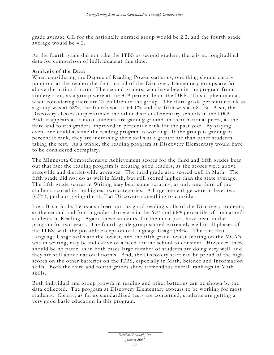grade average GE for the nationally normed group would be 2.2, and the fourth grade average would be 4.2.

As the fourth grade did not take the ITBS as second graders, there is no longitudinal data for comparison of individuals at this time.

# **Analysis of the Data**

When considering the Degree of Reading Power statistics, one thing should clearly jump out at the reader: the fact that all of the Discovery Elementary groups are far above the national norm. The second graders, who have been in the program from kindergarten, as a group were at the 81st percentile on the DRP. This is phenomenal, when considering there are 27 children in the group. The third grade percentile rank as a group was at 68%, the fourth was at 64.1% and the fifth was at 68.1%. Also, the Discovery classes outperformed the other district elementary schools in the DRP. And, it appears as if most students are gaining ground on their national peers, as the third and fourth graders improved in percentile rank for the past year. By staying even, one could assume the reading program is working. If the group is gaining in percentile rank, they are increasing their skills at a greater ate than other students taking the test. As a whole, the reading program at Discovery Elementary would have to be considered exemplary.

The Minnesota Comprehensive Achievement scores for the third and fifth grades bear out that fact the reading program is creating good readers, as the scores were above statewide and district-wide averages. The third grade also scored well in Math. The fifth grade did not do as well in Math, but still scored higher than the state average. The fifth grade scores in Writing may bear some scrutiny, as only one-third of the students scored in the highest two categories. A large percentage were in level two (63%), perhaps giving the staff at Discovery something to consider.

Iowa Basic Skills Tests also bear out the good reading skills of the Discovery students, as the second and fourth grades also were in the 67th and 68th percentile of the nation's students in Reading. Again, these students, for the most part, have been in the program for two years. The fourth grade group scored extremely well in all phases of the ITBS, with the possible exception of Language Usage (58%). The fact that Language Usage skills are the lowest, and the fifth grade lowest scoring on the MCA's was in writing, may be indicative of a need for the school to consider. However, there should be no panic, as in both cases large number of students are doing very well, and they are still above national norms. And, the Discovery staff can be proud of the high scores on the other batteries on the ITBS, especially in Math, Science and Information skills. Both the third and fourth grades show tremendous overall rankings in Math skills.

Both individual and group growth in reading and other batteries can be shown by the data collected. The program at Discovery Elementary appears to be working for most students. Clearly, as far as standardized tests are concerned, students are getting a very good basic education in this program.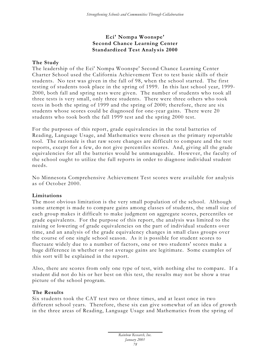# **Eci' Nompa Woonspe' Second Chance Learning Center Standardized Test Analy sis 2000**

# **The Study**

The leadership of the Eci' Nompa Woonspe' Second Chance Learning Center Charter School used the California Achievement Test to test basic skills of their students. No test was given in the fall of 98, when the school started. The first testing of students took place in the spring of 1999. In this last school year, 1999- 2000, both fall and spring tests were given. The number of students who took all three tests is very small, only three students. There were three others who took tests in both the spring of 1999 and the spring of 2000; therefore, there are six students whose scores could be diagnosed for one-year gains. There were 20 students who took both the fall 1999 test and the spring 2000 test.

For the purposes of this report, grade equivalencies in the total batteries of Reading, Language Usage, and Mathematics were chosen as the primary reportable tool. The rationale is that raw score changes are difficult to compare and the test reports, except for a few, do not give percentiles scores. And, giving all the grade equivalencies for all the batteries would be unmanageable. However, the faculty of the school ought to utilize the full reports in order to diagnose individual student needs.

No Minnesota Comprehensive Achievement Test scores were available for analysis as of October 2000.

# **Limitations**

The most obvious limitation is the very small population of the school. Although some attempt is made to compare gains among classes of students, the small size of each group makes it difficult to make judgment on aggregate scores, percentiles or grade equivalents. For the purpose of this report, the analysis was limited to the raising or lowering of grade equivalencies on the part of individual students over time, and an analysis of the grade equivalency changes in small class groups over the course of one single school season. As it is possible for student scores to fluctuate widely due to a number of factors, one or two students' scores make a huge difference in whether or not a verage gains are legitimate. Some examples of this sort will be explained in the report.

Also, there are scores from only one type of test, with nothing else to compare. If a student did not do his or her best on this test, the results may not be show a true picture of the school program.

# **The Results**

Six students took the CAT test two or three times, and at least once in two different school years. Therefore, these six can give somewhat of an idea of growth in the three areas of Reading, Language Usage and Mathematics from the spring of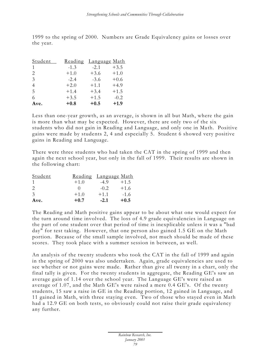1999 to the spring of 2000. Numbers are Grade Equivalency gains or losses over the year.

| Student       | Reading | <u>Language Math</u> |        |
|---------------|---------|----------------------|--------|
| 1             | $-1.3$  | $-2.1$               | $+3.5$ |
| 2             | $+1.0$  | $+3.6$               | $+1.0$ |
| $\mathcal{E}$ | $-2.4$  | $-3.6$               | $+0.6$ |
| 4             | $+2.0$  | $+1.1$               | $+4.9$ |
| .5            | $+1.4$  | $+3.4$               | $+1.5$ |
| 6             | $+3.5$  | $+1.5$               | $-0.2$ |
| Ave.          | $+0.8$  | $+0.5$               | $+1.9$ |

Less than one-year growth, as an average, is shown in all but Math, where the gain is more than what may be expected. However, there are only two of the six students who did not gain in Reading and Language, and only one in Math. Positive gains were made by students 2, 4 and especially 5. Student 6 showed very positive gains in Reading and Language.

There were three students who had taken the CAT in the spring of 1999 and then again the next school year, but only in the fall of 1999. Their results are shown in the following chart:

| Student                     | <u>Reading Language Math</u> |        |        |
|-----------------------------|------------------------------|--------|--------|
|                             | $+1.0$                       | $-4.9$ | $+1.5$ |
| $\mathcal{D}_{\mathcal{L}}$ |                              | $-0.2$ | $+1.6$ |
| $\mathcal{E}$               | $+1.0$                       | $+1.1$ | $-1.6$ |
| Ave.                        | $+0.7$                       | $-2.1$ | $+0.5$ |

The Reading and Math positive gains appear to be about what one would expect for the turn around time involved. The loss of 4.9 grade equivalencies in Language on the part of one student over that period of time is inexplicable unless it was a "bad day" for test taking. However, that one person also gained 1.5 GE on the Math portion. Because of the small sample involved, not much should be made of these scores. They took place with a summer session in between, as well.

An analysis of the twenty students who took the CAT in the fall of 1999 and again in the spring of 2000 was also undertaken. Again, grade equivalencies are used to see whether or not gains were made. Rather than give all twenty in a chart, only the final tally is given. For the twenty students in aggregate, the Reading GE's saw an average gain of 1.14 over the school year. The Language GE's were raised an average of 1.07, and the Math GE's were raised a mere 0.4 GE's. Of the twenty students, 15 saw a raise in GE in the Reading portion, 12 gained in Language, and 11 gained in Math, with three staying even. Two of those who stayed even in Math had a 12.9 GE on both tests, so obviously could not raise their grade equivalency any further.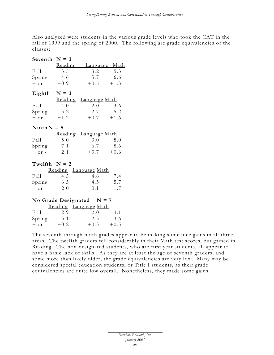Also analyzed were students in the various grade levels who took the CAT in the fall of 1999 and the spring of 2000. The following are grade equivalencies of the classes:

| Seventh $N = 3$ |        |                              |     |
|-----------------|--------|------------------------------|-----|
|                 |        | Reading Language Math        |     |
| Fall            | 3.5    | 3.2                          | 5.3 |
| Spring 4.6      |        | 3.7 6.6                      |     |
| $+$ or $-$      | $+0.9$ | $+0.5 +1.3$                  |     |
| Eighth $N = 3$  |        |                              |     |
|                 |        | Reading Language Math        |     |
| Fall            | 4.0    | 2.0                          | 3.6 |
| Spring 5.2      |        | 2.7 5.2                      |     |
| $+$ or $ +1.2$  |        | $+0.7 +1.6$                  |     |
| Ninth $N = 5$   |        |                              |     |
|                 |        | <u>Reading Language Math</u> |     |
| Fall            | 5.0    | 3.0                          | 8.0 |
| Spring 7.1      |        | 6.7 8.6                      |     |
| $+$ or $-$      | $+2.1$ | $+3.7 +0.6$                  |     |
| Twelfth $N = 2$ |        |                              |     |
|                 |        | Reading Language Math        |     |
| Fall            | 4.5    | 4.6                          | 7.4 |
| Spring 6.5      |        | 4.5 5.7                      |     |
| $+$ or - $+2.0$ |        | $-0.1 - 1.7$                 |     |
|                 |        | No Grade Designated $N = 7$  |     |
|                 |        | Reading Language Math        |     |
| Fall            | 2.9    | 2.0                          | 3.1 |
| Spring 3.1      |        | 2.3 3.6                      |     |
| $+$ or - $+0.2$ |        | $+0.3 +0.5$                  |     |

The seventh through ninth grades appear to be making some nice gains in all three areas. The twelfth graders fell considerably in their Math test scores, but gained in Reading. The non-designated students, who are first year students, all appear to have a basic lack of skills. As they are at least the age of seventh graders, and some more than likely older, the grade equivalencies are very low. Many may be considered special education students, or Title I students, as their grade equivalencies are quite low overall. Nonetheless, they made some gains.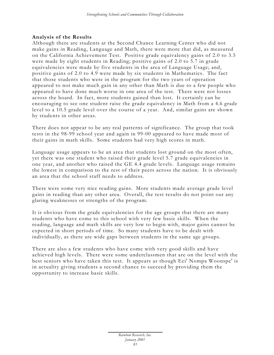# **Analysis of the Results**

Although there are students at the Second Chance Learning Center who did not make gains in Reading, Language and Math, there were more that did, as measured on the California Achievement Test. Positive grade equivalency gains of 2.0 to 3.5 were made by eight students in Reading; positive gains of 2.0 to 5.7 in grade equivalencies were made by five students in the area of Language Usage; and, positive gains of 2.0 to 4.9 were made by six students in Mathematics. The fact that those students who were in the program for the two years of operation appeared to not make much gain in any other than Math is due to a few people who appeared to have done much worse in one area of the test. There were not losses across the board. In fact, more students gained than lost. It certainly can be encouraging to see one student raise the grade equivalency in Math from a 4.6 grade level to a 10.5 grade level over the course of a year. And, similar gains are shown by students in other areas.

There does not appear to be any real patterns of significance. The group that took tests in the 98-99 school year and again in 99-00 appeared to have made most of their gains in math skills. Some students had very high scores in math.

Language usage appears to be an area that students lost ground on the most often, yet there was one student who raised their grade level 5.7 grade equivalencies in one year, and another who raised the GE 4.4 grade levels. Language usage remains the lowest in comparison to the rest of their peers across the nation. It is obviously an area that the school staff needs to address.

There were some very nice reading gains. More students made average grade level gains in reading than any other area. Overall, the test results do not point out any glaring weaknesses or strengths of the program.

It is obvious from the grade equivalencies for the age groups that there are many students who have come to this school with very few basic skills. When the reading, language and math skills are very low to begin with, major gains cannot be expected in short periods of time. So many students have to be dealt with individually, as there are wide gaps between students in the same age groups.

There are also a few students who have come with very good skills and have achieved high levels. There were some underclassmen that are on the level with the best seniors who have taken this test. It appears as though Eci' Nompa Woonspe' is in actuality giving students a second chance to succeed by providing them the opportunity to increase basic skills.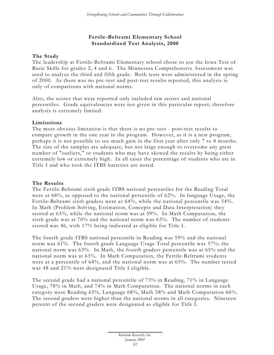# **Fertile -Beltrami Elementary School Standardized Test Analysis, 2000**

# **The Study**

The leadership at Fertile-Beltrami Elementary school chose to use the Iowa Test of Basic Skills for grades 2, 4 and 6. The Minnesota Comprehensive Assessment was used to analyze the third and fifth grade. Both tests were administered in the spring of 2000. As there was no pre -test and post-test results reported, this analysis is only of comparisons with national norms.

Also, the scores that were reported only included raw scores and national percentiles. Grade equivalencies were not given in this particular report; therefore analysis is extremely limited.

# **Limitations**

The most obvious limitation is that there is no pre -test - post-test results to compare growth in the one year in the program. However, as it is a new program, perhaps it is not possible to see much gain in the first year after only 7 to 8 months. The size of the samples are adequate, but not large enough to overcome any great number of "outliers," or students who may have skewed the results by being either extremely low or extremely high. In all cases the percentage of students who are in Title I and who took the ITBS batteries are noted.

# **The Results**

The Fertile-Beltrami sixth grade ITBS national percentiles for the Reading Total were at 68%, as opposed to the national percentile of 62%. In language Usage, the Fertile-Beltrami sixth graders were at 64%, while the national percentile was 54%. In Math (Problem Solving, Estimation, Concepts and Data Interpretation) they scored at 63%, while the national norm was at 59%. In Math Computation, the sixth grade was at 70% and the national norm was 63%. The number of students scored was 46, with 17% being indicated as eligible for Title I.

The fourth grade ITBS national percentile in Reading was 59% and the national norm was  $61\%$ . The fourth grade Language Usage Total percentile was 57%; the national norm was 63%. In Math, the fourth graders percentile was at 65% and the national norm was at 63%. In Math Computation, the Fertile-Beltrami students were at a percentile of 64%, and the national norm was at 65%. The number tested was 48 and 21% were designated Title I eligible.

The second grade had a national percentile of 73% in Reading, 71% in Language Usage, 78% in Math, and 74% in Math Computation. The national norms in each category were Reading 65%, Language 68%, Math 58% and Math Computation 66%. The second graders were higher than the national norms in all categories. Nineteen percent of the second graders were designated as eligible for Title I.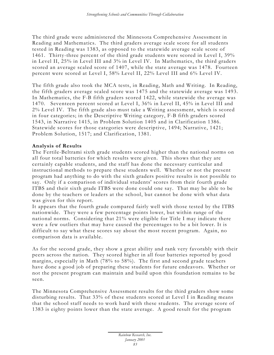The third grade were administered the Minnesota Comprehensive Assessment in Reading and Mathematics. The third graders average scale score for all students tested in Reading was 1383, as opposed to the statewide average scale score of 1461. Thirty-three percent of the third grade students were scored in Level I, 39% in Level II, 25% in Level III and 3% in Level IV. In Mathematics, the third graders scored an average scaled score of 1407, while the state average was 1478. Fourteen percent were scored at Level I, 58% Level II, 22% Level III and 6% Level IV.

The fifth grade also took the MCA tests, in Reading, Math and Writing. In Reading, the fifth graders average scaled score was 1475 and the statewide average was 1493. In Mathematics, the F-B fifth graders scored 1422, while statewide the average was 1470. Seventeen percent scored at Level I, 36% in Level II, 45% in Level III and 2% Level IV. The fifth grade also must take a Writing assessment, which is scored in four categories; in the Descriptive Writing category, F-B fifth graders scored 1543, in Narrative 1415, in Problem Solution 1405 and in Clarification 1386. Statewide scores for those categories were descriptive, 1494; Narrative, 1421; Problem Solution, 1517; and Clarification, 1381.

# **Analysis of Results**

The Fertile-Beltrami sixth grade students scored higher than the national norms on all four total batteries for which results were given. This shows that they are certainly capable students, and the staff has done the necessary curricular and instructional methods to prepare these students well. Whether or not the present program had anything to do with the sixth graders positive results is not possible to say. Only if a comparison of individual students' scores from their fourth grade ITBS and their sixth grade ITBS were done could one say. That may be able to be done by the teachers or leaders at the school, but cannot be done with what data was given for this report.

It appears that the fourth grade compared fairly well with those tested by the ITBS nationwide. They were a few percentage points lower, but within range of the national norms. Considering that 21% were eligible for Title I may indicate there were a few outliers that may have caused the percentages to be a bit lower. It is difficult to say what these scores say about the most recent program. Again, no comparison data is available.

As for the second grade, they show a great ability and rank very favorably with their peers across the nation. They scored higher in all four batteries reported by good margins, especially in Math (78% to 58%). The first and second grade teachers have done a good job of preparing these students for future endeavors. Whether or not the present program can maintain and build upon this foundation remains to be seen.

The Minnesota Comprehensive Assessment results for the third graders show some disturbing results. That 33% of these students scored at Level I in Reading means that the school staff needs to work hard with these students. The average score of 1383 is eighty points lower than the state average. A good result for the program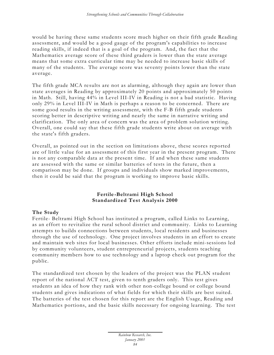would be having these same students score much higher on their fifth grade Reading assessment, and would be a good gauge of the program's capabilities to increase reading skills, if indeed that is a goal of the program. And, the fact that the Mathematics average score of these third graders is lower than the state average means that some extra curricular time may be needed to increase basic skills of many of the students. The average score was seventy points lower than the state average.

The fifth grade MCA results are not as alarming, although they again are lower than state averages in Reading by approximately 20 points and approximately 50 points in Math. Still, having 44% in Level III-IV in Reading is not a bad statistic. Having only 29% in Level III-IV in Math is perhaps a reason to be concerned. There are some good results in the writing assessment, with the F-B fifth grade students scoring better in descriptive writing and nearly the same in narrative writing and clarification. The only area of concern was the area of problem solution writing. Overall, one could say that these fifth grade students write about on average with the state's fifth graders.

Overall, as pointed out in the section on limitations above, these scores reported are of little value for an assessment of this first year in the present program. There is not any comparable data at the present time. If and when these same students are assessed with the same or similar batteries of tests in the future, then a comparison may be done. If groups and individuals show marked improvements, then it could be said that the program is working to improve basic skills.

# **Fertile -Beltrami High School Standardized Test Analysis 2000**

# **The Study**

Fertile- Beltrami High School has instituted a program, called Links to Learning, as an effort to revitalize the rural school district and community. Links to Learning attempts to builds connections between students, local residents and businesses through the use of technology. One project involves students in an effort to create and maintain web sites for local businesses. Other efforts include mini-sessions led by community volunteers, student entrepreneurial projects, students teaching community members how to use technology and a laptop check out program for the public.

The standardized test chosen by the leaders of the project was the PLAN student report of the national ACT test, given to tenth graders only. This test gives students an idea of how they rank with other non-college bound or college bound students and gives indications of what fields for which their skills are best suited. The batteries of the test chosen for this report are the English Usage, Reading and Mathematics portions, and the basic skills necessary for ongoing learning. The test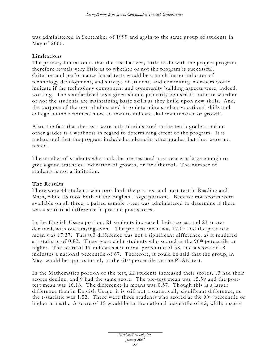was administered in September of 1999 and again to the same group of students in May of 2000.

### **Limitations**

The primary limitation is that the test has very little to do with the project program, therefore reveals very little as to whether or not the program is successful. Criterion and performance based tests would be a much better indicator of technology development, and surveys of students and community members would indicate if the technology component and community building aspects were, indeed, working. The standardized tests given should primarily be used to indicate whether or not the students are maintaining basic skills as they build upon new skills. And, the purpose of the test administered is to determine student vocational skills and college-bound readiness more so than to indicate skill maintenance or growth.

Also, the fact that the tests were only administered to the tenth graders and no other grades is a weakness in regard to determining effect of the program. It is understood that the program included students in other grades, but they were not tested.

The number of students who took the pre -test and post-test was large enough to give a good statistical indication of growth, or lack thereof. The number of students is not a limitation.

# **The Results**

There were 44 students who took both the pre -test and post-test in Reading and Math, while 43 took both of the English Usage portions. Because raw scores were available on all three, a paired sample t-test was administered to determine if there was a statistical difference in pre and post scores.

In the English Usage portion, 21 students increased their scores, and 21 scores declined, with one staying even. The pre -test mean was 17.07 and the post-test mean was 17.37. This 0.3 difference was not a significant difference, as it rendered a t-statistic of 0.82. There were eight students who scored at the 90<sup>th</sup> percentile or higher. The score of 17 indicates a national percentile of 58, and a score of 18 indicates a national percentile of 67. Therefore, it could be said that the group, in May, would be approximately at the 61<sup>st</sup> percentile on the PLAN test.

In the Mathematics portion of the test, 22 students increased their scores, 13 had their scores decline, and 9 had the same score. The pre-test mean was 15.59 and the posttest mean was 16.16. The difference in means was 0.57. Though this is a larger difference than in English Usage, it is still not a statistically significant difference, as the t-statistic was 1.52. There were three students who scored at the  $90<sup>th</sup>$  percentile or higher in math. A score of 15 would be at the national percentile of 42, while a score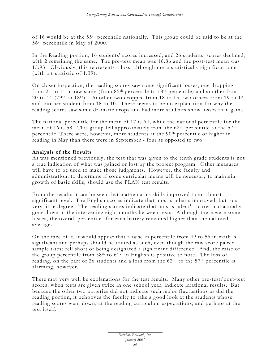of 16 would be at the 55th percentile nationally. This group could be said to be at the 56th percentile in May of 2000.

In the Reading portion, 16 students' scores increased, and 26 students' scores declined, with 2 remaining the same. The pre -test mean was 16.86 and the post-test mean was 15.93. Obviously, this represents a loss, although not a statistically significant one (with a t-statistic of 1.39).

On closer inspection, the reading scores saw some significant losses, one dropping from 21 to 11 in raw score (from 85th percentile to 18th percentile) and another from 20 to 11 (79<sup>th</sup> to 18<sup>th</sup>). Another two dropped from 18 to 13, two others from 19 to 14, and another student from 18 to 10. There seems to be no explanation for why the reading scores saw some dramatic drops and had more students show losses than gains.

The national percentile for the mean of 17 is 64, while the national percentile for the mean of 16 is 58. This group fell approximately from the  $62<sup>nd</sup>$  percentile to the  $57<sup>th</sup>$ percentile. There were, however, more students at the 90th percentile or higher in reading in May than there were in September - four as opposed to two.

# **Analysis of the Results**

As was mentioned previously, the test that was given to the tenth grade students is not a true indication of what was gained or lost by the project program. Other measures will have to be used to make those judgments. However, the faculty and administration, to determine if some curricular means will be necessary to maintain growth of basic skills, should use the PLAN test results.

From the results it can be seen that mathematics skills improved to an almost significant level. The English scores indicate that most students improved, but to a very little degree. The reading scores indicate that most student's scores had actually gone down in the intervening eight months between tests. Although there were some losses, the overall percentiles for each battery remained higher than the national average.

On the face of it, it would appear that a raise in percentile from 49 to 56 in math is significant and perhaps should be touted as such, even though the raw score paired sample t-test fell short of being designated a significant difference. And, the raise of the group percentile from  $58<sup>th</sup>$  to  $61<sup>st</sup>$  in English is positive to note. The loss of reading, on the part of 26 students and a loss from the  $62<sup>nd</sup>$  to the  $57<sup>th</sup>$  percentile is alarming, however.

There may very well be explanations for the test results. Many other pre -test/post-test scores, when tests are given twice in one school year, indicate irrational results. But because the other two batteries did not indicate such major fluctuations as did the reading portion, it behooves the faculty to take a good look at the students whose reading scores went down, at the reading curriculum expectations, and perhaps at the test itself.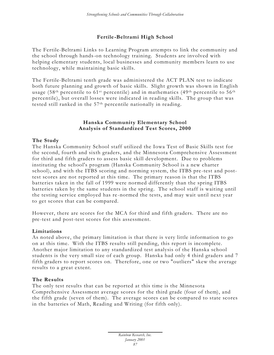# **Fertile -Beltrami High School**

The Fertile-Beltrami Links to Learning Program attempts to link the community and the school through hands-on technology training. Students are involved with helping elementary students, local businesses and community members learn to use technology, while maintaining basic skills.

The Fertile-Beltrami tenth grade was administered the ACT PLAN test to indicate both future planning and growth of basic skills. Slight growth was shown in English usage (58<sup>th</sup> percentile to 61<sup>st</sup> percentile) and in mathematics (49<sup>th</sup> percentile to 56<sup>th</sup> percentile), but overall losses were indicated in reading skills. The group that was tested still ranked in the 57th percentile nationally in reading.

# **Hanska Community Elementary School Analysis of Standardized Test Scores, 2000**

# **The Study**

The Hanska Community School staff utilized the Iowa Test of Basic Skills test for the second, fourth and sixth graders, and the Minnesota Comprehensive Assessment for third and fifth graders to assess basic skill development. Due to problems instituting the school's program (Hanska Community School is a new charter school), and with the ITBS scoring and norming system, the ITBS pre -test and posttest scores are not reported at this time. The primary reason is that the ITBS batteries taken in the fall of 1999 were normed differently than the spring ITBS batteries taken by the same students in the spring. The school staff is waiting until the testing service employed has re -normed the tests, and may wait until next year to get scores that can be compared.

However, there are scores for the MCA for third and fifth graders. There are no pre-test and post-test scores for this assessment.

#### **Limitations**

As noted above, the primary limitation is that there is very little information to go on at this time. With the ITBS results still pending, this report is incomplete. Another major limitation to any standardized test analysis of the Hanska school students is the very small size of each group. Hanska had only 4 third graders and 7 fifth graders to report scores on. Therefore, one or two "outliers" skew the average results to a great extent.

#### **The Results**

The only test results that can be reported at this time is the Minnesota Comprehensive Assessment average scores for the third grade (four of them), and the fifth grade (seven of them). The average scores can be compared to state scores in the batteries of Math, Reading and Writing (for fifth only).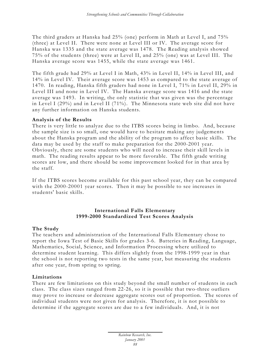The third graders at Hanska had 25% (one) perform in Math at Level I, and 75% (three) at Level II. There were none at Level III or IV. The average score for Hanska was 1335 and the state average was 1478. The Reading analysis showed 75% of the students (three) were at Level II, and 25% (one) was at Level III. The Hanska average score was 1455, while the state average was 1461.

The fifth grade had 29% at Level I in Math, 43% in Level II, 14% in Level III, and 14% in Level IV. Their average score was 1453 as compared to the state average of 1470. In reading, Hanska fifth graders had none in Level I, 71% in Level II, 29% in Level III and none in Level IV. The Hanska average score was 1416 and the state average was 1493. In writing, the only statistic that was given was the percentage in Level I (29%) and in Level II (71%). The Minnesota state web site did not have any further information on Hanska students.

#### **Analysis of the Results**

There is very little to analyze due to the ITBS scores being in limbo. And, because the sample size is so small, one would have to hesitate making any judgements about the Hanska program and the ability of the program to affect basic skills. The data may be used by the staff to make preparation for the 2000-2001 year. Obviously, there are some students who will need to increase their skill levels in math. The reading results appear to be more favorable. The fifth grade writing scores are low, and there should be some improvement looked for in that area by the staff.

If the ITBS scores become available for this past school year, they can be compared with the 2000-20001 year scores. Then it may be possible to see increases in students' basic skills.

# **International Falls Elementary 1999-2000 Standardized Test Scores Analysis**

# **The Study**

The teachers and administration of the International Falls Elementary chose to report the Iowa Test of Basic Skills for grades 3-6. Batteries in Reading, Language, Mathematics, Social, Science, and Information Processing where utilized to determine student learning. This differs slightly from the 1998-1999 year in that the school is not reporting two tests in the same year, but measuring the students after one year, from spring to spring.

#### **Limitations**

There are few limitations on this study beyond the small number of students in each class. The class sizes ranged from 22-26, so it is possible that two-three outliers may prove to increase or decrease aggregate scores out of proportion. The scores of individual students were not given for analysis. Therefore, it is not possible to determine if the aggregate scores are due to a few individuals. And, it is not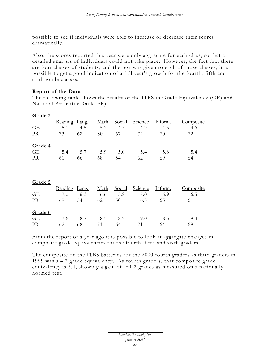possible to see if individuals were able to increase or decrease their scores dramatically.

Also, the scores reported this year were only aggregate for each class, so that a detailed analysis of individuals could not take place. However, the fact that there are four classes of students, and the test was given to each of those classes, it is possible to get a good indication of a full year's growth for the fourth, fifth and sixth grade classes.

# **Report of the Data**

The following table shows the results of the ITBS in Grade Equivalency (GE) and National Percentile Rank (PR):

| гин<br>L٦ | ٣<br>ш |  |
|-----------|--------|--|
|           |        |  |

|     |     | <u>Math</u>   |          | Science |        | Composite |
|-----|-----|---------------|----------|---------|--------|-----------|
| 5.0 | 4.5 | 5.2           | 4.5      | 4.9     | 4.5    | 4.6       |
| 73  | 68  | 80            | 67       | 74      | 70     | 72        |
|     |     |               |          |         |        |           |
|     |     |               |          |         |        |           |
| 5.4 | 5.7 | 5.9           | 5.0      | 5.4     | 5.8    | 5.4       |
|     |     |               | 54       | 62      | 69     | 64        |
|     | 61  | Reading Lang. | 68<br>66 |         | Social | Inform.   |

| Grade 5 |               |     |      |        |         |         |           |
|---------|---------------|-----|------|--------|---------|---------|-----------|
|         | Reading Lang. |     | Math | Social | Science | Inform. | Composite |
| GE      | 7.0           | 6.3 | 6.6  | 5.8    | 7.0     | 6.9     | 6.5       |
| PR      | 69            | 54  | 62   | 50     | 6.5     | 65      | 61        |
| Grade 6 |               |     |      |        |         |         |           |
| GE      | 7.6           | 8.7 | 8.5  | 8.2    | 9.0     | 8.3     | 8.4       |
| PR      | 62.           | 68  |      | 64     |         | 64      | 68        |

From the report of a year ago it is possible to look at aggregate changes in composite grade equivalencies for the fourth, fifth and sixth graders.

The composite on the ITBS batteries for the 2000 fourth graders as third graders in 1999 was a 4.2 grade equivalency. As fourth graders, that composite grade equivalency is 5.4, showing a gain of  $+1.2$  grades as measured on a nationally normed test.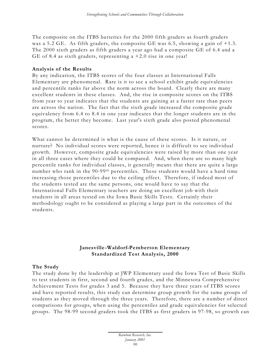The composite on the ITBS batteries for the 2000 fifth graders as fourth graders was a 5.2 GE. As fifth graders, the composite GE was 6.5, showing a gain of  $+1.3$ . The 2000 sixth graders as fifth graders a year ago had a composite GE of 6.4 and a GE of 8.4 as sixth graders, representing  $a + 2.0$  rise in one year!

#### **Analysis of the Results**

By any indication, the ITBS scores of the four classes at International Falls Elementary are phenomenal. Rare is it to see a school exhibit grade equivalencies and percentile ranks far above the norm across the board. Clearly there are many excellent students in these classes. And, the rise in composite scores on the ITBS from year to year indicates that the students are gaining at a faster rate than peers are across the nation. The fact that the sixth grade increased the composite grade equivalency from 6.4 to 8.4 in one year indicates that the longer students are in the program, the better they become. Last year's sixth grade also posted phenomenal scores.

What cannot be determined is what is the cause of these scores. Is it nature, or nurture? No individual scores were reported, hence it is difficult to see individual growth. However, composite grade equivalencies were raised by more than one year in all three cases where they could be compared. And, when there are so many high percentile ranks for individual classes, it generally means that there are quite a large number who rank in the 90-99th percentiles. These students would have a hard time increasing those percentiles due to the ceiling effect. Therefore, if indeed most of the students tested are the same persons, one would have to say that the International Falls Elementary teachers are doing an excellent job with their students in all areas tested on the Iowa Basic Skills Tests. Certainly their methodology ought to be considered as playing a large part in the outcomes of the students.

# **Janesville -Waldorf-Pemberton Elementary Standardized Test Analysis, 2000**

# **The Study**

The study done by the leadership at JWP Elementary used the Iowa Test of Basic Skills to test students in first, second and fourth grades, and the Minnesota Comprehensive Achievement Tests for grades 3 and 5. Because they have three years of ITBS scores and have reported results, this study can determine group growth for the same groups of students as they moved through the three years. Therefore, there are a number of direct comparisons for groups, when using the percentiles and grade equivalencies for selected groups. The 98-99 second graders took the ITBS as first graders in 97-98, so growth can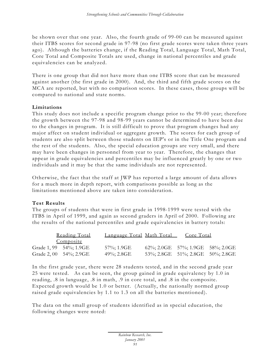be shown over that one year. Also, the fourth grade of 99-00 can be measured against their ITBS scores for second grade in 97-98 (no first grade scores were taken three years ago). Although the batteries change, if the Reading Total, Language Total, Math Total, Core Total and Composite Totals are used, change in national percentiles and grade equivalencies can be analyzed.

There is one group that did not have more than one ITBS score that can be measured against another (the first grade in 2000). And, the third and fifth grade scores on the MCA are reported, but with no comparison scores. In these cases, those groups will be compared to national and state norms.

# **Limitations**

This study does not include a specific program change prior to the 99-00 year; therefore the growth between the 97-98 and 98-99 years cannot be determined to have been due to the changes in program. It is still difficult to prove that program changes had any major affect on student individual or aggregate growth. The scores for each group of students are also split between those students on IEP's or in the Title One program and the rest of the students. Also, the special education groups are very small, and there may have been changes in personnel from year to year. Therefore, the changes that appear in grade equivalencies and percentiles may be influenced greatly by one or two individuals and it may be that the same individuals are not represented.

Otherwise, the fact that the staff at JWP has reported a large amount of data allows for a much more in depth report, with comparisons possible as long as the limitations mentioned above are taken into consideration.

# **Test Results**

The groups of students that were in first grade in 1998-1999 were tested with the ITBS in April of 1999, and again as second graders in April of 2000. Following are the results of the national percentiles and grade equivalencies in battery totals:

| Reading Total          | Language Total Math Total | Core Total                          |  |
|------------------------|---------------------------|-------------------------------------|--|
| Composite              |                           |                                     |  |
| Grade 1, 99 54%; 1.9GE | 57%; 1.9GE                | 62\%; 2.0GE 57\%; 1.9GE 58\%; 2.0GE |  |
| Grade 2, 00 54%; 2.9GE | 49%; 2.8GE                | 53\%; 2.8GE 51\%; 2.8GE 50\%; 2.8GE |  |

In the first grade year, there were 28 students tested, and in the second grade year 25 were tested. As can be seen, the group gained in grade equivalency by 1.0 in reading, .8 in language, .8 in math, .9 in core total, and .8 in the composite. Expected growth would be 1.0 or better. (Actually, the nationally normed group raised grade equivalencies by 1.1 to 1.3 on all the batteries mentioned).

The data on the small group of students identified as in special education, the following changes were noted: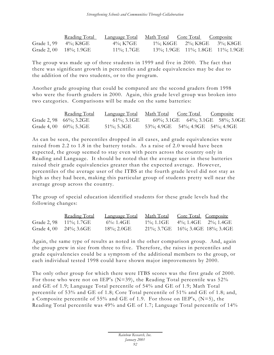|             | Reading Total          | Language Total | <u>Math Total Core Total Composite</u> |                                              |
|-------------|------------------------|----------------|----------------------------------------|----------------------------------------------|
| Grade 1, 99 | 4%; K8GE               | 4%; K7GE       |                                        | 1\%; K6GE 2\%; K8GE 3\%; K8GE                |
|             | Grade 2, 00 18%; 1.9GE | $11\%$ ; 1.7GE |                                        | $13\%$ ; 1.9GE $11\%$ ; 1.8GE $11\%$ ; 1.9GE |

The group was made up of three students in 1999 and five in 2000. The fact that there was significant growth in percentiles and grade equivalencies may be due to the addition of the two students, or to the program.

Another grade grouping that could be compared are the second graders from 1998 who were the fourth graders in 2000. Again, this grade level group was broken into two categories. Comparisons will be made on the same batteries:

| <u>Reading Total</u>       | <u>Language Total</u> | Math Total Core Total Composite |                                              |                                      |
|----------------------------|-----------------------|---------------------------------|----------------------------------------------|--------------------------------------|
| Grade 2, 98 66%; 3.2GE     | $61\%$ ; 3.1GE        |                                 |                                              | $60\%$ ; 3.1GE 64%; 3.1GE 58%; 3.0GE |
| Grade 4, 00 $60\%$ ; 5.3GE | 51%; 5.3GE            |                                 | $53\%$ ; 4.9GE $54\%$ ; 4.9GE $54\%$ ; 4.9GE |                                      |

As can be seen, the percentiles dropped in all cases, and grade equivalencies were raised from 2.2 to 1.8 in the battery totals. As a raise of 2.0 would have been expected, the group seemed to stay even with peers across the country only in Reading and Language. It should be noted that the average user in these batteries raised their grade equivalencies greater than the expected average. However, percentiles of the average user of the ITBS at the fourth grade level did not stay as high as they had been, making this particular group of students pretty well near the average group across the country.

The group of special education identified students for these grade levels had the following changes:

| Reading Total              | <u>Language Total</u> | Math Total                          | Core Total Composite |  |
|----------------------------|-----------------------|-------------------------------------|----------------------|--|
| Grade 2, 98 11%; 1.7GE     | 6\%: 1.4GE            | $1\%$ : 1.1GE                       | 4%; 1.4GE 2%; 1.4GE  |  |
| Grade 4, 00 $24\%$ ; 3.6GE | $18\%$ ; 2.0GE        | 21\%; 3.7GE 16\%; 3.4GE 18\%; 3.4GE |                      |  |

Again, the same type of results as noted in the other comparison group. And, again the group grew in size from three to five. Therefore, the raises in percentiles and grade equivalencies could be a symptom of the additional members to the group, or each individual tested 1998 could have shown major improvements by 2000.

The only other group for which there were ITBS scores was the first grade of 2000. For those who were not on IEP's (N=39), the Reading Total percentile was 52% and GE of 1.9; Language Total percentile of 54% and GE of 1.9; Math Total percentile of 53% and GE of 1.8; Core Total percentile of 51% and GE of 1.8; and, a Composite percentile of 55% and GE of 1.9. For those on IEP's, (N=5), the Reading Total percentile was 49% and GE of 1.7; Language Total percentile of 14%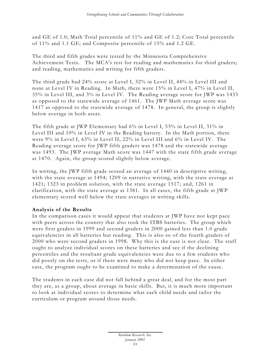and GE of 1.0; Math Total percentile of 11% and GE of 1.2; Core Total percentile of 11% and 1.1 GE; and Composite percentile of 15% and 1.2 GE.

The third and fifth grades were tested by the Minnesota Comprehensive Achievement Tests. The MCA's test for reading and mathematics for third graders; and reading, mathematics and writing for fifth graders.

The third grade had 24% score at Level I, 32% in Level II, 44% in Level III and none at Level IV in Reading. In Math, there were 15% in Level I, 47% in Level II, 35% in Level III, and 3% in Level IV. The Reading average score for JWP was 1433 as opposed to the statewide average of 1461. The JWP Math average score was 1417 as opposed to the statewide average of 1478. In general, the group is slightly below average in both areas.

The fifth grade at JWP Elementary had 6% in Level I, 53% in Level II, 31% in Level III and 10% in Level IV in the Reading battery. In the Math portion, there were 9% in Level I, 63% in Level II, 22% in Level III and 6% in Level IV. The Reading average score for JWP fifth graders was 1478 and the statewide average was 1493. The JWP average Math score was 1447 with the state fifth grade average at 1470. Again, the group scored slightly below average.

In writing, the JWP fifth grade scored an average of 1440 in descriptive writing, with the state average at 1494; 1209 in narrative writing, with the state average at 1421; 1323 in problem solution, with the state average 1517; and, 1261 in clarification, with the state average at 1381. In all cases, the fifth grade at JWP elementary scored well below the state averages in writing skills.

# **Analysis of the Results**

In the comparison cases it would appear that students at JWP have not kept pace with peers across the country that also took the ITBS batteries. The group which were first graders in 1999 and second graders in 2000 gained less than 1.0 grade equivalencies in all batteries but reading. This is also so of the fourth graders of 2000 who were second graders in 1998. Why this is the case is not clear. The staff ought to analyze individual scores on these batteries and see if the declining percentiles and the resultant grade equivalencies were due to a few students who did poorly on the tests, or if there were many who did not keep pace. In either case, the program ought to be examined to make a determination of the cause.

The students in each case did not fall behind a great deal, and for the most part they are, as a group, about average in basic skills. But, it is much more important to look at individual scores to determine what each child needs and tailor the curriculum or program around those needs.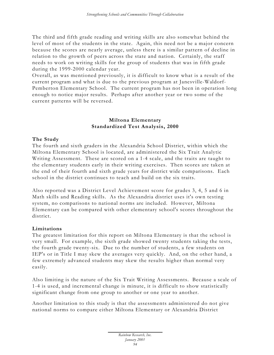The third and fifth grade reading and writing skills are also somewhat behind the level of most of the students in the state. Again, this need not be a major concern because the scores are nearly average, unless there is a similar pattern of decline in relation to the growth of peers across the state and nation. Certainly, the staff needs to work on writing skills for the group of students that was in fifth grade during the 1999-2000 calendar year.

Overall, as was mentioned previously, it is difficult to know what is a result of the current program and what is due to the previous program at Janesville-Waldorf-Pemberton Elementary School. The current program has not been in operation long enough to notice major results. Perhaps after another year or two some of the current patterns will be reversed.

# **Miltona Elementary Standardized Test Analysis, 2000**

# **The Study**

The fourth and sixth graders in the Alexandria School District, within which the Miltona Elementary School is located, are administered the Six Trait Analytic Writing Assessment. These are scored on a 1-4 scale, and the traits are taught to the elementary students early in their writing exercises. Then scores are taken at the end of their fourth and sixth grade years for district wide comparisons. Each school in the district continues to teach and build on the six traits.

Also reported was a District Level Achievement score for grades 3, 4, 5 and 6 in Math skills and Reading skills. As the Alexandria district uses it's own testing system, no comparisons to national norms are included. However, Miltona Elementary can be compared with other elementary school's scores throughout the district.

# **Limitations**

The greatest limitation for this report on Miltona Elementary is that the school is very small. For example, the sixth grade showed twenty students taking the tests, the fourth grade twenty-six. Due to the number of students, a few students on IEP's or in Title I may skew the averages very quickly. And, on the other hand, a few extremely advanced students may skew the results higher than normal very easily.

Also limiting is the nature of the Six Trait Writing Assessments. Because a scale of 1-4 is used, and incremental change is minute, it is difficult to show statistically significant change from one group to another or one year to another.

Another limitation to this study is that the assessments administered do not give national norms to compare either Miltona Elementary or Alexandria District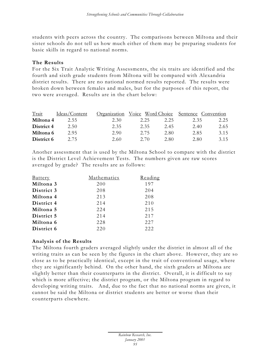students with peers across the country. The comparisons between Miltona and their sister schools do not tell us how much either of them may be preparing students for basic skills in regard to national norms.

# **The Results**

For the Six Trait Analytic Writing Assessments, the six traits are identified and the fourth and sixth grade students from Miltona will be compared with Alexandria district results. There are no national normed results reported. The results were broken down between females and males, but for the purposes of this report, the two were averaged. Results are in the chart below:

| Trait      | Ideas/Content | Organization | Voice Word Choice |      | Sentence Convention |      |
|------------|---------------|--------------|-------------------|------|---------------------|------|
| Miltona 4  | 2.55          | 2.30         | 2.25              | 2.25 | 2.35                | 2.25 |
| District 4 | 2.50          | 2.35         | 2.35              | 2.45 | 2.40                | 2.65 |
| Miltona 6  | 2.95          | 2.90         | 2.75              | 2.80 | 2.85                | 3.15 |
| District 6 | 2.75          | 2.60         | 2.70              | 2.80 | 2.80                | 3.15 |

Another assessment that is used by the Miltona School to compare with the district is the District Level Achievement Tests. The numbers given are raw scores averaged by grade? The results are as follows:

| <b>Battery</b> | Mathematics | Reading |
|----------------|-------------|---------|
| Miltona 3      | 200         | 197     |
| District 3     | 208         | 204     |
| Miltona 4      | 213         | 208     |
| District 4     | 214         | 210     |
| Miltona 5      | 224         | 215     |
| District 5     | 214         | 217     |
| Miltona 6      | 228         | 227     |
| District 6     | 220         | 222     |

# **Analysis of the Results**

The Miltona fourth graders averaged slightly under the district in almost all of the writing traits as can be seen by the figures in the chart above. However, they are so close as to be practically identical, except in the trait of conventional usage, where they are significantly behind. On the other hand, the sixth graders at Miltona are slightly better than their counterparts in the district. Overall, it is difficult to say which is more affective; the district program, or the Miltona program in regard to developing writing traits. And, due to the fact that no national norms are given, it cannot be said the Miltona or district students are better or worse than their counterparts elsewhere.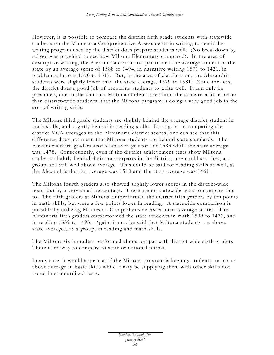However, it is possible to compare the district fifth grade students with statewide students on the Minnesota Comprehensive Assessments in writing to see if the writing program used by the district does prepare students well. (No breakdown by school was provided to see how Miltona Elementary compared). In the area of descriptive writing, the Alexandria district outperformed the average student in the state by an average score of 1588 to 1494, in narrative writing 1571 to 1421, in problem solutions 1570 to 1517. But, in the area of clarification, the Alexandria students were slightly lower than the state average, 1379 to 1381. None-the-less, the district does a good job of preparing students to write well. It can only be presumed, due to the fact that Miltona students are about the same or a little better than district-wide students, that the Miltona program is doing a very good job in the area of writing skills.

The Miltona third grade students are slightly behind the average district student in math skills, and slightly behind in reading skills. But, again, in comparing the district MCA averages to the Alexandria district scores, one can see that this difference does not mean that Miltona students are behind state standards. The Alexandria third graders scored an average score of 1583 while the state average was 1478. Consequently, even if the district achievement tests show Miltona students slightly behind their counterparts in the district, one could say they, as a group, are still well above average. This could be said for reading skills as well, as the Alexandria district average was 1510 and the state average was 1461.

The Miltona fourth graders also showed slightly lower scores in the district-wide tests, but by a very small percentage. There are no statewide tests to compare this to. The fifth graders at Miltona outperformed the district fifth graders by ten points in math skills, but were a few points lower in reading. A statewide comparison is possible by utilizing Minnesota Comprehensive Assessment average scores. The Alexandria fifth graders outperformed the state students in math 1509 to 1470, and in reading 1539 to 1493. Again, it may be said that Miltona students are above state averages, as a group, in reading and math skills.

The Miltona sixth graders performed almost on par with district wide sixth graders. There is no way to compare to state or national norms.

In any case, it would appear as if the Miltona program is keeping students on par or above average in basic skills while it may be supplying them with other skills not noted in standardized tests.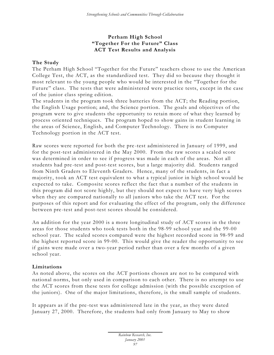# **Perham High School "Together For the Future" Class ACT Test Results and Analysis**

# **The Study**

The Perham High School "Together for the Future" teachers chose to use the American College Test, the ACT, as the standardized test. They did so because they thought it most relevant to the young people who would be interested in the "Together for the Future" class. The tests that were administered were practice tests, except in the case of the junior class spring edition.

The students in the program took three batteries from the ACT; the Reading portion, the English Usage portion; and, the Science portion. The goals and objectives of the program were to give students the opportunity to retain more of what they learned by process oriented techniques. The program hoped to show gains in student learning in the areas of Science, English, and Computer Technology. There is no Computer Technology portion in the ACT test.

Raw scores were reported for both the pre -test administered in January of 1999, and for the post-test administered in the May 2000. From the raw scores a scaled score was determined in order to see if progress was made in each of the areas. Not all students had pre -test and post-test scores, but a large majority did. Students ranged from Ninth Graders to Eleventh Graders. Hence, many of the students, in fact a majority, took an ACT test equivalent to what a typical junior in high school would be expected to take. Composite scores reflect the fact that a number of the students in this program did not score highly, but they should not expect to have very high scores when they are compared nationally to all juniors who take the ACT test. For the purposes of this report and for evaluating the effect of the program, only the difference between pre -test and post-test scores should be considered.

An addition for the year 2000 is a more longitudinal study of ACT scores in the three areas for those students who took tests both in the 98-99 school year and the 99-00 school year. The scaled scores compared were the highest recorded score in 98-99 and the highest reported score in 99-00. This would give the reader the opportunity to see if gains were made over a two-year period rather than over a few months of a given school year.

# **Limitations**

As noted above, the scores on the ACT portions chosen are not to be compared with national norms, but only used in comparison to each other. There is no attempt to use the ACT scores from these tests for college admission (with the possible exception of the juniors). One of the major limitations, therefore, is the small sample of students.

It appears as if the pre -test was administered late in the year, as they were dated January 27, 2000. Therefore, the students had only from January to May to show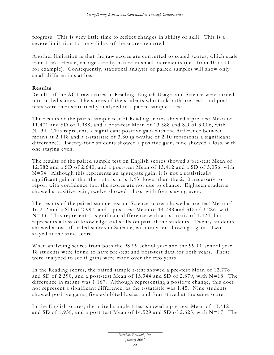progre ss. This is very little time to reflect changes in ability or skill. This is a severe limitation to the validity of the scores reported.

Another limitation is that the raw scores are converted to scaled scores, which scale from 1-36. Hence, changes are by nature in small increments (i.e., from 10 to 11, for example). Consequently, statistical analysis of paired samples will show only small differentials at best.

# **Results**

Results of the ACT raw scores in Reading, English Usage, and Science were turned into scaled scores. The scores of the students who took both pre -tests and posttests were then statistically analyzed in a paired sample t-test.

The results of the paired sample test of Reading scores showed a pre -test Mean of 11.471 and SD of 1.988, and a post-test Mean of 13.588 and SD of 3.006, with N=34. This represents a significant positive gain with the difference between means at 2.118 and a t-statistic of 3.80 (a t-value of 2.10 represents a significant difference). Twenty-four students showed a positive gain, nine showed a loss, with one staying even.

The results of the paired sample test on English scores showed a pre -test Mean of 12.382 and a SD of 2.640, and a post-test Mean of 13.412 and a SD of 3.056, with N=34. Although this represents an aggregate gain, it is not a statistically significant gain in that the t-statistic is 1.43, lower than the 2.10 necessary to report with confidence that the scores are not due to chance. Eighteen students showed a positive gain, twelve showed a loss, with four staying even.

The results of the paired sample test on Science scores showed a pre -test Mean of 16.212 and a SD of 2.997. and a post-test Mean of 14.788 and SD of 3.286, with N=33. This represents a significant difference with a t-statistic of 1.424, but represents a loss of knowledge and skills on part of the students. Twenty students showed a loss of scaled scores in Science, with only ten showing a gain. Two stayed at the same score.

When analyzing scores from both the 98-99 school year and the 99-00 school year, 18 students were found to have pre -test and post-test data for both years. These were analyzed to see if gains were made over the two years.

In the Reading scores, the paired sample t-test showed a pre -test Mean of 12.778 and SD of 2.390, and a post-test Mean of 13.944 and SD of 2.879, with N=18. The difference in means was 1.167. Although representing a positive change, this does not represent a significant difference, as the t-statistic was 1.45. Nine students showed positive gains, five exhibited losses, and four stayed at the same score.

In the English scores, the paired sample t-test showed a pre -test Mean of 13.412 and SD of 1.938, and a post-test Mean of 14.529 and SD of 2.625, with N=17. The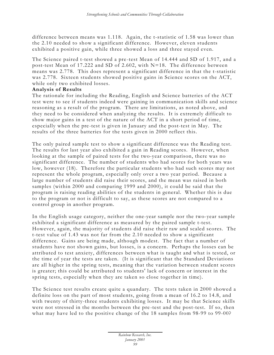difference between means was 1.118. Again, the t-statistic of 1.58 was lower than the 2.10 needed to show a significant difference. However, eleven students exhibited a positive gain, while three showed a loss and three stayed even.

The Science paired t-test showed a pre -test Mean of 14.444 and SD of 1.917, and a post-test Mean of 17.222 and SD of 2.602, with N=18. The difference between means was 2.778. This does represent a significant difference in that the t-statistic was 2.778. Sixteen students showed positive gains in Science scores on the ACT, while only two exhibited losses.

#### **Analysis of Results**

The rationale for including the Reading, English and Science batteries of the ACT test were to see if students indeed were gaining in communication skills and science reasoning as a result of the program. There are limitations, as noted above, and they need to be considered when analyzing the results. It is extremely difficult to show major gains in a test of the nature of the ACT in a short period of time, especially when the pre-test is given in January and the post-test in May. The results of the three batteries for the tests given in 2000 reflect this.

The only paired sample test to show a significant difference was the Reading test. The results for last year also exhibited a gain in Reading scores. However, when looking at the sample of paired tests for the two-year comparison, there was no significant difference. The number of students who had scores for both years was low, however (18). Therefore the particular students who had such scores may not represent the whole program, especially only over a two year period. Because a large number of students did raise their scores, and the mean was raised in both samples (within 2000 and comparing 1999 and 2000), it could be said that the program is raising reading abilities of the students in general. Whether this is due to the program or not is difficult to say, as these scores are not compared to a control group in another program.

In the English usage category, neither the one-year sample nor the two-year sample exhibited a significant difference as measured by the paired sample t-test. However, again, the majority of students did raise their raw and scaled scores. The t-test value of 1.43 was not far from the 2.10 needed to show a significant difference. Gains are being made, although modest. The fact that a number of students have not shown gains, but losses, is a concern. Perhaps the losses can be attributed to test anxiety, differences between what is taught and what is tested, or the time of year the tests are taken. (It is significant that the Standard Deviations are all higher in the spring tests, meaning that the variation between student scores is greater; this could be attributed to students' lack of concern or interest in the spring tests, especially when they are taken so close together in time).

The Science test results create quite a quandary. The tests taken in 2000 showed a definite loss on the part of most students, going from a mean of 16.2 to 14.8, and with twenty of thirty-three students exhibiting losses. It may be that Science skills were not stressed in the months between the pre -test and the post-test. If so, then what may have led to the positive change of the 18 samples from 98-99 to 99-00?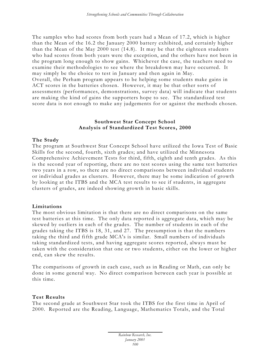The samples who had scores from both years had a Mean of 17.2, which is higher than the Mean of the 16.2 the January 2000 battery exhibited, and certainly higher than the Mean of the May 2000 test (14.8). It may be that the eighteen students who had scores from both years were the exception, and the others have not been in the program long enough to show gains. Whichever the case, the teachers need to examine their methodologies to see where the breakdown may have occurred. It may simply be the choice to test in January and then again in May. Overall, the Perham program appears to be helping some students make gains in ACT scores in the batteries chosen. However, it may be that other sorts of assessments (performances, demonstrations, survey data) will indicate that students are making the kind of gains the supporters hope to see. The standardized test score data is not enough to make any judgements for or against the methods chosen.

### **Southwest Star Concept School Analysis of Standardized Test Scores, 2000**

#### **The Study**

The program at Southwest Star Concept School have utilized the Iowa Test of Basic Skills for the second, fourth, sixth grades; and have utilized the Minnesota Comprehensive Achievement Tests for third, fifth, eighth and tenth grades. As this is the second year of reporting, there are no test scores using the same test batteries two years in a row, so there are no direct comparisons between individual students or individual grades as clusters. However, there may be some indication of growth by looking at the ITBS and the MCA test results to see if students, in aggregate clusters of grades, are indeed showing growth in basic skills.

#### **Limitations**

The most obvious limitation is that there are no direct comparisons on the same test batteries at this time. The only data reported is aggregate data, which may be skewed by outliers in each of the grades. The number of students in each of the grades taking the ITBS is 18, 31, and 27. The presumption is that the numbers taking the third and fifth grade MCA's is similar. Small numbers of individuals taking standardized tests, and having aggregate scores reported, always must be taken with the consideration that one or two students, either on the lower or higher end, can skew the results.

The comparisons of growth in each case, such as in Reading or Math, can only be done in some general way. No direct comparison between each year is possible at this time.

# **Test Results**

The second grade at Southwest Star took the ITBS for the first time in April of 2000. Reported are the Reading, Language, Mathematics Totals, and the Total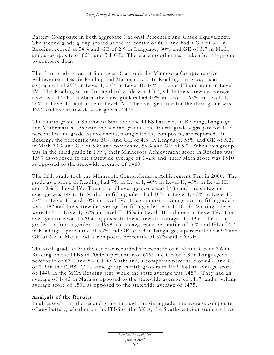Battery Composite in both aggregate National Percentile and Grade Equivalency. The second grade group scored at the percentile of 60% and had a GE of 3.1 in Reading; scored at 54% and GE of 2.9 in Language; 80% and GE of 3.7 in Math; and, a composite of 65% and 3.1 GE. There are no other tests taken by this group to compare data.

The third grade group at Southwest Star took the Minnesota Comprehensive Achievement Test in Reading and Mathematics. In Reading, the group as an aggregate had 29% in Level I, 57% in Level II, 14% in Level III and none in Level IV. The Reading score for the third grade was 1367, while the statewide average score was 1461. In Math, the third graders had 10% in Level I, 65% in Level II, 24% in Level III and none in Level IV. The average score for the third grade was 1392 and the statewide average was 1478.

The fourth grade at Southwest Star took the ITBS batteries in Reading, Language and Mathema tics. As with the second graders, the fourth grade aggregate totals in percentiles and grade equivalencies, along with the composite, are reported. In Reading, the percentile was 50% and GE of 4.8; in Language, 55% and GE of 5.2; in Math 70% and GE of 5.8; and composite, 56% and GE of 5.2. When this group was in the third grade in 1999, their Minnesota Achievement score in Reading was 1397 as opposed to the statewide average of 1428; and, their Math score was 1510 as opposed to the statewide average of 1460.

The fifth grade took the Minnesota Comprehensive Achievement Test in 2000. The grade as a group in Reading had 7% in Level I, 40% in Level II, 43% in Level III and 10% in Level IV. Their overall average score was 1486 and the statewide average was 1493. In Math, the fifth graders had 10% in Level I, 43% in Level II, 37% in Level III and 10% in Level IV. The composite average for the fifth graders was 1482 and the statewide average for fifth graders was 1470. In Writing, there were 17% in Level I, 37% in Level II, 46% in Level III and none in Level IV. The average score was 1520 as opposed to the statewide average of 1493. The fifth graders as fourth graders in 1999 had an aggregate percentile of 56% and GE of 5.4 in Reading; a percentile of 52% and GE of 5.3 in Language; a percentile of 63% and GE of 6.2 in Math; and, a composite percentile of 57% and 5.6 GE.

The sixth grade at Southwest Star recorded a percentile of 61% and GE of 7.6 in Reading on the ITBS in 2000; a percentile of 61% and GE of 7.8 in Language; a percentile of 67% and 8.2 GE in Math; and, a composite percentile of 64% and GE of 7.9 in the ITBS. This same group as fifth graders in 1999 had an average score of 1440 in the MCA Reading test, while the state average was 1457. They had an average of 1445 in Math as opposed to the statewide average of 1417, and a writing average score of 1501 as opposed to the statewide average of 1475.

# **Analysis of the Results**

In all cases, from the second grade through the sixth grade, the average composite of any battery, whether on the ITBS or the MCA, the Southwest Star students have